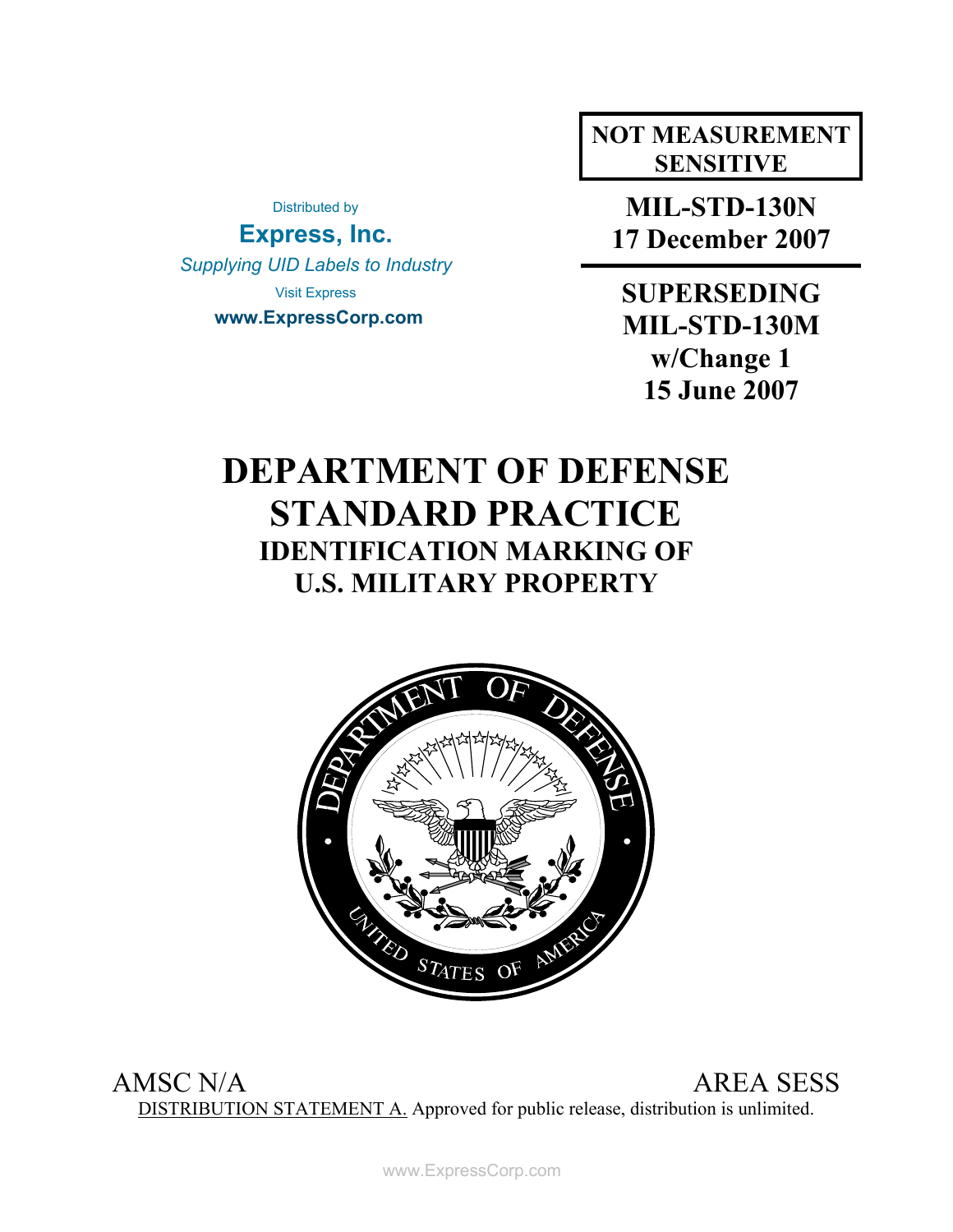Distributed by

**Express, Inc.** *Supplying UID Labels to Industry* Visit Express **[www.ExpressCorp.com](https://www.expresscorp.com/DOD-UID-Labels)**

**NOT MEASUREMENT SENSITIVE**

**MIL-STD-130N 17 December 2007** 

**SUPERSEDING MIL-STD-130M w/Change 1 15 June 2007** 

# **DEPARTMENT OF DEFENSE STANDARD PRACTICE IDENTIFICATION MARKING OF U.S. MILITARY PROPERTY**



AMSC N/A AREA SESS DISTRIBUTION STATEMENT A. Approved for public release, distribution is unlimited.

[www.ExpressCorp.com](www.expresscorp.com)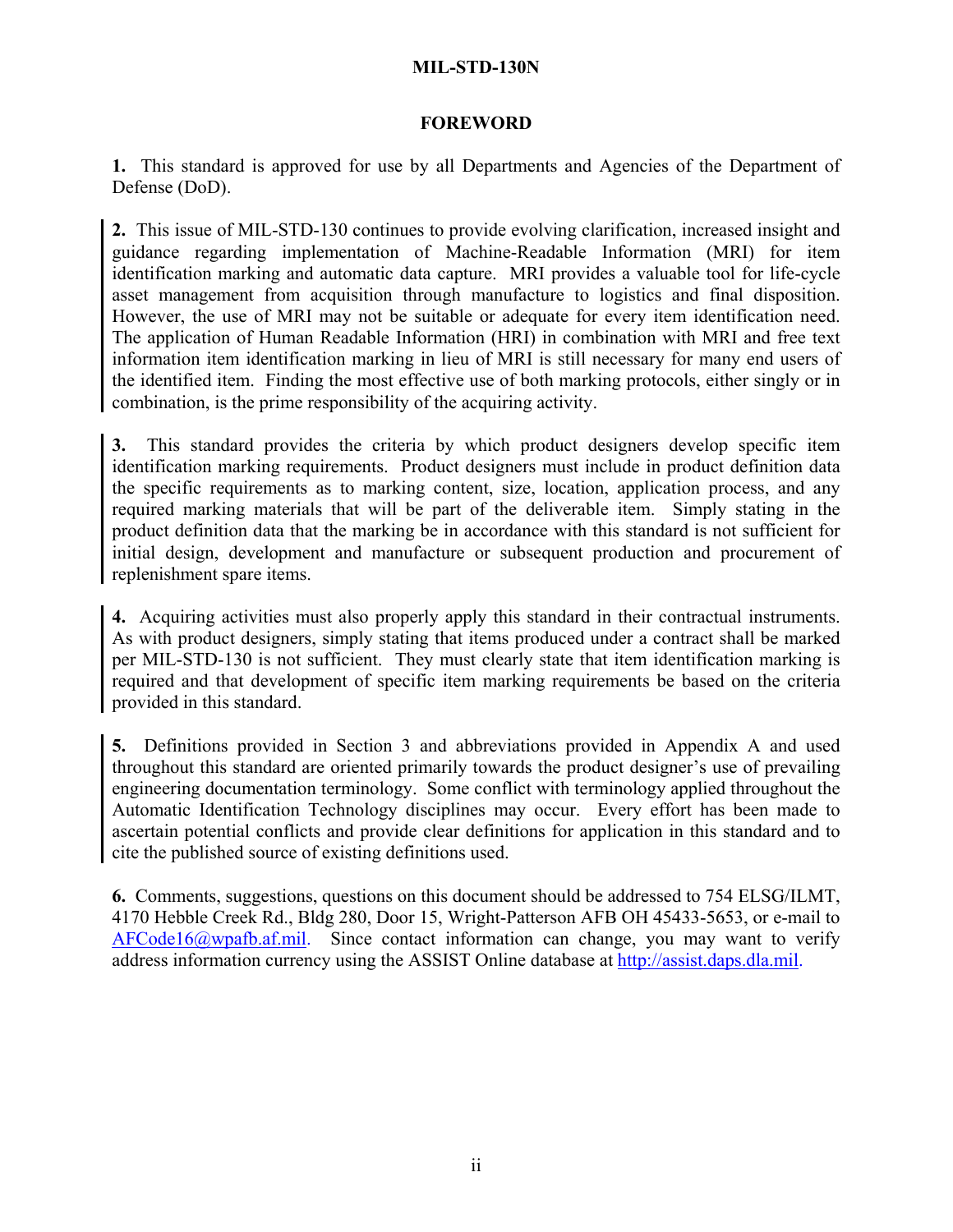#### **FOREWORD**

**1.** This standard is approved for use by all Departments and Agencies of the Department of Defense (DoD).

**2.** This issue of MIL-STD-130 continues to provide evolving clarification, increased insight and guidance regarding implementation of Machine-Readable Information (MRI) for item identification marking and automatic data capture. MRI provides a valuable tool for life-cycle asset management from acquisition through manufacture to logistics and final disposition. However, the use of MRI may not be suitable or adequate for every item identification need. The application of Human Readable Information (HRI) in combination with MRI and free text information item identification marking in lieu of MRI is still necessary for many end users of the identified item. Finding the most effective use of both marking protocols, either singly or in combination, is the prime responsibility of the acquiring activity.

**3.** This standard provides the criteria by which product designers develop specific item identification marking requirements. Product designers must include in product definition data the specific requirements as to marking content, size, location, application process, and any required marking materials that will be part of the deliverable item. Simply stating in the product definition data that the marking be in accordance with this standard is not sufficient for initial design, development and manufacture or subsequent production and procurement of replenishment spare items.

**4.** Acquiring activities must also properly apply this standard in their contractual instruments. As with product designers, simply stating that items produced under a contract shall be marked per MIL-STD-130 is not sufficient. They must clearly state that item identification marking is required and that development of specific item marking requirements be based on the criteria provided in this standard.

**5.** Definitions provided in Section 3 and abbreviations provided in Appendix A and used throughout this standard are oriented primarily towards the product designer's use of prevailing engineering documentation terminology. Some conflict with terminology applied throughout the Automatic Identification Technology disciplines may occur. Every effort has been made to ascertain potential conflicts and provide clear definitions for application in this standard and to cite the published source of existing definitions used.

**6.** Comments, suggestions, questions on this document should be addressed to 754 ELSG/ILMT, 4170 Hebble Creek Rd., Bldg 280, Door 15, Wright-Patterson AFB OH 45433-5653, or e-mail to [AFCode16@wpafb.af.mil.](mailto:AFCode16@wpafb.af.mil) Since contact information can change, you may want to verify address information currency using the ASSIST Online database at [http://assist.daps.dla.mil](http://assist.daps.dla.mil/).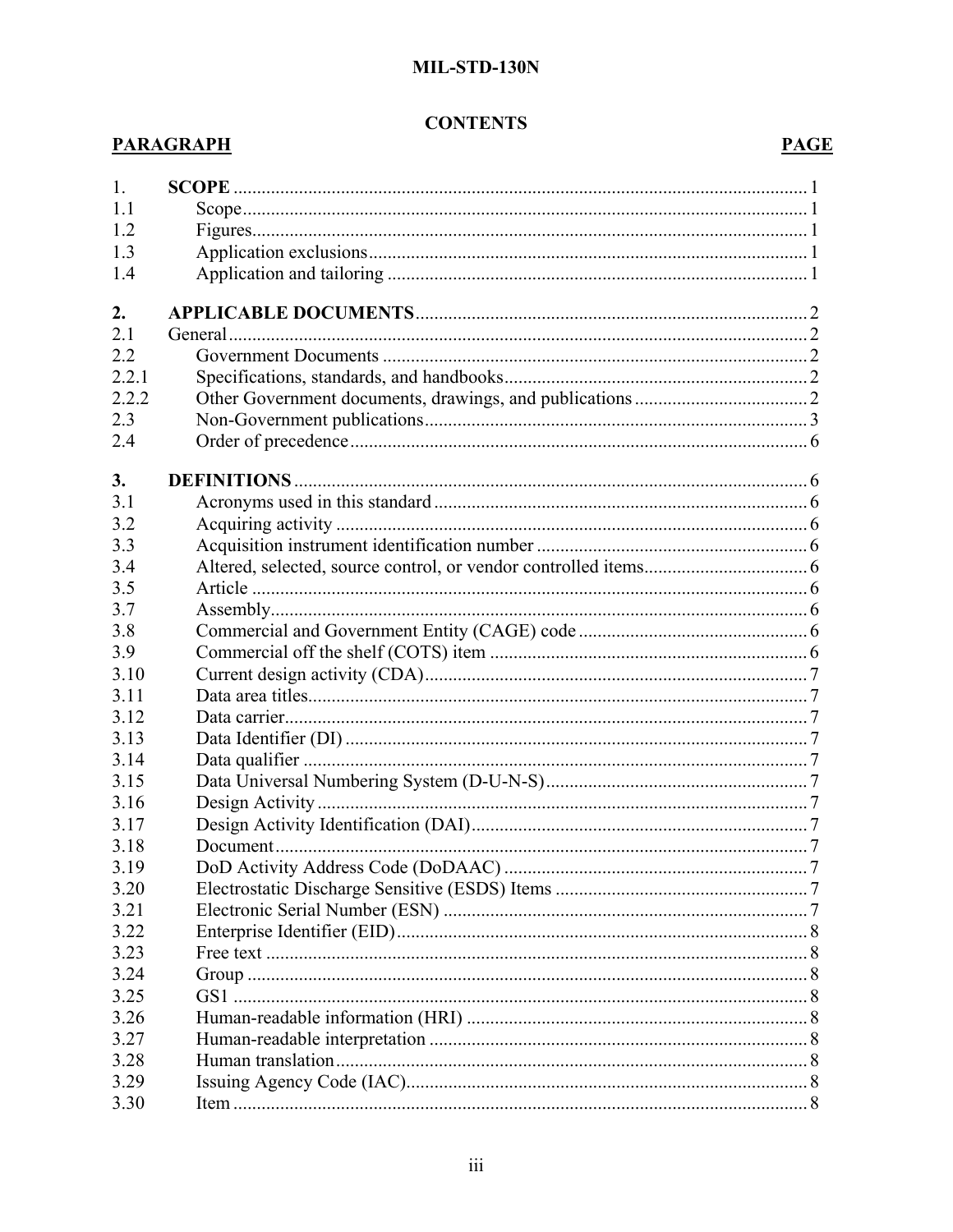## **CONTENTS**

## **PARAGRAPH**

## **PAGE**

| 1.           |     |  |
|--------------|-----|--|
| 1.1          |     |  |
| 1.2          |     |  |
| 1.3          |     |  |
| 1.4          |     |  |
| 2.           |     |  |
| 2.1          |     |  |
| 2.2          |     |  |
| 2.2.1        |     |  |
| 2.2.2        |     |  |
| 2.3          |     |  |
| 2.4          |     |  |
|              |     |  |
| 3.           |     |  |
| 3.1          |     |  |
| 3.2          |     |  |
| 3.3          |     |  |
| 3.4          |     |  |
| 3.5          |     |  |
| 3.7          |     |  |
| 3.8          |     |  |
| 3.9          |     |  |
| 3.10         |     |  |
| 3.11         |     |  |
| 3.12         |     |  |
| 3.13         |     |  |
| 3.14         |     |  |
| 3.15         |     |  |
| 3.16         |     |  |
| 3.17         |     |  |
| 3.18         |     |  |
| 3.19         |     |  |
| 3.20         |     |  |
| 3.21         |     |  |
| 3.22<br>3.23 |     |  |
| 3.24         |     |  |
|              |     |  |
| 3.25         | GS1 |  |
| 3.26         |     |  |
| 3.27         |     |  |
| 3.28         |     |  |
| 3.29         |     |  |
| 3.30         |     |  |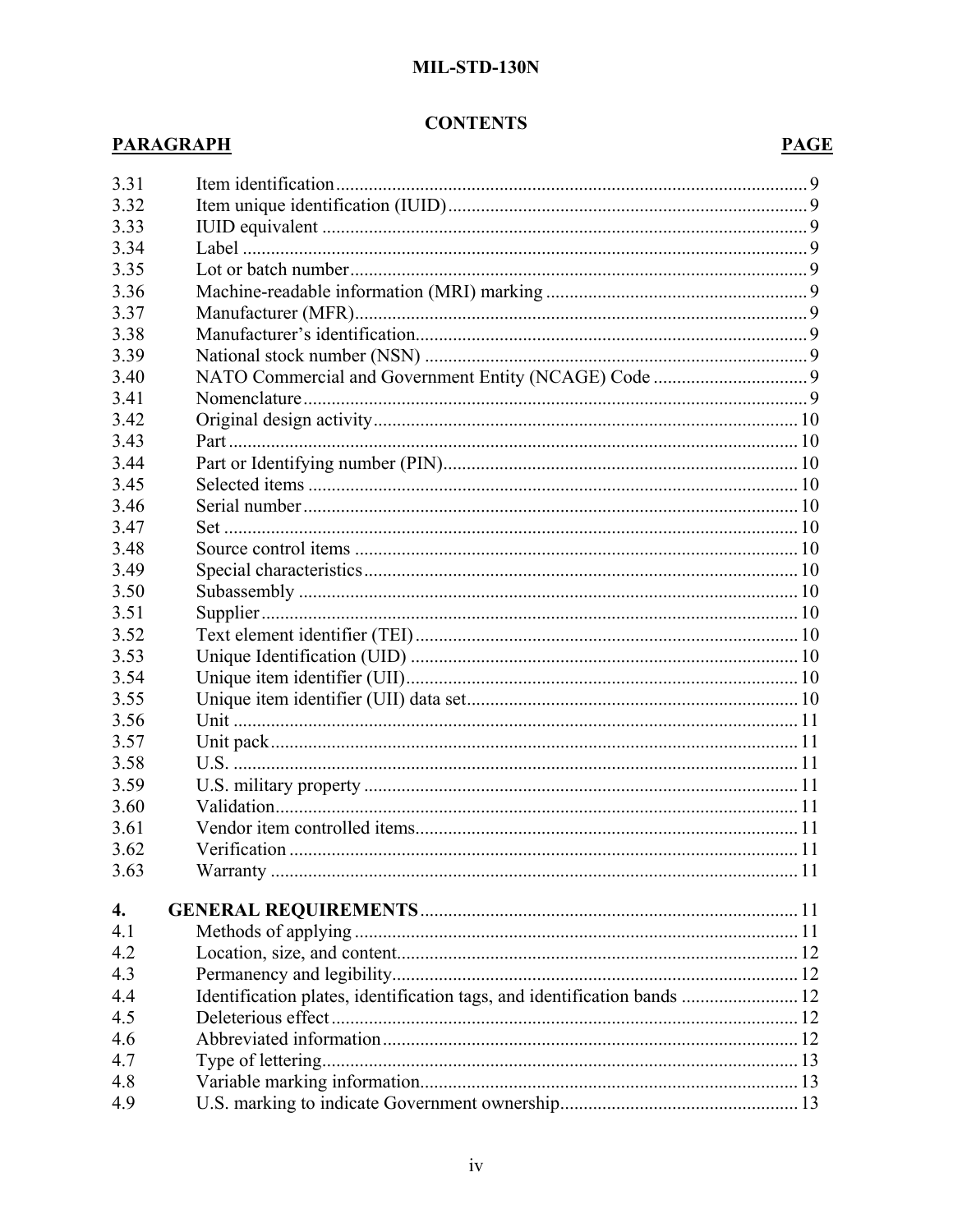## **CONTENTS**

## **PARAGRAPH**

## **PAGE**

| 3.31 |                                                                          |  |
|------|--------------------------------------------------------------------------|--|
| 3.32 |                                                                          |  |
| 3.33 |                                                                          |  |
| 3.34 |                                                                          |  |
| 3.35 |                                                                          |  |
| 3.36 |                                                                          |  |
| 3.37 |                                                                          |  |
| 3.38 |                                                                          |  |
| 3.39 |                                                                          |  |
| 3.40 |                                                                          |  |
| 3.41 |                                                                          |  |
| 3.42 |                                                                          |  |
| 3.43 |                                                                          |  |
| 3.44 |                                                                          |  |
| 3.45 |                                                                          |  |
| 3.46 |                                                                          |  |
| 3.47 |                                                                          |  |
| 3.48 |                                                                          |  |
| 3.49 |                                                                          |  |
| 3.50 |                                                                          |  |
| 3.51 |                                                                          |  |
| 3.52 |                                                                          |  |
| 3.53 |                                                                          |  |
| 3.54 |                                                                          |  |
| 3.55 |                                                                          |  |
| 3.56 |                                                                          |  |
| 3.57 |                                                                          |  |
| 3.58 |                                                                          |  |
| 3.59 |                                                                          |  |
| 3.60 |                                                                          |  |
| 3.61 |                                                                          |  |
| 3.62 |                                                                          |  |
| 3.63 |                                                                          |  |
|      |                                                                          |  |
| 4.   |                                                                          |  |
| 4.1  |                                                                          |  |
| 4.2  |                                                                          |  |
| 4.3  |                                                                          |  |
| 4.4  | Identification plates, identification tags, and identification bands  12 |  |
| 4.5  |                                                                          |  |
| 4.6  |                                                                          |  |
| 4.7  |                                                                          |  |
| 4.8  |                                                                          |  |
| 4.9  |                                                                          |  |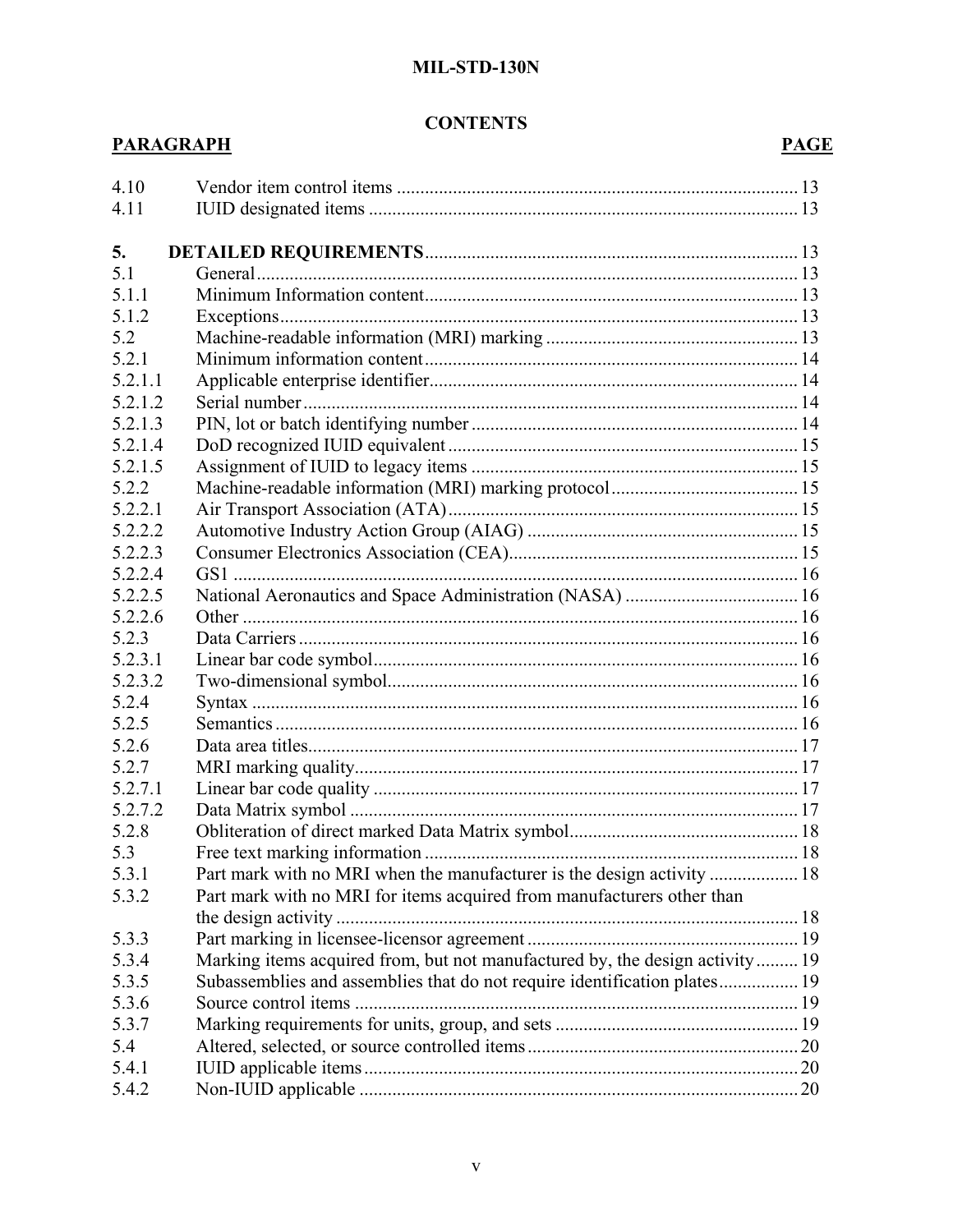## **CONTENTS**

| <b>PARAGRAPH</b> |                                                                                                                                                           | <b>PAGE</b> |
|------------------|-----------------------------------------------------------------------------------------------------------------------------------------------------------|-------------|
| 4.10             |                                                                                                                                                           |             |
| 4.11             |                                                                                                                                                           |             |
| 5.               |                                                                                                                                                           |             |
| 5.1              |                                                                                                                                                           |             |
| 5.1.1            |                                                                                                                                                           |             |
| 5.1.2            |                                                                                                                                                           |             |
| 5.2              |                                                                                                                                                           |             |
| 5.2.1            |                                                                                                                                                           |             |
| 5.2.1.1          |                                                                                                                                                           |             |
| 5.2.1.2          |                                                                                                                                                           |             |
| 5.2.1.3          |                                                                                                                                                           |             |
| 5.2.1.4          |                                                                                                                                                           |             |
| 5.2.1.5          |                                                                                                                                                           |             |
| 5.2.2            |                                                                                                                                                           |             |
| 5.2.2.1          |                                                                                                                                                           |             |
| 5.2.2.2          |                                                                                                                                                           |             |
| 5.2.2.3          |                                                                                                                                                           |             |
| 5.2.2.4          |                                                                                                                                                           |             |
| 5.2.2.5          |                                                                                                                                                           |             |
| 5.2.2.6          |                                                                                                                                                           |             |
| 5.2.3            |                                                                                                                                                           |             |
| 5.2.3.1          |                                                                                                                                                           |             |
| 5.2.3.2          |                                                                                                                                                           |             |
| 5.2.4            |                                                                                                                                                           |             |
| 5.2.5            |                                                                                                                                                           |             |
| 5.2.6            |                                                                                                                                                           |             |
| 5.2.7            |                                                                                                                                                           |             |
| 5.2.7.1          |                                                                                                                                                           |             |
| 5.2.7.2          |                                                                                                                                                           |             |
| 5.2.8            |                                                                                                                                                           |             |
| 5.3              |                                                                                                                                                           |             |
| 5.3.1            | Part mark with no MRI when the manufacturer is the design activity  18                                                                                    |             |
| 5.3.2            | Part mark with no MRI for items acquired from manufacturers other than                                                                                    |             |
|                  |                                                                                                                                                           |             |
| 5.3.3            |                                                                                                                                                           |             |
|                  |                                                                                                                                                           |             |
| 5.3.4<br>5.3.5   | Marking items acquired from, but not manufactured by, the design activity 19<br>Subassemblies and assemblies that do not require identification plates 19 |             |
|                  |                                                                                                                                                           |             |
| 5.3.6            |                                                                                                                                                           |             |
| 5.3.7            |                                                                                                                                                           |             |
| 5.4              |                                                                                                                                                           |             |
| 5.4.1            |                                                                                                                                                           |             |
| 5.4.2            |                                                                                                                                                           |             |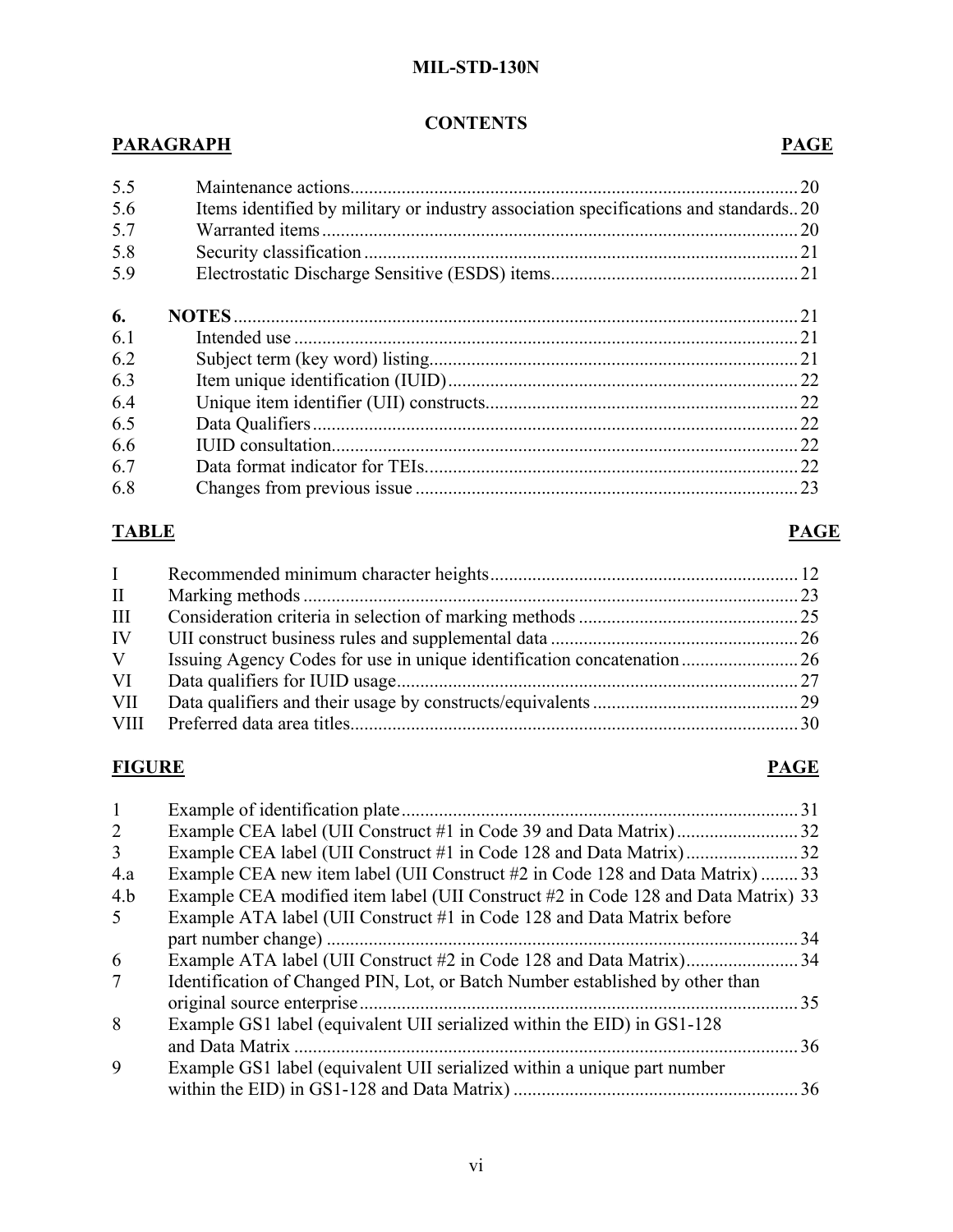## **CONTENTS**

## **PARAGRAPH PAGE**

| 5.5 |                                                                                     |    |
|-----|-------------------------------------------------------------------------------------|----|
| 5.6 | Items identified by military or industry association specifications and standards20 |    |
| 5.7 |                                                                                     | 20 |
| 5.8 |                                                                                     |    |
| 5.9 |                                                                                     |    |
| 6.  |                                                                                     |    |
| 6.1 |                                                                                     |    |
| 6.2 |                                                                                     |    |
| 6.3 |                                                                                     |    |
| 6.4 |                                                                                     |    |
| 6.5 |                                                                                     |    |
| 6.6 |                                                                                     |    |
| 6.7 |                                                                                     |    |
| 6.8 |                                                                                     |    |

## **TABLE PAGE**

| $\mathbf{I}$ |  |
|--------------|--|
| $\mathbf{I}$ |  |
| III          |  |
| IV           |  |
| V            |  |
| VI           |  |
| <b>VII</b>   |  |
|              |  |

## **FIGURE PAGE**

| $\mathbf{1}$ |                                                                                   | 31   |
|--------------|-----------------------------------------------------------------------------------|------|
| 2            |                                                                                   |      |
| 3            |                                                                                   |      |
| 4.a          | Example CEA new item label (UII Construct #2 in Code 128 and Data Matrix)  33     |      |
| 4.b          | Example CEA modified item label (UII Construct #2 in Code 128 and Data Matrix) 33 |      |
| 5            | Example ATA label (UII Construct #1 in Code 128 and Data Matrix before            |      |
|              |                                                                                   | 34   |
| 6            |                                                                                   | . 34 |
| 7            | Identification of Changed PIN, Lot, or Batch Number established by other than     |      |
|              |                                                                                   | 35   |
| 8            | Example GS1 label (equivalent UII serialized within the EID) in GS1-128           |      |
|              |                                                                                   | 36   |
| 9            | Example GS1 label (equivalent UII serialized within a unique part number          |      |
|              |                                                                                   | 36   |
|              |                                                                                   |      |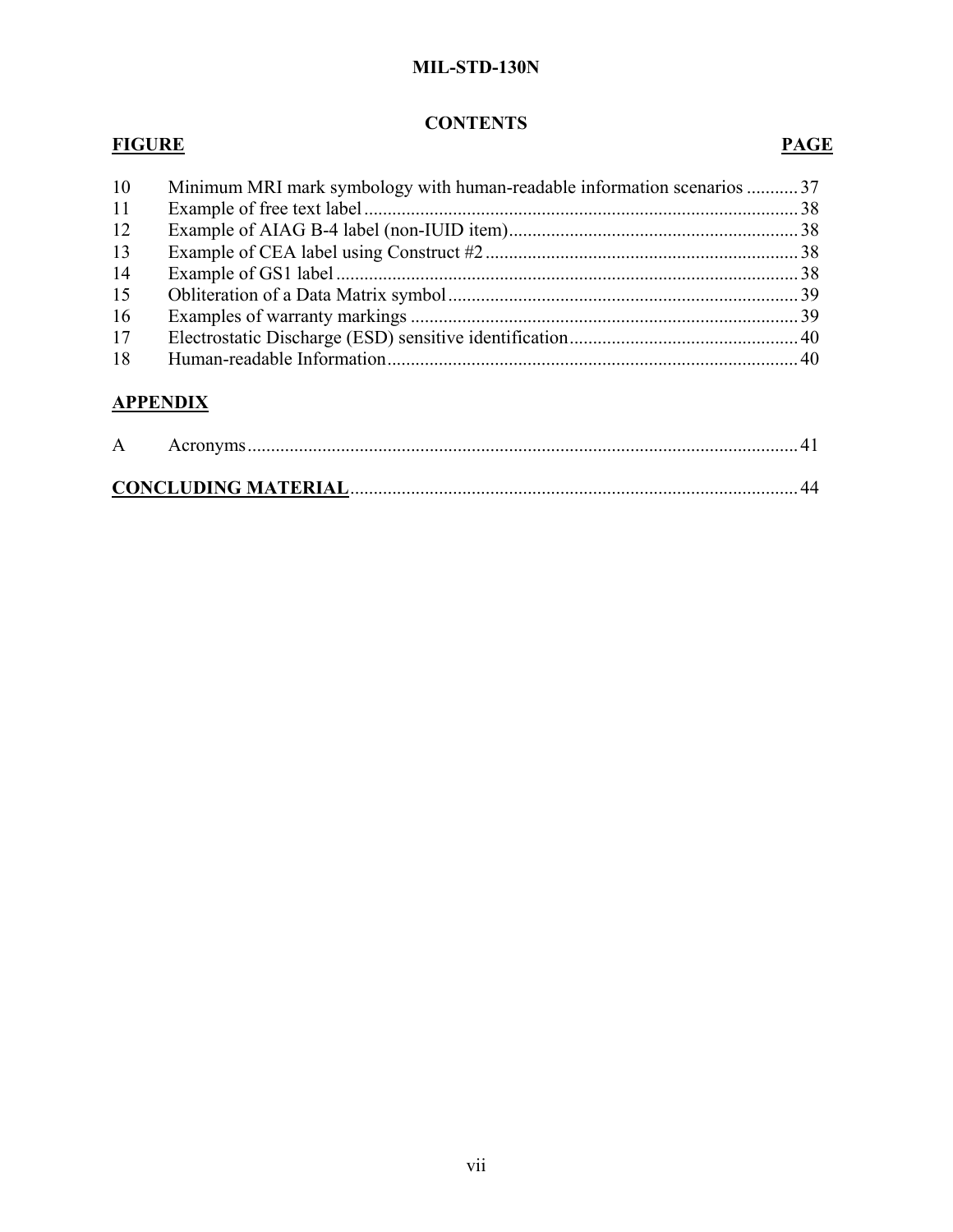## **CONTENTS**

## **FIGURE PAGE**

| 10 | Minimum MRI mark symbology with human-readable information scenarios  37 |  |
|----|--------------------------------------------------------------------------|--|
| 11 |                                                                          |  |
| 12 |                                                                          |  |
| 13 |                                                                          |  |
| 14 |                                                                          |  |
| 15 |                                                                          |  |
| 16 |                                                                          |  |
| 17 |                                                                          |  |
| 18 |                                                                          |  |

## **APPENDIX**

| A |                            |  |
|---|----------------------------|--|
|   | <b>CONCLUDING MATERIAL</b> |  |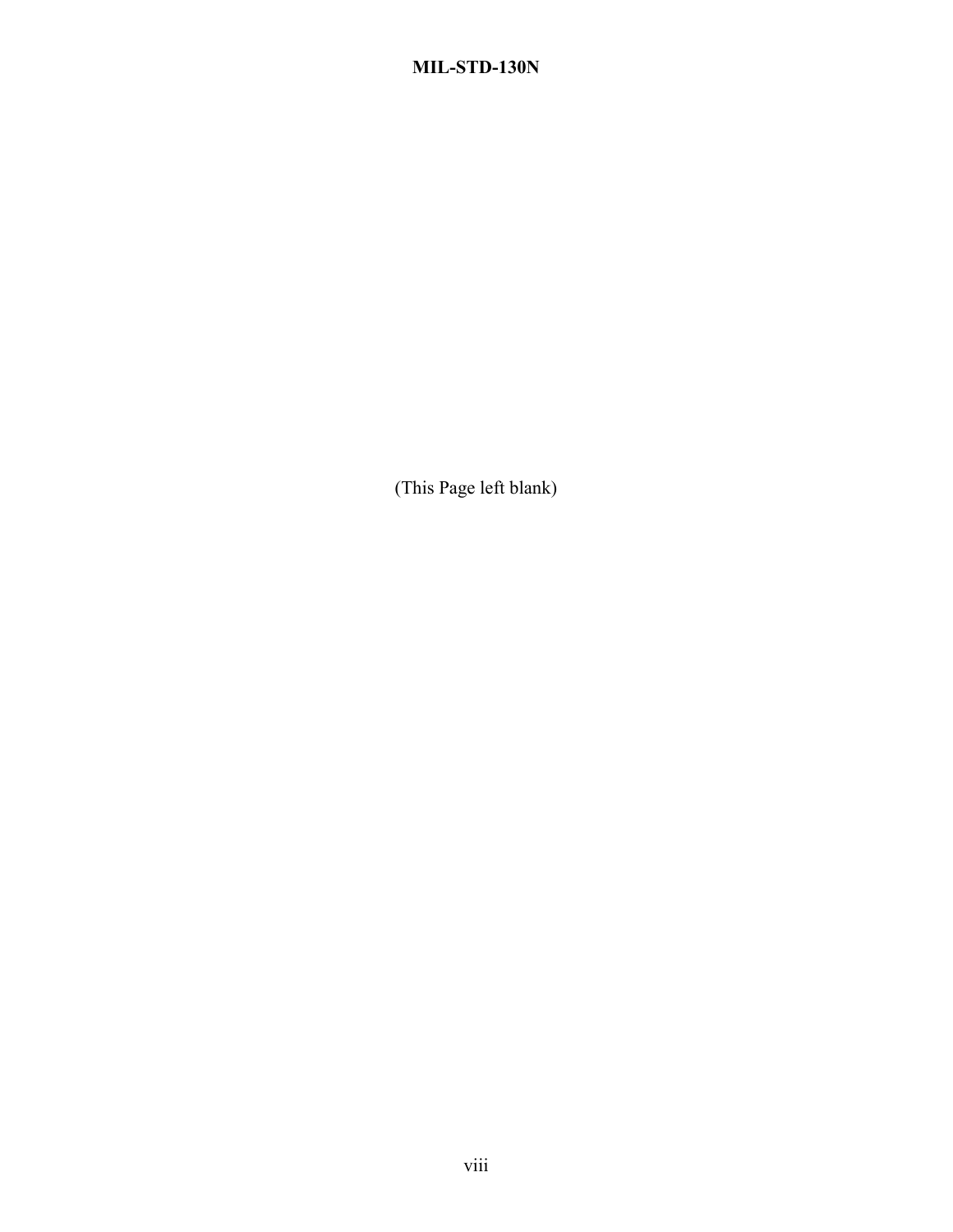(This Page left blank)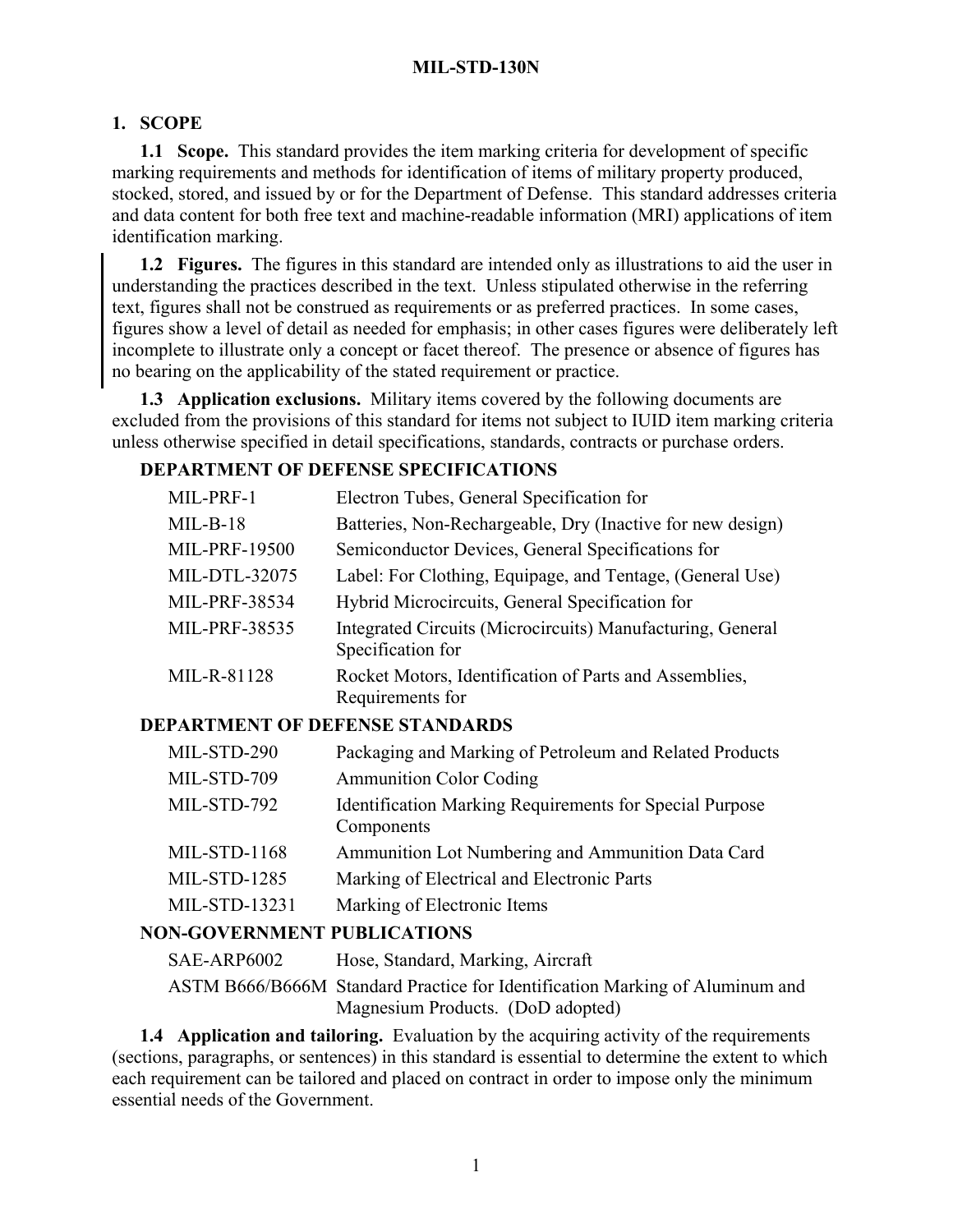## **1. SCOPE**

**1.1 Scope.** This standard provides the item marking criteria for development of specific marking requirements and methods for identification of items of military property produced, stocked, stored, and issued by or for the Department of Defense. This standard addresses criteria and data content for both free text and machine-readable information (MRI) applications of item identification marking.

**1.2 Figures.** The figures in this standard are intended only as illustrations to aid the user in understanding the practices described in the text. Unless stipulated otherwise in the referring text, figures shall not be construed as requirements or as preferred practices. In some cases, figures show a level of detail as needed for emphasis; in other cases figures were deliberately left incomplete to illustrate only a concept or facet thereof. The presence or absence of figures has no bearing on the applicability of the stated requirement or practice.

**1.3 Application exclusions.** Military items covered by the following documents are excluded from the provisions of this standard for items not subject to IUID item marking criteria unless otherwise specified in detail specifications, standards, contracts or purchase orders.

#### **DEPARTMENT OF DEFENSE SPECIFICATIONS**

| MIL-PRF-1            | Electron Tubes, General Specification for                                       |
|----------------------|---------------------------------------------------------------------------------|
| $MIL-B-18$           | Batteries, Non-Rechargeable, Dry (Inactive for new design)                      |
| <b>MIL-PRF-19500</b> | Semiconductor Devices, General Specifications for                               |
| MIL-DTL-32075        | Label: For Clothing, Equipage, and Tentage, (General Use)                       |
| MIL-PRF-38534        | Hybrid Microcircuits, General Specification for                                 |
| MIL-PRF-38535        | Integrated Circuits (Microcircuits) Manufacturing, General<br>Specification for |
| MIL-R-81128          | Rocket Motors, Identification of Parts and Assemblies,<br>Requirements for      |

## **DEPARTMENT OF DEFENSE STANDARDS**

| MIL-STD-290   | Packaging and Marking of Petroleum and Related Products                      |
|---------------|------------------------------------------------------------------------------|
| MIL-STD-709   | <b>Ammunition Color Coding</b>                                               |
| MIL-STD-792   | <b>Identification Marking Requirements for Special Purpose</b><br>Components |
| MIL-STD-1168  | Ammunition Lot Numbering and Ammunition Data Card                            |
| MIL-STD-1285  | Marking of Electrical and Electronic Parts                                   |
| MIL-STD-13231 | Marking of Electronic Items                                                  |

## **NON-GOVERNMENT PUBLICATIONS**

| SAE-ARP6002 | Hose, Standard, Marking, Aircraft                                            |
|-------------|------------------------------------------------------------------------------|
|             | ASTM B666/B666M Standard Practice for Identification Marking of Aluminum and |
|             | Magnesium Products. (DoD adopted)                                            |

**1.4 Application and tailoring.** Evaluation by the acquiring activity of the requirements (sections, paragraphs, or sentences) in this standard is essential to determine the extent to which each requirement can be tailored and placed on contract in order to impose only the minimum essential needs of the Government.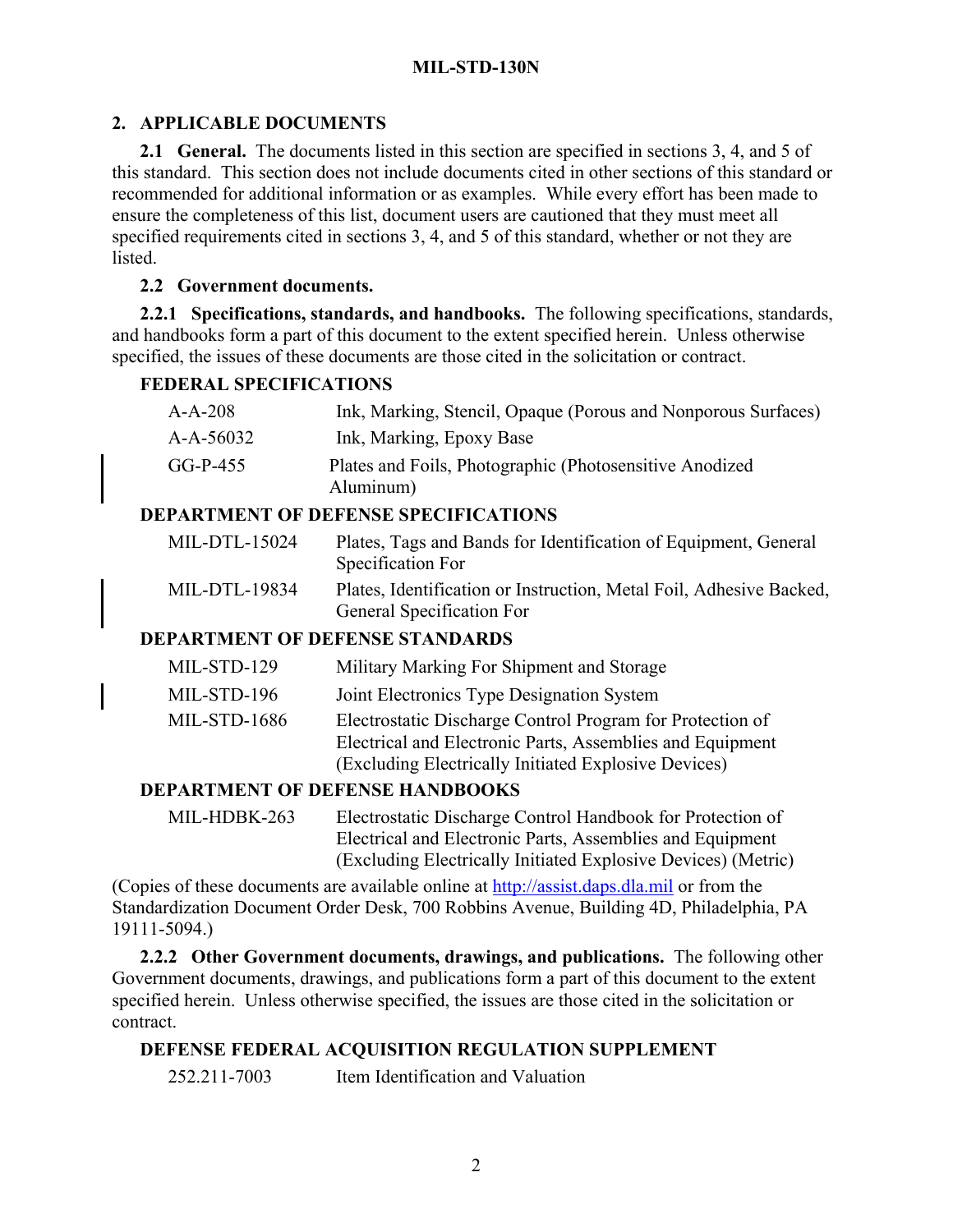## **2. APPLICABLE DOCUMENTS**

**2.1 General.** The documents listed in this section are specified in sections 3, 4, and 5 of this standard. This section does not include documents cited in other sections of this standard or recommended for additional information or as examples. While every effort has been made to ensure the completeness of this list, document users are cautioned that they must meet all specified requirements cited in sections 3, 4, and 5 of this standard, whether or not they are listed.

## **2.2 Government documents.**

**2.2.1 Specifications, standards, and handbooks.** The following specifications, standards, and handbooks form a part of this document to the extent specified herein. Unless otherwise specified, the issues of these documents are those cited in the solicitation or contract.

## **FEDERAL SPECIFICATIONS**

| $A-A-208$  | Ink, Marking, Stencil, Opaque (Porous and Nonporous Surfaces)        |
|------------|----------------------------------------------------------------------|
| A-A-56032  | Ink, Marking, Epoxy Base                                             |
| $GG-P-455$ | Plates and Foils, Photographic (Photosensitive Anodized<br>Aluminum) |

## **DEPARTMENT OF DEFENSE SPECIFICATIONS**

| MIL-DTL-15024 | Plates, Tags and Bands for Identification of Equipment, General<br>Specification For             |
|---------------|--------------------------------------------------------------------------------------------------|
| MIL-DTL-19834 | Plates, Identification or Instruction, Metal Foil, Adhesive Backed,<br>General Specification For |

#### **DEPARTMENT OF DEFENSE STANDARDS**

| MIL-STD-129  | Military Marking For Shipment and Storage                                                                                                                                      |
|--------------|--------------------------------------------------------------------------------------------------------------------------------------------------------------------------------|
| MIL-STD-196  | Joint Electronics Type Designation System                                                                                                                                      |
| MIL-STD-1686 | Electrostatic Discharge Control Program for Protection of<br>Electrical and Electronic Parts, Assemblies and Equipment<br>(Excluding Electrically Initiated Explosive Devices) |

#### **DEPARTMENT OF DEFENSE HANDBOOKS**

MIL-HDBK-263 Electrostatic Discharge Control Handbook for Protection of Electrical and Electronic Parts, Assemblies and Equipment (Excluding Electrically Initiated Explosive Devices) (Metric)

(Copies of these documents are available online at [http://assist.daps.dla.mil](http://assist.daps.dla.mil/) or from the Standardization Document Order Desk, 700 Robbins Avenue, Building 4D, Philadelphia, PA 19111-5094.)

**2.2.2 Other Government documents, drawings, and publications.** The following other Government documents, drawings, and publications form a part of this document to the extent specified herein. Unless otherwise specified, the issues are those cited in the solicitation or contract.

## **DEFENSE FEDERAL ACQUISITION REGULATION SUPPLEMENT**

252.211-7003 Item Identification and Valuation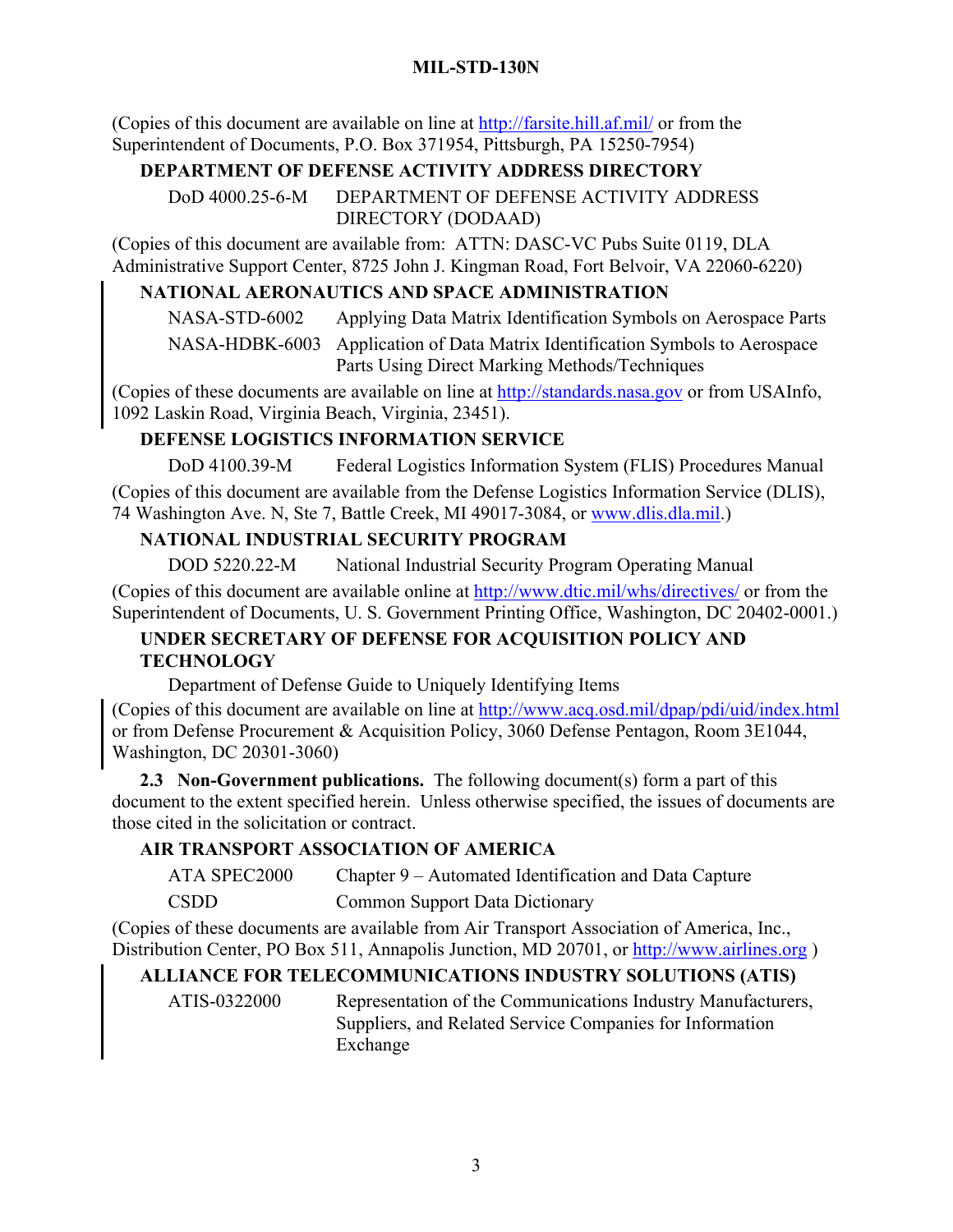(Copies of this document are available on line at <http://farsite.hill.af.mil/>or from the Superintendent of Documents, P.O. Box 371954, Pittsburgh, PA 15250-7954)

## **DEPARTMENT OF DEFENSE ACTIVITY ADDRESS DIRECTORY**

DoD 4000.25-6-M DEPARTMENT OF DEFENSE ACTIVITY ADDRESS DIRECTORY (DODAAD)

(Copies of this document are available from: ATTN: DASC-VC Pubs Suite 0119, DLA Administrative Support Center, 8725 John J. Kingman Road, Fort Belvoir, VA 22060-6220)

## **NATIONAL AERONAUTICS AND SPACE ADMINISTRATION**

NASA-STD-6002 Applying Data Matrix Identification Symbols on Aerospace Parts NASA-HDBK-6003 Application of Data Matrix Identification Symbols to Aerospace Parts Using Direct Marking Methods/Techniques

(Copies of these documents are available on line at [http://standards.nasa.gov](http://standards.nasa.gov/) or from USAInfo, 1092 Laskin Road, Virginia Beach, Virginia, 23451).

## **DEFENSE LOGISTICS INFORMATION SERVICE**

DoD 4100.39-M Federal Logistics Information System (FLIS) Procedures Manual (Copies of this document are available from the Defense Logistics Information Service (DLIS), 74 Washington Ave. N, Ste 7, Battle Creek, MI 49017-3084, or [www.dlis.dla.mil.](http://www.dlis.dla.mil/))

## **NATIONAL INDUSTRIAL SECURITY PROGRAM**

DOD 5220.22-M National Industrial Security Program Operating Manual (Copies of this document are available online at [http://www.dtic.mil/whs/directives/](http://assist.daps.dla.mil/quicksearch/) or from the Superintendent of Documents, U. S. Government Printing Office, Washington, DC 20402-0001.)

## **UNDER SECRETARY OF DEFENSE FOR ACQUISITION POLICY AND TECHNOLOGY**

Department of Defense Guide to Uniquely Identifying Items

(Copies of this document are available on line at <http://www.acq.osd.mil/dpap/pdi/uid/index.html> or from Defense Procurement & Acquisition Policy, 3060 Defense Pentagon, Room 3E1044, Washington, DC 20301-3060)

**2.3 Non-Government publications.** The following document(s) form a part of this document to the extent specified herein. Unless otherwise specified, the issues of documents are those cited in the solicitation or contract.

## **AIR TRANSPORT ASSOCIATION OF AMERICA**

| ATA SPEC2000 | Chapter 9 – Automated Identification and Data Capture |
|--------------|-------------------------------------------------------|
| <b>CSDD</b>  | Common Support Data Dictionary                        |

(Copies of these documents are available from Air Transport Association of America, Inc., Distribution Center, PO Box 511, Annapolis Junction, MD 20701, or [http://www.airlines.org](http://www.airlines.org/) )

## **ALLIANCE FOR TELECOMMUNICATIONS INDUSTRY SOLUTIONS (ATIS)**

 ATIS-0322000 Representation of the Communications Industry Manufacturers, Suppliers, and Related Service Companies for Information Exchange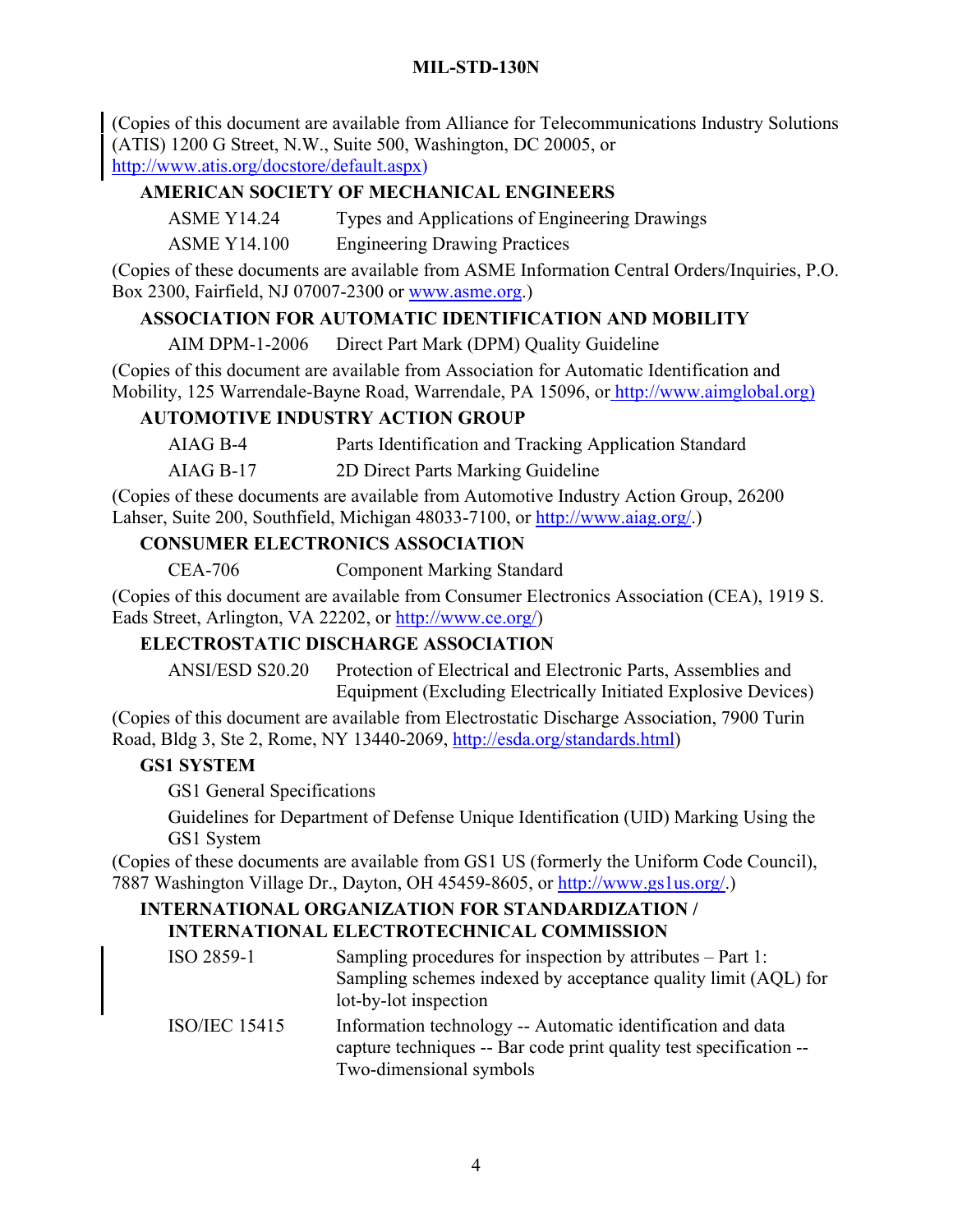(Copies of this document are available from Alliance for Telecommunications Industry Solutions (ATIS) 1200 G Street, N.W., Suite 500, Washington, DC 20005, or [http://www.atis.org/docstore/default.aspx\)](http://www.atis.org/docstore/default.aspx)

## **AMERICAN SOCIETY OF MECHANICAL ENGINEERS**

ASME Y14.24 Types and Applications of Engineering Drawings

ASME Y14.100 Engineering Drawing Practices

(Copies of these documents are available from ASME Information Central Orders/Inquiries, P.O. Box 2300, Fairfield, NJ 07007-2300 or [www.asme.org](http://www.asme.org/).)

#### **ASSOCIATION FOR AUTOMATIC IDENTIFICATION AND MOBILITY**

AIM DPM-1-2006 Direct Part Mark (DPM) Quality Guideline

(Copies of this document are available from Association for Automatic Identification and Mobility, 125 Warrendale-Bayne Road, Warrendale, PA 15096, or [http://www.aimglobal.org\)](http://www.aimglobal.org/)

## **AUTOMOTIVE INDUSTRY ACTION GROUP**

AIAG B-4 Parts Identification and Tracking Application Standard AIAG B-17 2D Direct Parts Marking Guideline

(Copies of these documents are available from Automotive Industry Action Group, 26200 Lahser, Suite 200, Southfield, Michigan 48033-7100, or<http://www.aiag.org/>.)

## **CONSUMER ELECTRONICS ASSOCIATION**

CEA-706 Component Marking Standard

(Copies of this document are available from Consumer Electronics Association (CEA), 1919 S. Eads Street, Arlington, VA 22202, or [http://www.ce.org/\)](http://www.ce.org/)

## **ELECTROSTATIC DISCHARGE ASSOCIATION**

ANSI/ESD S20.20 Protection of Electrical and Electronic Parts, Assemblies and Equipment (Excluding Electrically Initiated Explosive Devices)

(Copies of this document are available from Electrostatic Discharge Association, 7900 Turin Road, Bldg 3, Ste 2, Rome, NY 13440-2069, [http://esda.org/standards.html\)](http://esda.org/standards.html)

#### **GS1 SYSTEM**

GS1 General Specifications

Guidelines for Department of Defense Unique Identification (UID) Marking Using the GS1 System

(Copies of these documents are available from GS1 US (formerly the Uniform Code Council), 7887 Washington Village Dr., Dayton, OH 45459-8605, or [http://www.gs1us.org/.](http://www.gs1us.org/))

#### **INTERNATIONAL ORGANIZATION FOR STANDARDIZATION / INTERNATIONAL ELECTROTECHNICAL COMMISSION**

| ISO 2859-1           | Sampling procedures for inspection by attributes – Part 1:<br>Sampling schemes indexed by acceptance quality limit (AQL) for<br>lot-by-lot inspection        |
|----------------------|--------------------------------------------------------------------------------------------------------------------------------------------------------------|
| <b>ISO/IEC 15415</b> | Information technology -- Automatic identification and data<br>capture techniques -- Bar code print quality test specification --<br>Two-dimensional symbols |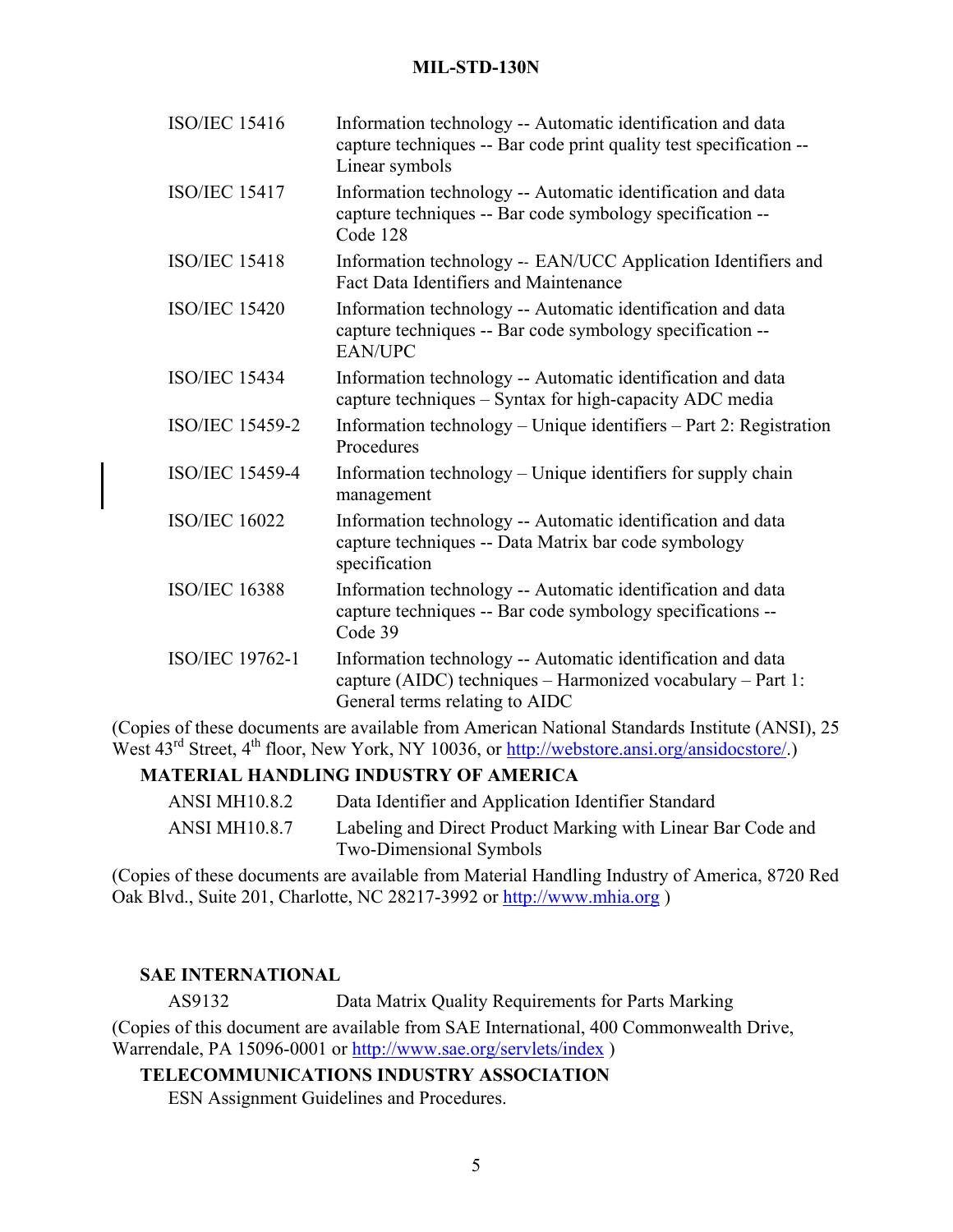| <b>ISO/IEC 15416</b>   | Information technology -- Automatic identification and data<br>capture techniques -- Bar code print quality test specification --<br>Linear symbols          |
|------------------------|--------------------------------------------------------------------------------------------------------------------------------------------------------------|
| <b>ISO/IEC 15417</b>   | Information technology -- Automatic identification and data<br>capture techniques -- Bar code symbology specification --<br>Code 128                         |
| <b>ISO/IEC 15418</b>   | Information technology -- EAN/UCC Application Identifiers and<br>Fact Data Identifiers and Maintenance                                                       |
| <b>ISO/IEC 15420</b>   | Information technology -- Automatic identification and data<br>capture techniques -- Bar code symbology specification --<br><b>EAN/UPC</b>                   |
| <b>ISO/IEC 15434</b>   | Information technology -- Automatic identification and data<br>capture techniques – Syntax for high-capacity ADC media                                       |
| <b>ISO/IEC 15459-2</b> | Information technology – Unique identifiers – Part 2: Registration<br>Procedures                                                                             |
| <b>ISO/IEC 15459-4</b> | Information technology – Unique identifiers for supply chain<br>management                                                                                   |
| <b>ISO/IEC 16022</b>   | Information technology -- Automatic identification and data<br>capture techniques -- Data Matrix bar code symbology<br>specification                         |
| <b>ISO/IEC 16388</b>   | Information technology -- Automatic identification and data<br>capture techniques -- Bar code symbology specifications --<br>Code 39                         |
| <b>ISO/IEC 19762-1</b> | Information technology -- Automatic identification and data<br>capture (AIDC) techniques - Harmonized vocabulary - Part 1:<br>General terms relating to AIDC |

(Copies of these documents are available from American National Standards Institute (ANSI), 25 West  $43<sup>rd</sup>$  Street,  $4<sup>th</sup>$  floor, New York, NY 10036, or [http://webstore.ansi.org/ansidocstore/.](http://webstore.ansi.org/ansidocstore/))

### **MATERIAL HANDLING INDUSTRY OF AMERICA**

| <b>ANSI MH10.8.2</b> | Data Identifier and Application Identifier Standard          |
|----------------------|--------------------------------------------------------------|
| <b>ANSI MH10.8.7</b> | Labeling and Direct Product Marking with Linear Bar Code and |
|                      | Two-Dimensional Symbols                                      |

(Copies of these documents are available from Material Handling Industry of America, 8720 Red Oak Blvd., Suite 201, Charlotte, NC 28217-3992 or [http://www.mhia.org](http://www.mhia.org/) )

#### **SAE INTERNATIONAL**

AS9132 Data Matrix Quality Requirements for Parts Marking

(Copies of this document are available from SAE International, 400 Commonwealth Drive, Warrendale, PA 15096-0001 or<http://www.sae.org/servlets/index> )

#### **TELECOMMUNICATIONS INDUSTRY ASSOCIATION**

ESN Assignment Guidelines and Procedures.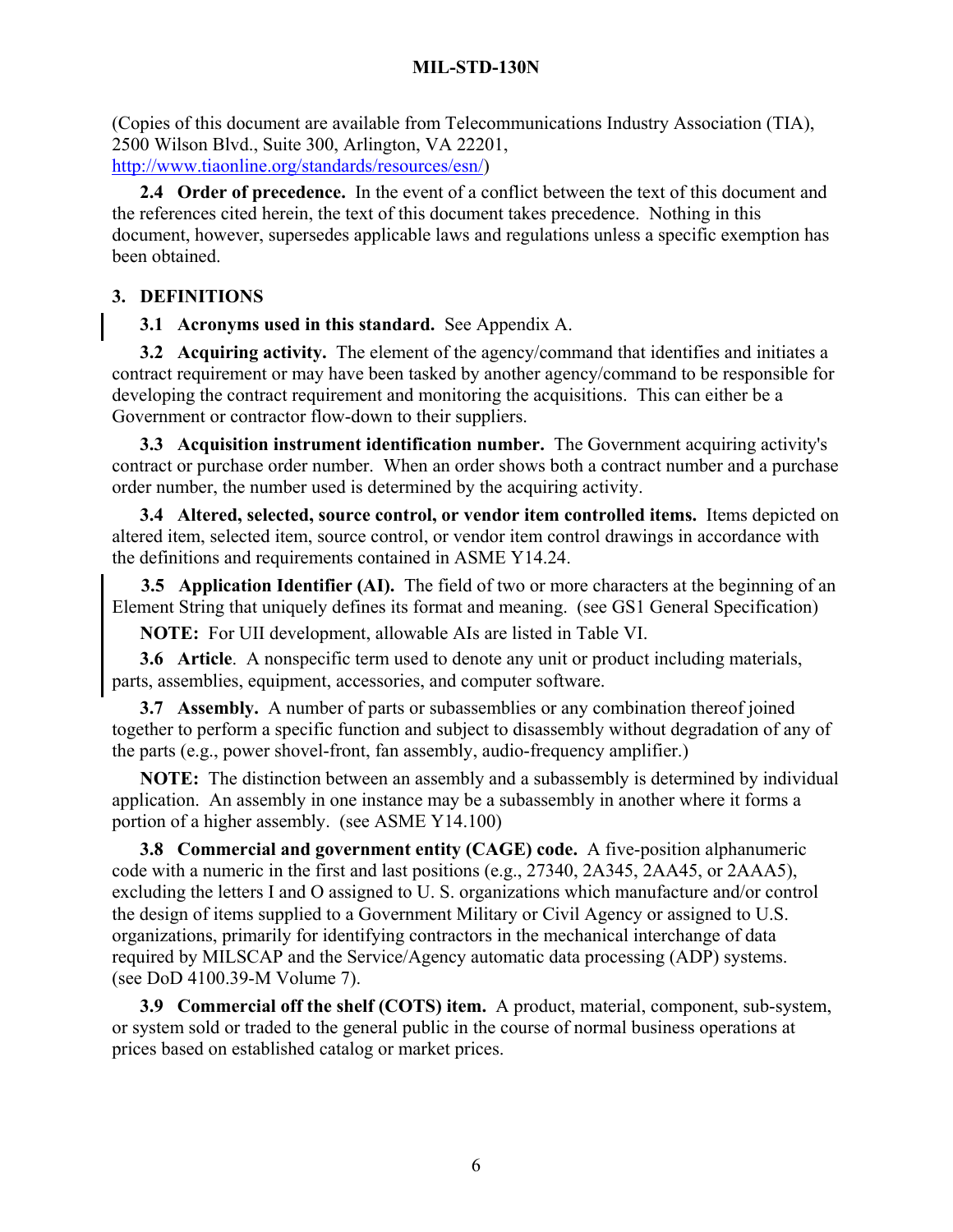(Copies of this document are available from Telecommunications Industry Association (TIA), 2500 Wilson Blvd., Suite 300, Arlington, VA 22201, [http://www.tiaonline.org/standards/resources/esn/\)](http://www.tiaonline.org/standards/resources/esn/)

**2.4 Order of precedence.** In the event of a conflict between the text of this document and the references cited herein, the text of this document takes precedence. Nothing in this document, however, supersedes applicable laws and regulations unless a specific exemption has been obtained.

#### **3. DEFINITIONS**

**3.1 Acronyms used in this standard.** See Appendix A.

**3.2 Acquiring activity.** The element of the agency/command that identifies and initiates a contract requirement or may have been tasked by another agency/command to be responsible for developing the contract requirement and monitoring the acquisitions. This can either be a Government or contractor flow-down to their suppliers.

**3.3 Acquisition instrument identification number.** The Government acquiring activity's contract or purchase order number. When an order shows both a contract number and a purchase order number, the number used is determined by the acquiring activity.

**3.4 Altered, selected, source control, or vendor item controlled items.** Items depicted on altered item, selected item, source control, or vendor item control drawings in accordance with the definitions and requirements contained in ASME Y14.24.

**3.5 Application Identifier (AI).** The field of two or more characters at the beginning of an Element String that uniquely defines its format and meaning. (see GS1 General Specification)

**NOTE:** For UII development, allowable AIs are listed in Table VI.

**3.6 Article**. A nonspecific term used to denote any unit or product including materials, parts, assemblies, equipment, accessories, and computer software.

**3.7 Assembly.** A number of parts or subassemblies or any combination thereof joined together to perform a specific function and subject to disassembly without degradation of any of the parts (e.g., power shovel-front, fan assembly, audio-frequency amplifier.)

**NOTE:** The distinction between an assembly and a subassembly is determined by individual application. An assembly in one instance may be a subassembly in another where it forms a portion of a higher assembly. (see ASME Y14.100)

**3.8 Commercial and government entity (CAGE) code.** A five-position alphanumeric code with a numeric in the first and last positions (e.g., 27340, 2A345, 2AA45, or 2AAA5), excluding the letters I and O assigned to U. S. organizations which manufacture and/or control the design of items supplied to a Government Military or Civil Agency or assigned to U.S. organizations, primarily for identifying contractors in the mechanical interchange of data required by MILSCAP and the Service/Agency automatic data processing (ADP) systems. (see DoD 4100.39-M Volume 7).

**3.9 Commercial off the shelf (COTS) item.** A product, material, component, sub-system, or system sold or traded to the general public in the course of normal business operations at prices based on established catalog or market prices.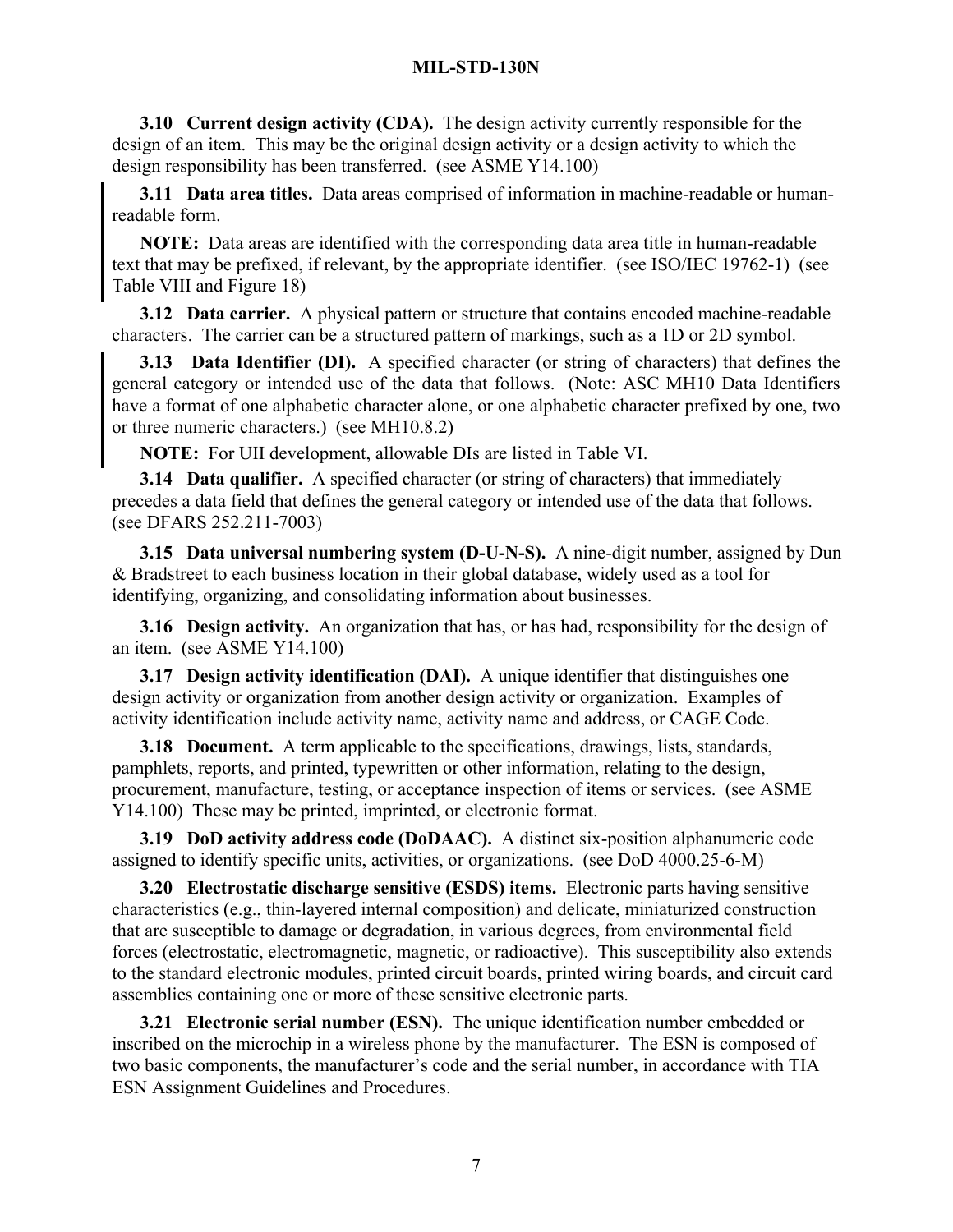**3.10 Current design activity (CDA).** The design activity currently responsible for the design of an item. This may be the original design activity or a design activity to which the design responsibility has been transferred. (see ASME Y14.100)

**3.11 Data area titles.** Data areas comprised of information in machine-readable or humanreadable form.

**NOTE:** Data areas are identified with the corresponding data area title in human-readable text that may be prefixed, if relevant, by the appropriate identifier. (see ISO/IEC 19762-1) (see Table VIII and Figure 18)

**3.12 Data carrier.** A physical pattern or structure that contains encoded machine-readable characters. The carrier can be a structured pattern of markings, such as a 1D or 2D symbol.

**3.13** Data Identifier (DI). A specified character (or string of characters) that defines the general category or intended use of the data that follows. (Note: ASC MH10 Data Identifiers have a format of one alphabetic character alone, or one alphabetic character prefixed by one, two or three numeric characters.) (see MH10.8.2)

**NOTE:** For UII development, allowable DIs are listed in Table VI.

**3.14 Data qualifier.** A specified character (or string of characters) that immediately precedes a data field that defines the general category or intended use of the data that follows. (see DFARS 252.211-7003)

**3.15 Data universal numbering system (D-U-N-S).** A nine-digit number, assigned by Dun & Bradstreet to each business location in their global database, widely used as a tool for identifying, organizing, and consolidating information about businesses.

**3.16 Design activity.** An organization that has, or has had, responsibility for the design of an item. (see ASME Y14.100)

**3.17 Design activity identification (DAI).** A unique identifier that distinguishes one design activity or organization from another design activity or organization. Examples of activity identification include activity name, activity name and address, or CAGE Code.

**3.18 Document.** A term applicable to the specifications, drawings, lists, standards, pamphlets, reports, and printed, typewritten or other information, relating to the design, procurement, manufacture, testing, or acceptance inspection of items or services. (see ASME Y14.100) These may be printed, imprinted, or electronic format.

**3.19 DoD activity address code (DoDAAC).** A distinct six-position alphanumeric code assigned to identify specific units, activities, or organizations. (see DoD 4000.25-6-M)

**3.20 Electrostatic discharge sensitive (ESDS) items.** Electronic parts having sensitive characteristics (e.g., thin-layered internal composition) and delicate, miniaturized construction that are susceptible to damage or degradation, in various degrees, from environmental field forces (electrostatic, electromagnetic, magnetic, or radioactive). This susceptibility also extends to the standard electronic modules, printed circuit boards, printed wiring boards, and circuit card assemblies containing one or more of these sensitive electronic parts.

**3.21 Electronic serial number (ESN).** The unique identification number embedded or inscribed on the microchip in a wireless phone by the manufacturer. The ESN is composed of two basic components, the manufacturer's code and the serial number, in accordance with TIA ESN Assignment Guidelines and Procedures.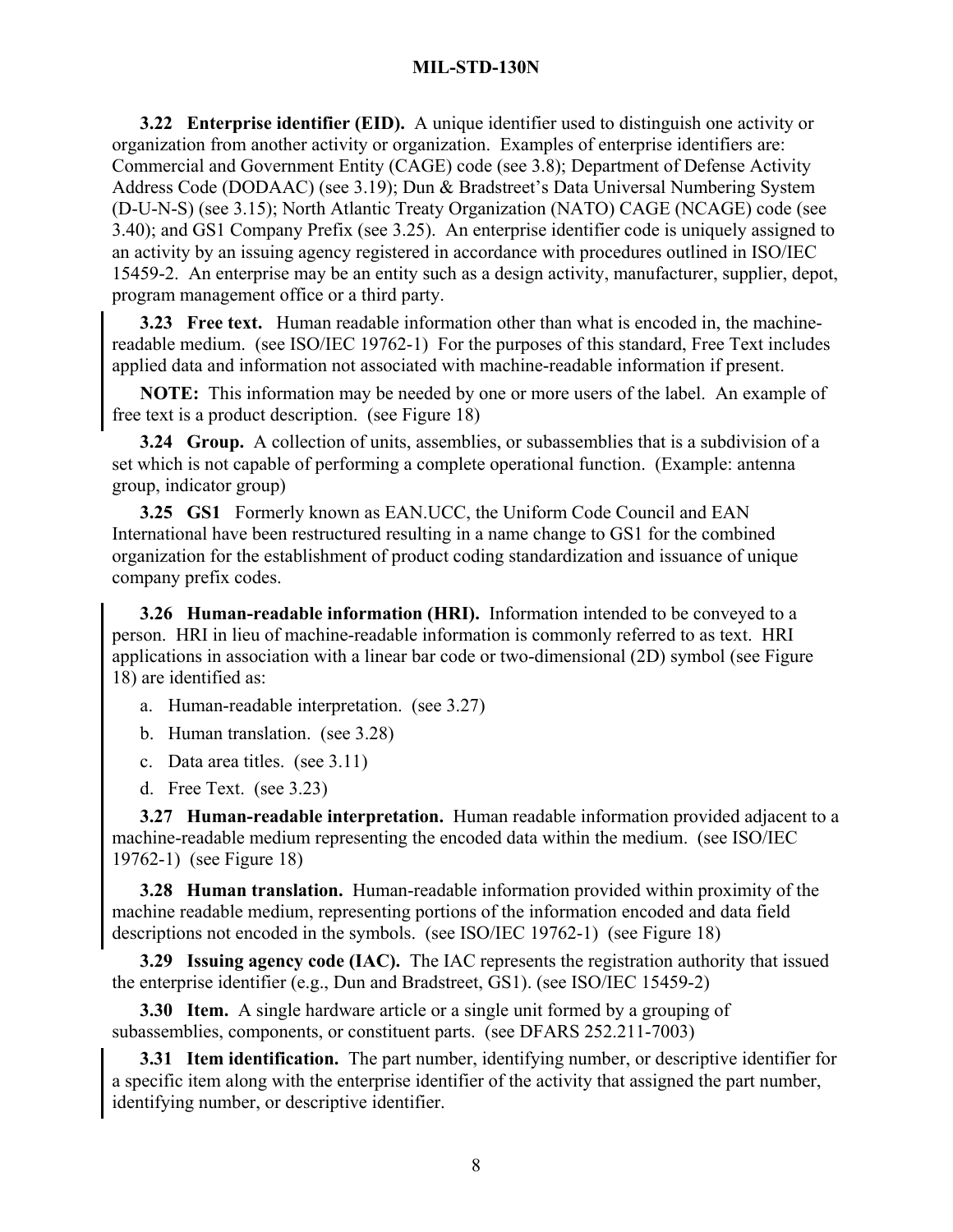**3.22 Enterprise identifier (EID).** A unique identifier used to distinguish one activity or organization from another activity or organization. Examples of enterprise identifiers are: Commercial and Government Entity (CAGE) code (see 3.8); Department of Defense Activity Address Code (DODAAC) (see 3.19); Dun & Bradstreet's Data Universal Numbering System (D-U-N-S) (see 3.15); North Atlantic Treaty Organization (NATO) CAGE (NCAGE) code (see 3.40); and GS1 Company Prefix (see 3.25). An enterprise identifier code is uniquely assigned to an activity by an issuing agency registered in accordance with procedures outlined in ISO/IEC 15459-2. An enterprise may be an entity such as a design activity, manufacturer, supplier, depot, program management office or a third party.

**3.23 Free text.** Human readable information other than what is encoded in, the machinereadable medium. (see ISO/IEC 19762-1) For the purposes of this standard, Free Text includes applied data and information not associated with machine-readable information if present.

**NOTE:** This information may be needed by one or more users of the label. An example of free text is a product description. (see Figure 18)

**3.24 Group.** A collection of units, assemblies, or subassemblies that is a subdivision of a set which is not capable of performing a complete operational function. (Example: antenna group, indicator group)

**3.25 GS1** Formerly known as EAN.UCC, the Uniform Code Council and EAN International have been restructured resulting in a name change to GS1 for the combined organization for the establishment of product coding standardization and issuance of unique company prefix codes.

**3.26 Human-readable information (HRI).** Information intended to be conveyed to a person. HRI in lieu of machine-readable information is commonly referred to as text. HRI applications in association with a linear bar code or two-dimensional (2D) symbol (see Figure 18) are identified as:

a. Human-readable interpretation. (see 3.27)

b. Human translation. (see 3.28)

c. Data area titles. (see 3.11)

d. Free Text. (see 3.23)

**3.27 Human-readable interpretation.** Human readable information provided adjacent to a machine-readable medium representing the encoded data within the medium. (see ISO/IEC 19762-1) (see Figure 18)

**3.28 Human translation.** Human-readable information provided within proximity of the machine readable medium, representing portions of the information encoded and data field descriptions not encoded in the symbols. (see ISO/IEC 19762-1) (see Figure 18)

**3.29 Issuing agency code (IAC).** The IAC represents the registration authority that issued the enterprise identifier (e.g., Dun and Bradstreet, GS1). (see ISO/IEC 15459-2)

**3.30 Item.** A single hardware article or a single unit formed by a grouping of subassemblies, components, or constituent parts. (see DFARS 252.211-7003)

**3.31 Item identification.** The part number, identifying number, or descriptive identifier for a specific item along with the enterprise identifier of the activity that assigned the part number, identifying number, or descriptive identifier.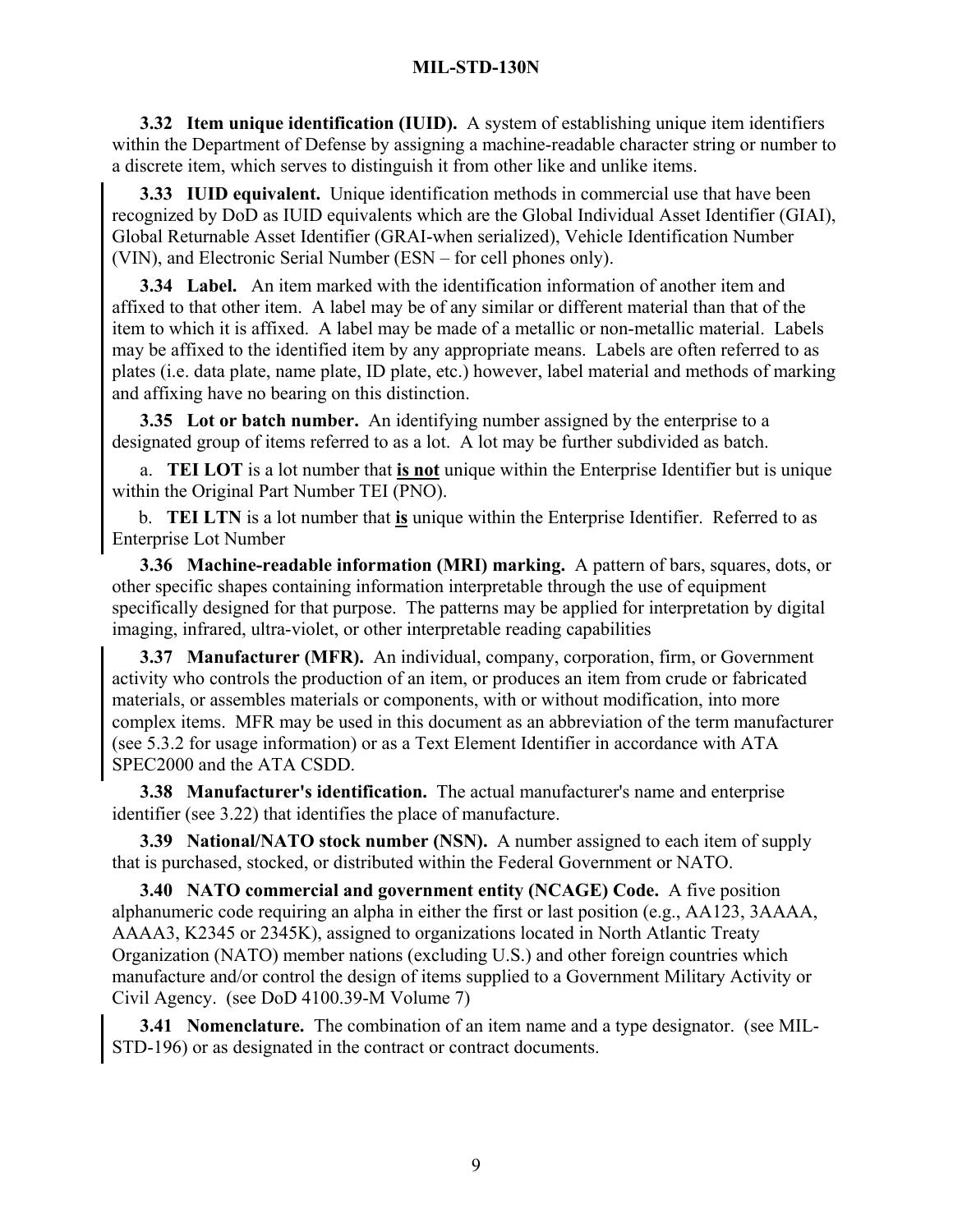**3.32 Item unique identification (IUID).** A system of establishing unique item identifiers within the Department of Defense by assigning a machine-readable character string or number to a discrete item, which serves to distinguish it from other like and unlike items.

**3.33 IUID equivalent.** Unique identification methods in commercial use that have been recognized by DoD as IUID equivalents which are the Global Individual Asset Identifier (GIAI), Global Returnable Asset Identifier (GRAI-when serialized), Vehicle Identification Number (VIN), and Electronic Serial Number (ESN – for cell phones only).

**3.34 Label.** An item marked with the identification information of another item and affixed to that other item. A label may be of any similar or different material than that of the item to which it is affixed. A label may be made of a metallic or non-metallic material. Labels may be affixed to the identified item by any appropriate means. Labels are often referred to as plates (i.e. data plate, name plate, ID plate, etc.) however, label material and methods of marking and affixing have no bearing on this distinction.

**3.35 Lot or batch number.** An identifying number assigned by the enterprise to a designated group of items referred to as a lot. A lot may be further subdivided as batch.

a. **TEI LOT** is a lot number that **is not** unique within the Enterprise Identifier but is unique within the Original Part Number TEI (PNO).

b. **TEI LTN** is a lot number that **is** unique within the Enterprise Identifier. Referred to as Enterprise Lot Number

**3.36 Machine-readable information (MRI) marking.** A pattern of bars, squares, dots, or other specific shapes containing information interpretable through the use of equipment specifically designed for that purpose. The patterns may be applied for interpretation by digital imaging, infrared, ultra-violet, or other interpretable reading capabilities

**3.37 Manufacturer (MFR).** An individual, company, corporation, firm, or Government activity who controls the production of an item, or produces an item from crude or fabricated materials, or assembles materials or components, with or without modification, into more complex items. MFR may be used in this document as an abbreviation of the term manufacturer (see 5.3.2 for usage information) or as a Text Element Identifier in accordance with ATA SPEC2000 and the ATA CSDD.

**3.38 Manufacturer's identification.** The actual manufacturer's name and enterprise identifier (see 3.22) that identifies the place of manufacture.

**3.39 National/NATO stock number (NSN).** A number assigned to each item of supply that is purchased, stocked, or distributed within the Federal Government or NATO.

**3.40 NATO commercial and government entity (NCAGE) Code.** A five position alphanumeric code requiring an alpha in either the first or last position (e.g., AA123, 3AAAA, AAAA3, K2345 or 2345K), assigned to organizations located in North Atlantic Treaty Organization (NATO) member nations (excluding U.S.) and other foreign countries which manufacture and/or control the design of items supplied to a Government Military Activity or Civil Agency. (see DoD 4100.39-M Volume 7)

**3.41 Nomenclature.** The combination of an item name and a type designator. (see MIL-STD-196) or as designated in the contract or contract documents.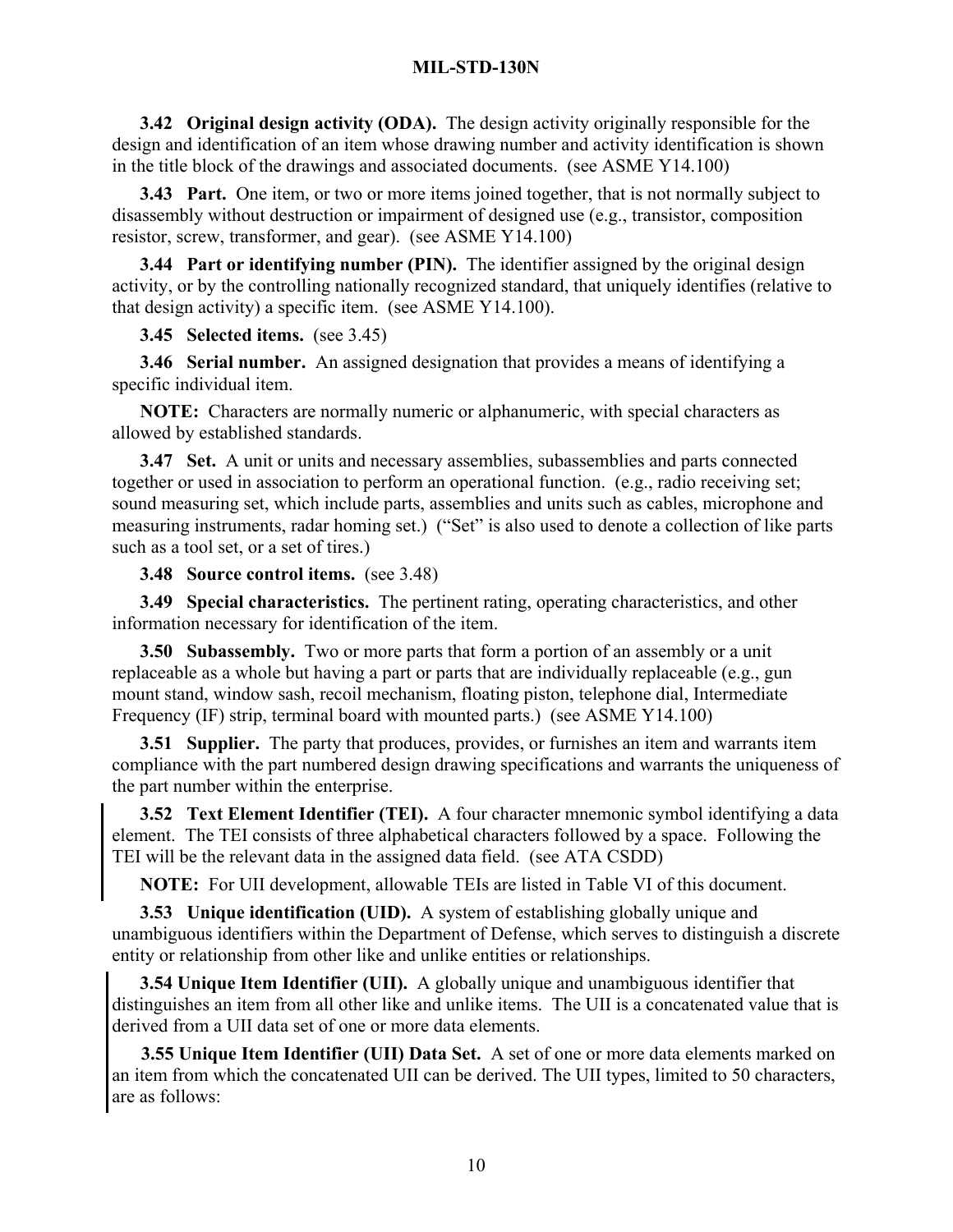**3.42 Original design activity (ODA).** The design activity originally responsible for the design and identification of an item whose drawing number and activity identification is shown in the title block of the drawings and associated documents. (see ASME Y14.100)

**3.43 Part.** One item, or two or more items joined together, that is not normally subject to disassembly without destruction or impairment of designed use (e.g., transistor, composition resistor, screw, transformer, and gear). (see ASME Y14.100)

**3.44 Part or identifying number (PIN).** The identifier assigned by the original design activity, or by the controlling nationally recognized standard, that uniquely identifies (relative to that design activity) a specific item. (see ASME Y14.100).

**3.45 Selected items.** (see 3.45)

**3.46 Serial number.** An assigned designation that provides a means of identifying a specific individual item.

**NOTE:** Characters are normally numeric or alphanumeric, with special characters as allowed by established standards.

**3.47** Set. A unit or units and necessary assemblies, subassemblies and parts connected together or used in association to perform an operational function. (e.g., radio receiving set; sound measuring set, which include parts, assemblies and units such as cables, microphone and measuring instruments, radar homing set.) ("Set" is also used to denote a collection of like parts such as a tool set, or a set of tires.)

**3.48 Source control items.** (see 3.48)

**3.49 Special characteristics.** The pertinent rating, operating characteristics, and other information necessary for identification of the item.

**3.50 Subassembly.** Two or more parts that form a portion of an assembly or a unit replaceable as a whole but having a part or parts that are individually replaceable (e.g., gun mount stand, window sash, recoil mechanism, floating piston, telephone dial, Intermediate Frequency (IF) strip, terminal board with mounted parts.) (see ASME Y14.100)

**3.51 Supplier.** The party that produces, provides, or furnishes an item and warrants item compliance with the part numbered design drawing specifications and warrants the uniqueness of the part number within the enterprise.

**3.52 Text Element Identifier (TEI).** A four character mnemonic symbol identifying a data element. The TEI consists of three alphabetical characters followed by a space. Following the TEI will be the relevant data in the assigned data field. (see ATA CSDD)

**NOTE:** For UII development, allowable TEIs are listed in Table VI of this document.

**3.53 Unique identification (UID).** A system of establishing globally unique and unambiguous identifiers within the Department of Defense, which serves to distinguish a discrete entity or relationship from other like and unlike entities or relationships.

**3.54 Unique Item Identifier (UII).** A globally unique and unambiguous identifier that distinguishes an item from all other like and unlike items. The UII is a concatenated value that is derived from a UII data set of one or more data elements.

**3.55 Unique Item Identifier (UII) Data Set.** A set of one or more data elements marked on an item from which the concatenated UII can be derived. The UII types, limited to 50 characters, are as follows: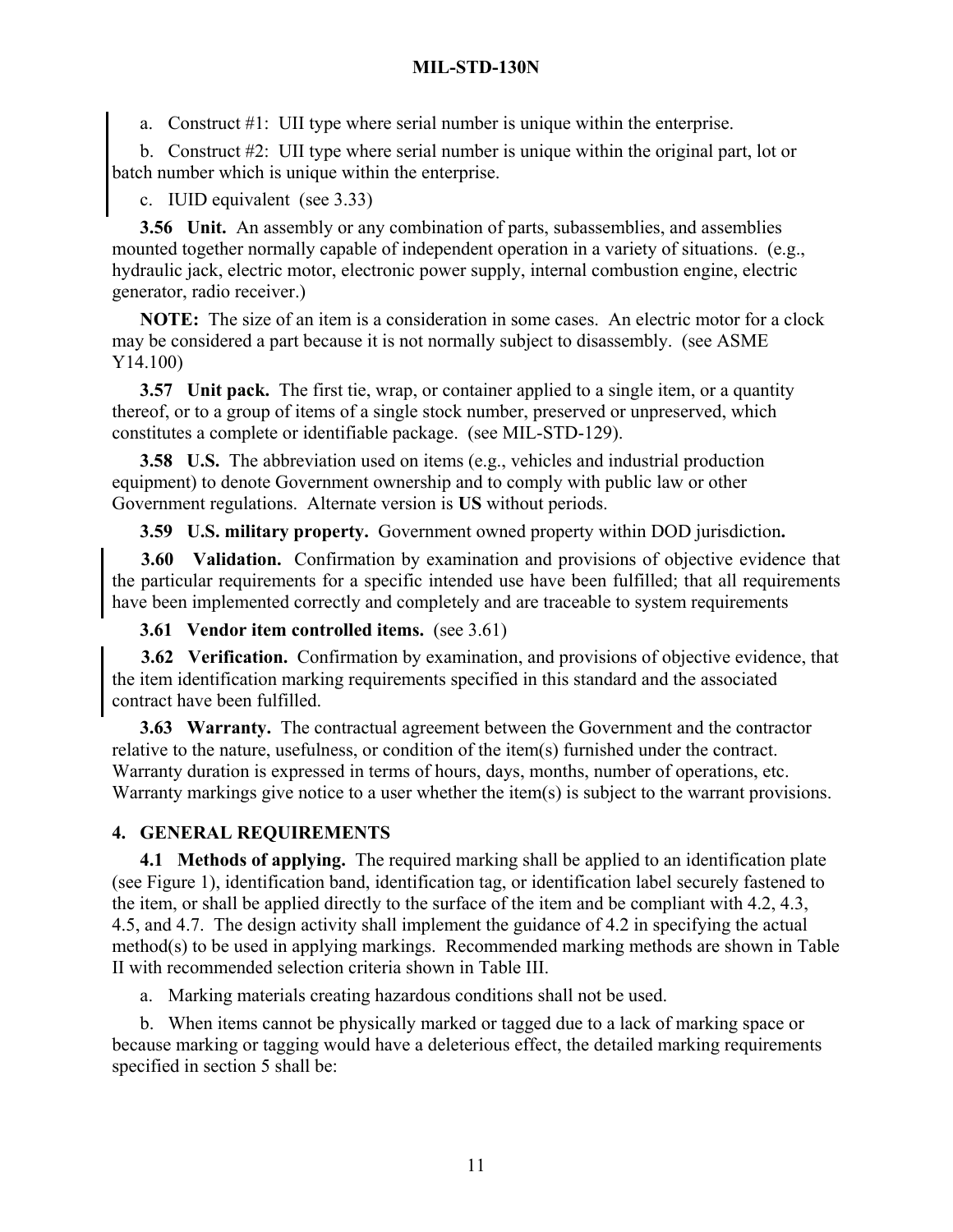a. Construct #1: UII type where serial number is unique within the enterprise.

b. Construct #2: UII type where serial number is unique within the original part, lot or batch number which is unique within the enterprise.

c. IUID equivalent (see 3.33)

**3.56 Unit.** An assembly or any combination of parts, subassemblies, and assemblies mounted together normally capable of independent operation in a variety of situations. (e.g., hydraulic jack, electric motor, electronic power supply, internal combustion engine, electric generator, radio receiver.)

**NOTE:** The size of an item is a consideration in some cases. An electric motor for a clock may be considered a part because it is not normally subject to disassembly. (see ASME Y14.100)

**3.57 Unit pack.** The first tie, wrap, or container applied to a single item, or a quantity thereof, or to a group of items of a single stock number, preserved or unpreserved, which constitutes a complete or identifiable package. (see MIL-STD-129).

**3.58 U.S.** The abbreviation used on items (e.g., vehicles and industrial production equipment) to denote Government ownership and to comply with public law or other Government regulations. Alternate version is **US** without periods.

**3.59 U.S. military property.** Government owned property within DOD jurisdiction**.** 

**3.60 Validation.** Confirmation by examination and provisions of objective evidence that the particular requirements for a specific intended use have been fulfilled; that all requirements have been implemented correctly and completely and are traceable to system requirements

**3.61 Vendor item controlled items.** (see 3.61)

**3.62 Verification.** Confirmation by examination, and provisions of objective evidence, that the item identification marking requirements specified in this standard and the associated contract have been fulfilled.

**3.63 Warranty.** The contractual agreement between the Government and the contractor relative to the nature, usefulness, or condition of the item(s) furnished under the contract. Warranty duration is expressed in terms of hours, days, months, number of operations, etc. Warranty markings give notice to a user whether the item(s) is subject to the warrant provisions.

#### **4. GENERAL REQUIREMENTS**

**4.1 Methods of applying.** The required marking shall be applied to an identification plate (see Figure 1), identification band, identification tag, or identification label securely fastened to the item, or shall be applied directly to the surface of the item and be compliant with 4.2, 4.3, 4.5, and 4.7. The design activity shall implement the guidance of 4.2 in specifying the actual method(s) to be used in applying markings. Recommended marking methods are shown in Table II with recommended selection criteria shown in Table III.

a. Marking materials creating hazardous conditions shall not be used.

b. When items cannot be physically marked or tagged due to a lack of marking space or because marking or tagging would have a deleterious effect, the detailed marking requirements specified in section 5 shall be: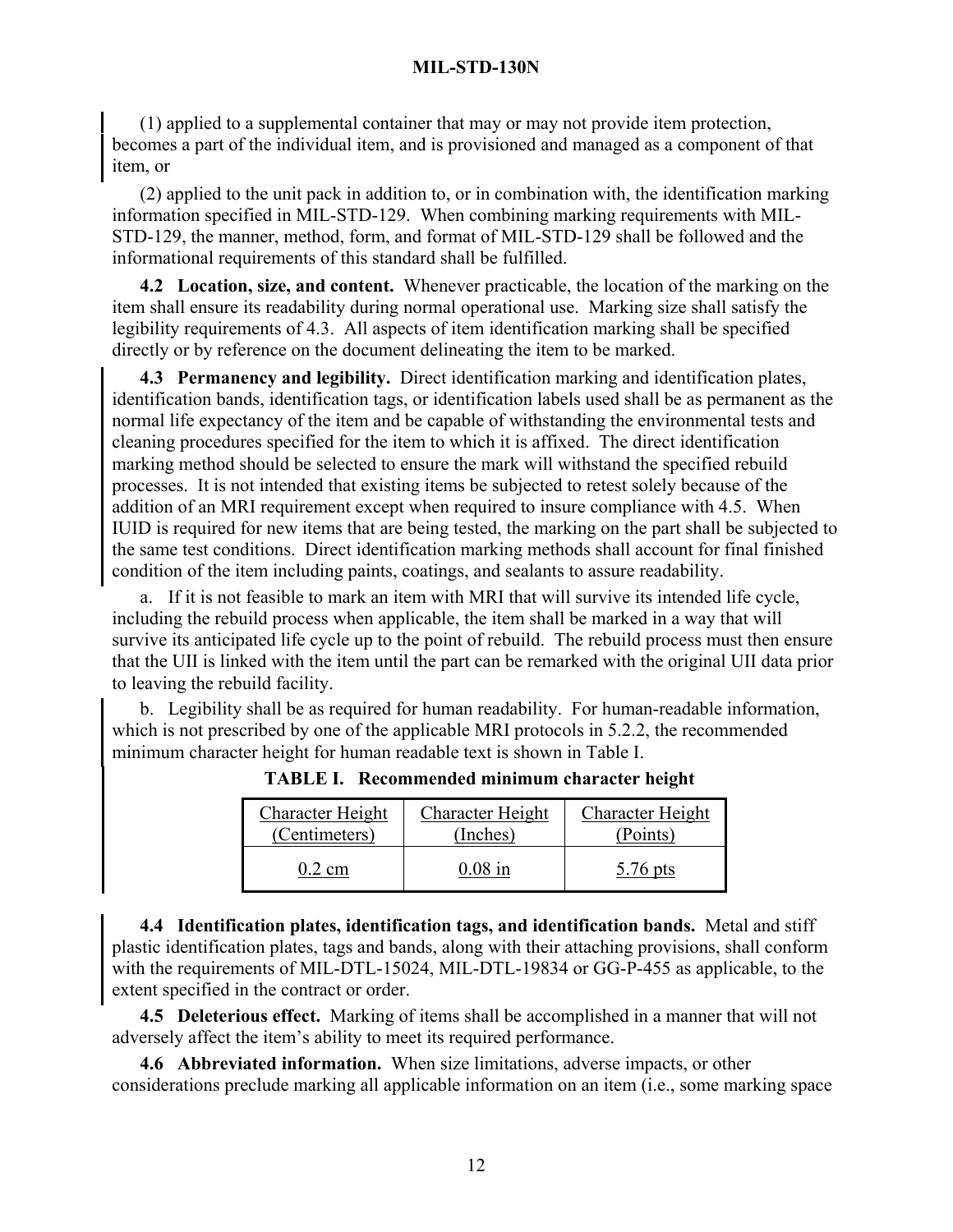(1) applied to a supplemental container that may or may not provide item protection, becomes a part of the individual item, and is provisioned and managed as a component of that item, or

(2) applied to the unit pack in addition to, or in combination with, the identification marking information specified in MIL-STD-129. When combining marking requirements with MIL-STD-129, the manner, method, form, and format of MIL-STD-129 shall be followed and the informational requirements of this standard shall be fulfilled.

**4.2 Location, size, and content.** Whenever practicable, the location of the marking on the item shall ensure its readability during normal operational use. Marking size shall satisfy the legibility requirements of 4.3. All aspects of item identification marking shall be specified directly or by reference on the document delineating the item to be marked.

**4.3 Permanency and legibility.** Direct identification marking and identification plates, identification bands, identification tags, or identification labels used shall be as permanent as the normal life expectancy of the item and be capable of withstanding the environmental tests and cleaning procedures specified for the item to which it is affixed. The direct identification marking method should be selected to ensure the mark will withstand the specified rebuild processes. It is not intended that existing items be subjected to retest solely because of the addition of an MRI requirement except when required to insure compliance with 4.5. When IUID is required for new items that are being tested, the marking on the part shall be subjected to the same test conditions. Direct identification marking methods shall account for final finished condition of the item including paints, coatings, and sealants to assure readability.

a. If it is not feasible to mark an item with MRI that will survive its intended life cycle, including the rebuild process when applicable, the item shall be marked in a way that will survive its anticipated life cycle up to the point of rebuild. The rebuild process must then ensure that the UII is linked with the item until the part can be remarked with the original UII data prior to leaving the rebuild facility.

b. Legibility shall be as required for human readability. For human-readable information, which is not prescribed by one of the applicable MRI protocols in 5.2.2, the recommended minimum character height for human readable text is shown in Table I.

| Character Height | <b>Character Height</b> | <b>Character Height</b> |
|------------------|-------------------------|-------------------------|
| (Centimeters)    | (Inches)                | (Points)                |
| 0 2 cm           | 0 08 in.                | 5.76 pts                |

**TABLE I. Recommended minimum character height** 

**4.4 Identification plates, identification tags, and identification bands.** Metal and stiff plastic identification plates, tags and bands, along with their attaching provisions, shall conform with the requirements of MIL-DTL-15024, MIL-DTL-19834 or GG-P-455 as applicable, to the extent specified in the contract or order.

**4.5 Deleterious effect.** Marking of items shall be accomplished in a manner that will not adversely affect the item's ability to meet its required performance.

**4.6 Abbreviated information.** When size limitations, adverse impacts, or other considerations preclude marking all applicable information on an item (i.e., some marking space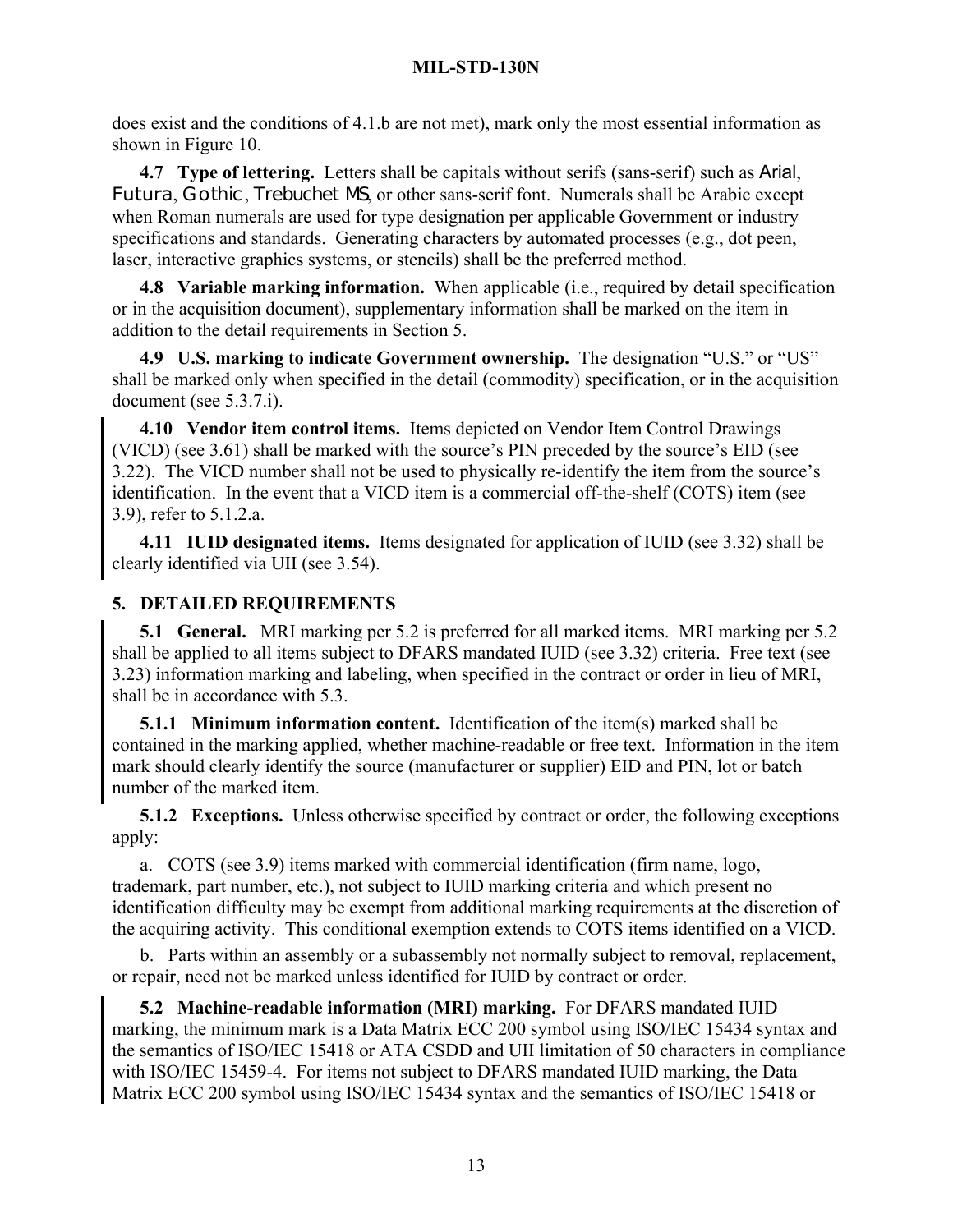does exist and the conditions of 4.1.b are not met), mark only the most essential information as shown in Figure 10.

**4.7 Type of lettering.** Letters shall be capitals without serifs (sans-serif) such as Arial, Futura, Gothic, Trebuchet MS, or other sans-serif font. Numerals shall be Arabic except when Roman numerals are used for type designation per applicable Government or industry specifications and standards. Generating characters by automated processes (e.g., dot peen, laser, interactive graphics systems, or stencils) shall be the preferred method.

**4.8 Variable marking information.** When applicable (i.e., required by detail specification or in the acquisition document), supplementary information shall be marked on the item in addition to the detail requirements in Section 5.

**4.9 U.S. marking to indicate Government ownership.** The designation "U.S." or "US" shall be marked only when specified in the detail (commodity) specification, or in the acquisition document (see 5.3.7.i).

**4.10 Vendor item control items.** Items depicted on Vendor Item Control Drawings (VICD) (see 3.61) shall be marked with the source's PIN preceded by the source's EID (see 3.22). The VICD number shall not be used to physically re-identify the item from the source's identification. In the event that a VICD item is a commercial off-the-shelf (COTS) item (see 3.9), refer to 5.1.2.a.

**4.11 IUID designated items.** Items designated for application of IUID (see 3.32) shall be clearly identified via UII (see 3.54).

## **5. DETAILED REQUIREMENTS**

**5.1 General.** MRI marking per 5.2 is preferred for all marked items. MRI marking per 5.2 shall be applied to all items subject to DFARS mandated IUID (see 3.32) criteria. Free text (see 3.23) information marking and labeling, when specified in the contract or order in lieu of MRI, shall be in accordance with 5.3.

**5.1.1 Minimum information content.** Identification of the item(s) marked shall be contained in the marking applied, whether machine-readable or free text. Information in the item mark should clearly identify the source (manufacturer or supplier) EID and PIN, lot or batch number of the marked item.

**5.1.2 Exceptions.** Unless otherwise specified by contract or order, the following exceptions apply:

a. COTS (see 3.9) items marked with commercial identification (firm name, logo, trademark, part number, etc.), not subject to IUID marking criteria and which present no identification difficulty may be exempt from additional marking requirements at the discretion of the acquiring activity. This conditional exemption extends to COTS items identified on a VICD.

b. Parts within an assembly or a subassembly not normally subject to removal, replacement, or repair, need not be marked unless identified for IUID by contract or order.

**5.2 Machine-readable information (MRI) marking.** For DFARS mandated IUID marking, the minimum mark is a Data Matrix ECC 200 symbol using ISO/IEC 15434 syntax and the semantics of ISO/IEC 15418 or ATA CSDD and UII limitation of 50 characters in compliance with ISO/IEC 15459-4. For items not subject to DFARS mandated IUID marking, the Data Matrix ECC 200 symbol using ISO/IEC 15434 syntax and the semantics of ISO/IEC 15418 or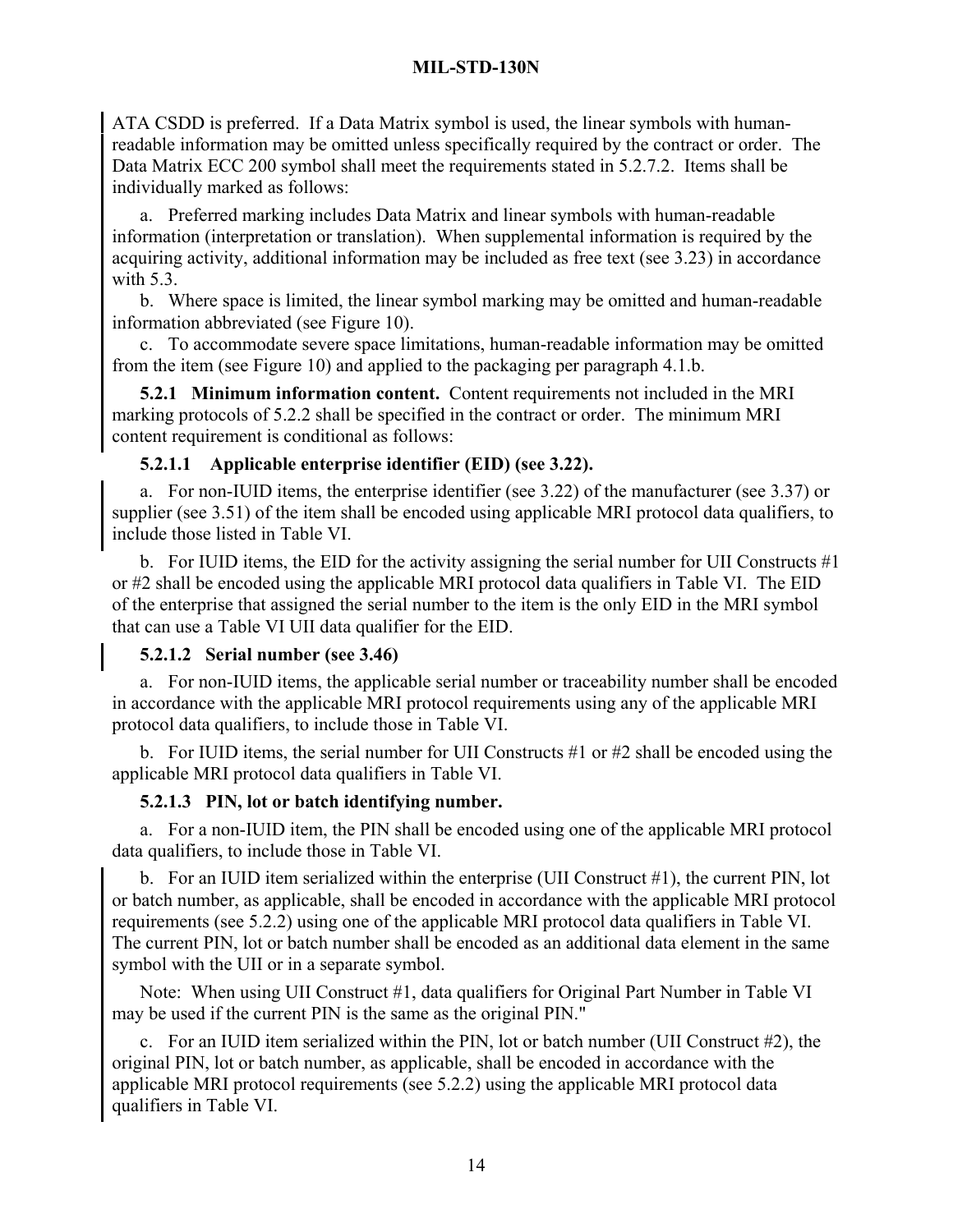ATA CSDD is preferred. If a Data Matrix symbol is used, the linear symbols with humanreadable information may be omitted unless specifically required by the contract or order. The Data Matrix ECC 200 symbol shall meet the requirements stated in 5.2.7.2. Items shall be individually marked as follows:

a. Preferred marking includes Data Matrix and linear symbols with human-readable information (interpretation or translation). When supplemental information is required by the acquiring activity, additional information may be included as free text (see 3.23) in accordance with 5.3.

b. Where space is limited, the linear symbol marking may be omitted and human-readable information abbreviated (see Figure 10).

c. To accommodate severe space limitations, human-readable information may be omitted from the item (see Figure 10) and applied to the packaging per paragraph 4.1.b.

**5.2.1 Minimum information content.** Content requirements not included in the MRI marking protocols of 5.2.2 shall be specified in the contract or order. The minimum MRI content requirement is conditional as follows:

## **5.2.1.1 Applicable enterprise identifier (EID) (see 3.22).**

a. For non-IUID items, the enterprise identifier (see 3.22) of the manufacturer (see 3.37) or supplier (see 3.51) of the item shall be encoded using applicable MRI protocol data qualifiers, to include those listed in Table VI.

b. For IUID items, the EID for the activity assigning the serial number for UII Constructs  $\#1$ or #2 shall be encoded using the applicable MRI protocol data qualifiers in Table VI. The EID of the enterprise that assigned the serial number to the item is the only EID in the MRI symbol that can use a Table VI UII data qualifier for the EID.

## **5.2.1.2 Serial number (see 3.46)**

a. For non-IUID items, the applicable serial number or traceability number shall be encoded in accordance with the applicable MRI protocol requirements using any of the applicable MRI protocol data qualifiers, to include those in Table VI.

b. For IUID items, the serial number for UII Constructs #1 or #2 shall be encoded using the applicable MRI protocol data qualifiers in Table VI.

## **5.2.1.3 PIN, lot or batch identifying number.**

a. For a non-IUID item, the PIN shall be encoded using one of the applicable MRI protocol data qualifiers, to include those in Table VI.

b. For an IUID item serialized within the enterprise (UII Construct  $\#1$ ), the current PIN, lot or batch number, as applicable, shall be encoded in accordance with the applicable MRI protocol requirements (see 5.2.2) using one of the applicable MRI protocol data qualifiers in Table VI. The current PIN, lot or batch number shall be encoded as an additional data element in the same symbol with the UII or in a separate symbol.

Note: When using UII Construct #1, data qualifiers for Original Part Number in Table VI may be used if the current PIN is the same as the original PIN."

c. For an IUID item serialized within the PIN, lot or batch number (UII Construct #2), the original PIN, lot or batch number, as applicable, shall be encoded in accordance with the applicable MRI protocol requirements (see 5.2.2) using the applicable MRI protocol data qualifiers in Table VI.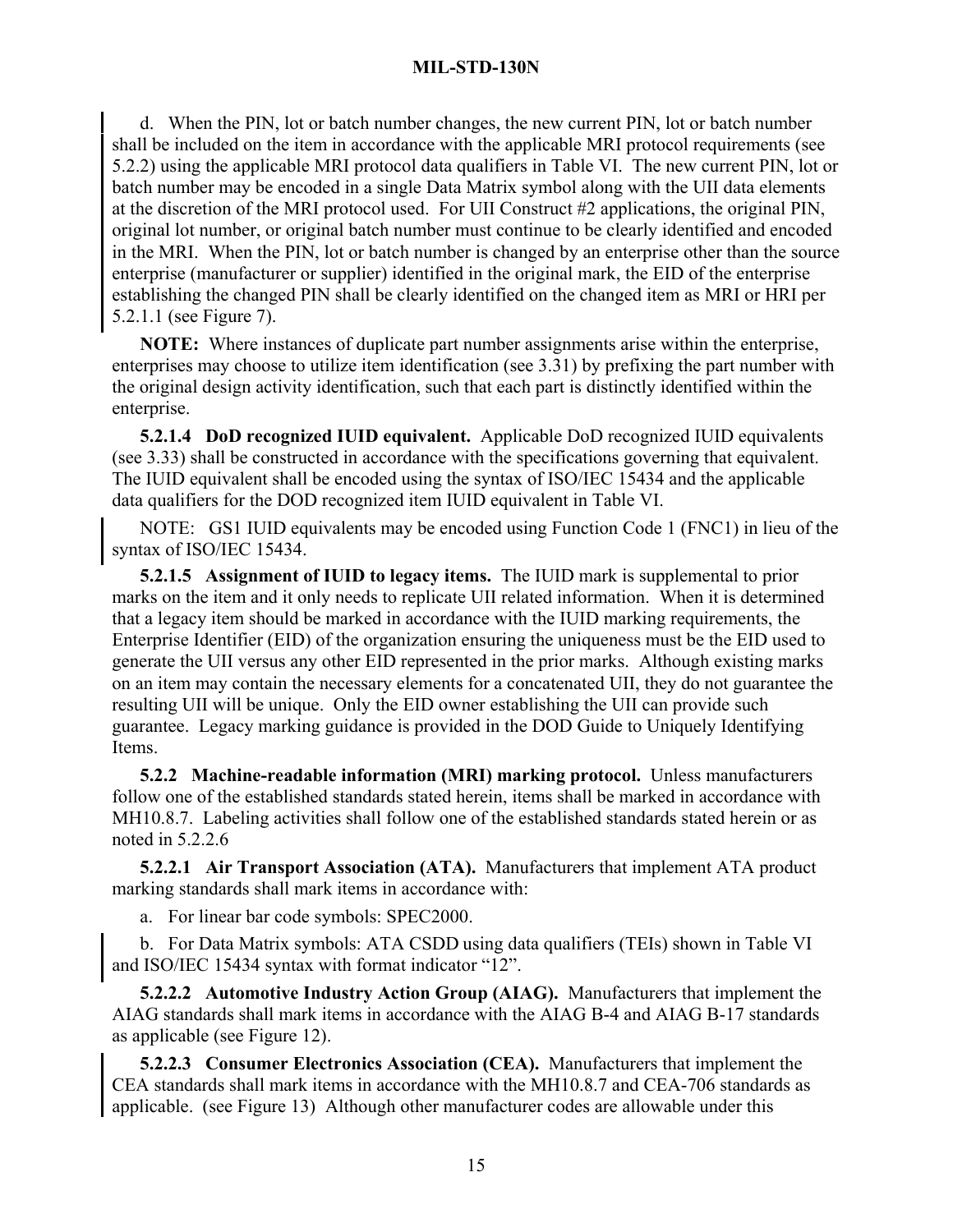d. When the PIN, lot or batch number changes, the new current PIN, lot or batch number shall be included on the item in accordance with the applicable MRI protocol requirements (see 5.2.2) using the applicable MRI protocol data qualifiers in Table VI. The new current PIN, lot or batch number may be encoded in a single Data Matrix symbol along with the UII data elements at the discretion of the MRI protocol used. For UII Construct #2 applications, the original PIN, original lot number, or original batch number must continue to be clearly identified and encoded in the MRI. When the PIN, lot or batch number is changed by an enterprise other than the source enterprise (manufacturer or supplier) identified in the original mark, the EID of the enterprise establishing the changed PIN shall be clearly identified on the changed item as MRI or HRI per 5.2.1.1 (see Figure 7).

**NOTE:** Where instances of duplicate part number assignments arise within the enterprise, enterprises may choose to utilize item identification (see 3.31) by prefixing the part number with the original design activity identification, such that each part is distinctly identified within the enterprise.

**5.2.1.4 DoD recognized IUID equivalent.** Applicable DoD recognized IUID equivalents (see 3.33) shall be constructed in accordance with the specifications governing that equivalent. The IUID equivalent shall be encoded using the syntax of ISO/IEC 15434 and the applicable data qualifiers for the DOD recognized item IUID equivalent in Table VI.

NOTE: GS1 IUID equivalents may be encoded using Function Code 1 (FNC1) in lieu of the syntax of ISO/IEC 15434.

**5.2.1.5 Assignment of IUID to legacy items.** The IUID mark is supplemental to prior marks on the item and it only needs to replicate UII related information. When it is determined that a legacy item should be marked in accordance with the IUID marking requirements, the Enterprise Identifier (EID) of the organization ensuring the uniqueness must be the EID used to generate the UII versus any other EID represented in the prior marks. Although existing marks on an item may contain the necessary elements for a concatenated UII, they do not guarantee the resulting UII will be unique. Only the EID owner establishing the UII can provide such guarantee. Legacy marking guidance is provided in the DOD Guide to Uniquely Identifying **Items** 

**5.2.2 Machine-readable information (MRI) marking protocol.** Unless manufacturers follow one of the established standards stated herein, items shall be marked in accordance with MH10.8.7. Labeling activities shall follow one of the established standards stated herein or as noted in 5.2.2.6

**5.2.2.1 Air Transport Association (ATA).** Manufacturers that implement ATA product marking standards shall mark items in accordance with:

a. For linear bar code symbols: SPEC2000.

b. For Data Matrix symbols: ATA CSDD using data qualifiers (TEIs) shown in Table VI and ISO/IEC 15434 syntax with format indicator "12".

**5.2.2.2 Automotive Industry Action Group (AIAG).** Manufacturers that implement the AIAG standards shall mark items in accordance with the AIAG B-4 and AIAG B-17 standards as applicable (see Figure 12).

**5.2.2.3 Consumer Electronics Association (CEA).** Manufacturers that implement the CEA standards shall mark items in accordance with the MH10.8.7 and CEA-706 standards as applicable. (see Figure 13) Although other manufacturer codes are allowable under this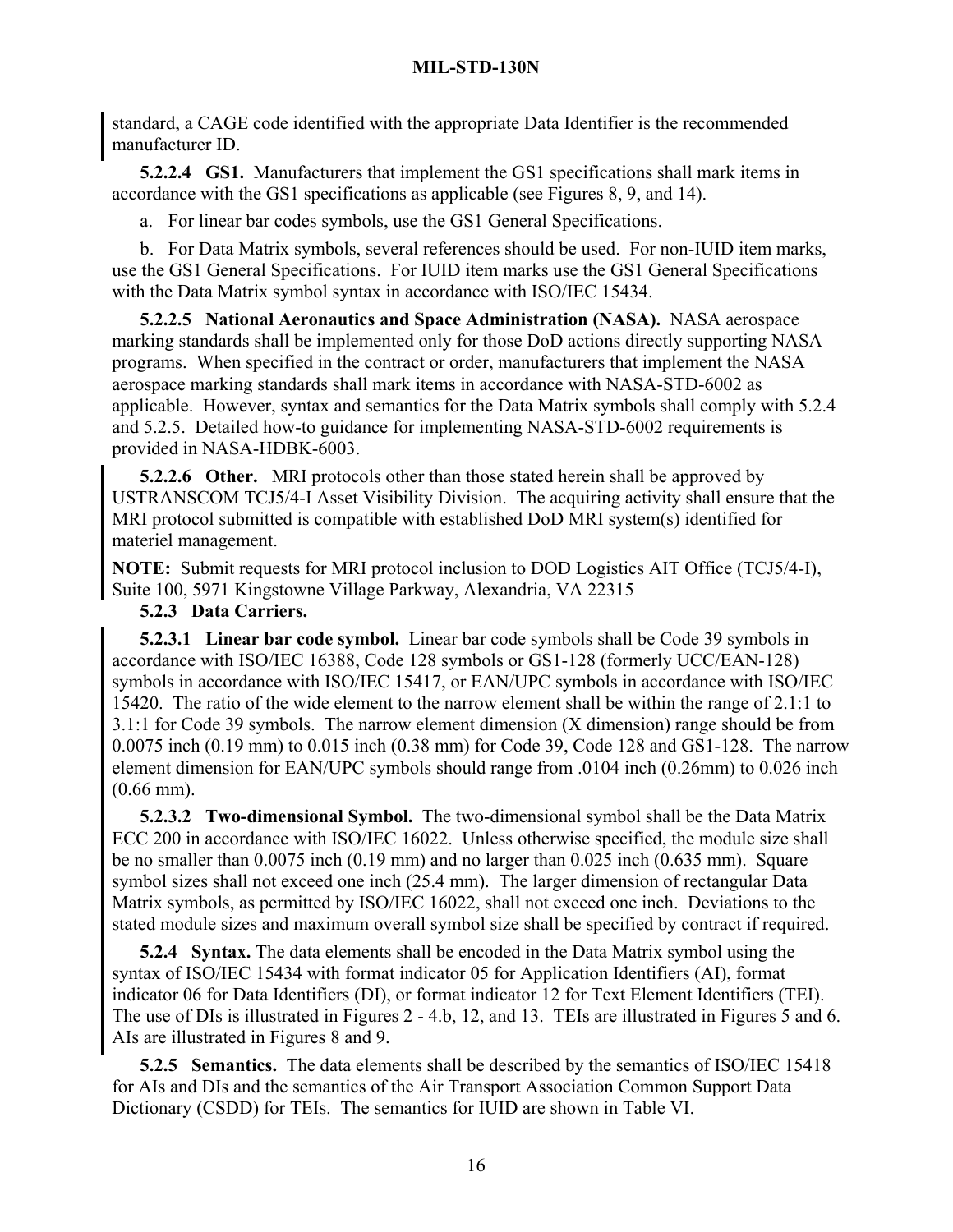standard, a CAGE code identified with the appropriate Data Identifier is the recommended manufacturer ID.

**5.2.2.4 GS1.** Manufacturers that implement the GS1 specifications shall mark items in accordance with the GS1 specifications as applicable (see Figures 8, 9, and 14).

a. For linear bar codes symbols, use the GS1 General Specifications.

b. For Data Matrix symbols, several references should be used. For non-IUID item marks, use the GS1 General Specifications. For IUID item marks use the GS1 General Specifications with the Data Matrix symbol syntax in accordance with ISO/IEC 15434.

**5.2.2.5 National Aeronautics and Space Administration (NASA).** NASA aerospace marking standards shall be implemented only for those DoD actions directly supporting NASA programs. When specified in the contract or order, manufacturers that implement the NASA aerospace marking standards shall mark items in accordance with NASA-STD-6002 as applicable. However, syntax and semantics for the Data Matrix symbols shall comply with 5.2.4 and 5.2.5. Detailed how-to guidance for implementing NASA-STD-6002 requirements is provided in NASA-HDBK-6003.

**5.2.2.6 Other.** MRI protocols other than those stated herein shall be approved by USTRANSCOM TCJ5/4-I Asset Visibility Division. The acquiring activity shall ensure that the MRI protocol submitted is compatible with established DoD MRI system(s) identified for materiel management.

**NOTE:** Submit requests for MRI protocol inclusion to DOD Logistics AIT Office (TCJ5/4-I), Suite 100, 5971 Kingstowne Village Parkway, Alexandria, VA 22315

**5.2.3 Data Carriers.** 

**5.2.3.1 Linear bar code symbol.** Linear bar code symbols shall be Code 39 symbols in accordance with ISO/IEC 16388, Code 128 symbols or GS1-128 (formerly UCC/EAN-128) symbols in accordance with ISO/IEC 15417, or EAN/UPC symbols in accordance with ISO/IEC 15420. The ratio of the wide element to the narrow element shall be within the range of 2.1:1 to 3.1:1 for Code 39 symbols. The narrow element dimension (X dimension) range should be from 0.0075 inch (0.19 mm) to 0.015 inch (0.38 mm) for Code 39, Code 128 and GS1-128. The narrow element dimension for EAN/UPC symbols should range from .0104 inch (0.26mm) to 0.026 inch (0.66 mm).

**5.2.3.2 Two-dimensional Symbol.** The two-dimensional symbol shall be the Data Matrix ECC 200 in accordance with ISO/IEC 16022. Unless otherwise specified, the module size shall be no smaller than 0.0075 inch (0.19 mm) and no larger than 0.025 inch (0.635 mm). Square symbol sizes shall not exceed one inch (25.4 mm). The larger dimension of rectangular Data Matrix symbols, as permitted by ISO/IEC 16022, shall not exceed one inch. Deviations to the stated module sizes and maximum overall symbol size shall be specified by contract if required.

**5.2.4 Syntax.** The data elements shall be encoded in the Data Matrix symbol using the syntax of ISO/IEC 15434 with format indicator 05 for Application Identifiers (AI), format indicator 06 for Data Identifiers (DI), or format indicator 12 for Text Element Identifiers (TEI). The use of DIs is illustrated in Figures 2 - 4.b, 12, and 13. TEIs are illustrated in Figures 5 and 6. AIs are illustrated in Figures 8 and 9.

**5.2.5 Semantics.** The data elements shall be described by the semantics of ISO/IEC 15418 for AIs and DIs and the semantics of the Air Transport Association Common Support Data Dictionary (CSDD) for TEIs. The semantics for IUID are shown in Table VI.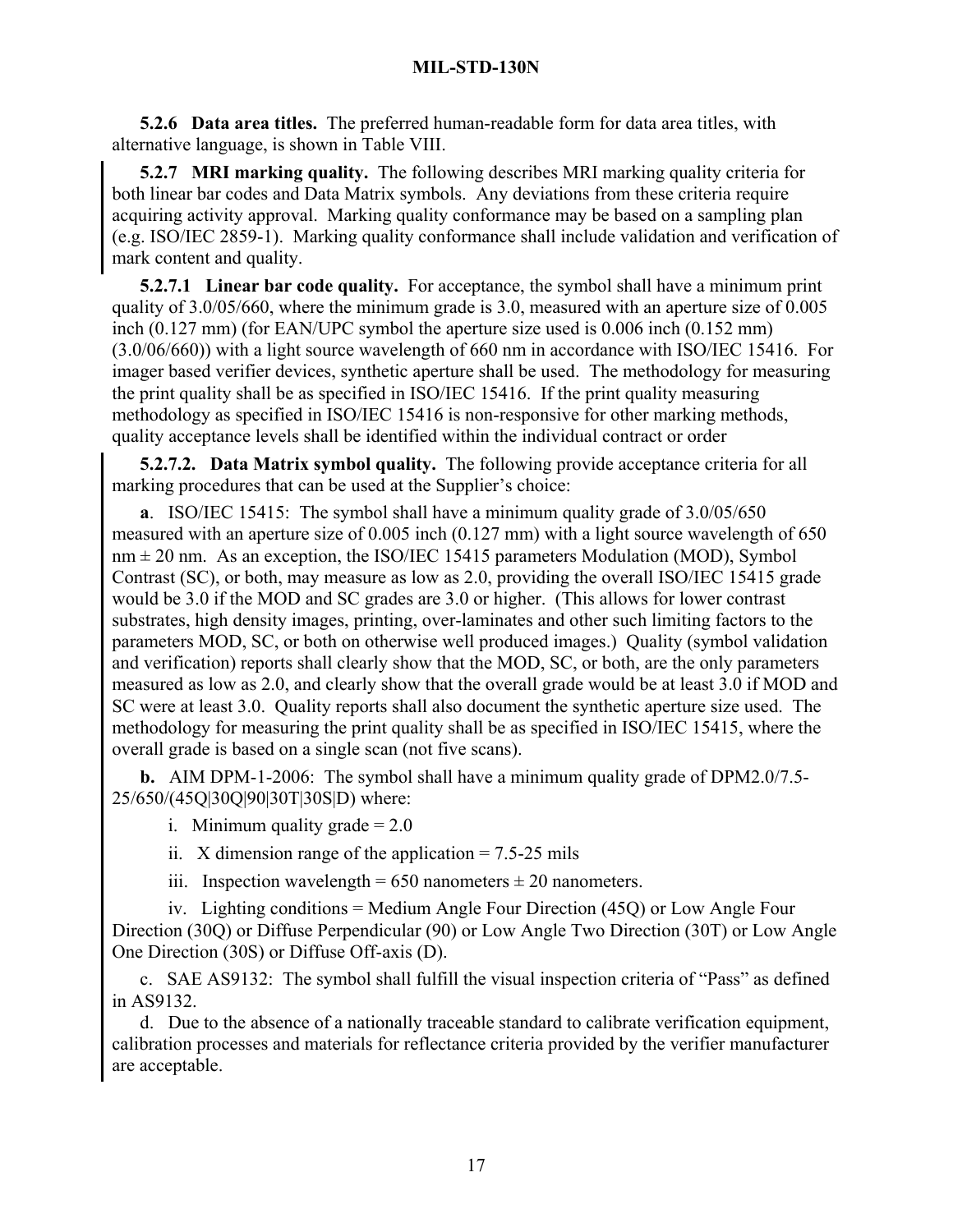**5.2.6 Data area titles.** The preferred human-readable form for data area titles, with alternative language, is shown in Table VIII.

**5.2.7 MRI marking quality.** The following describes MRI marking quality criteria for both linear bar codes and Data Matrix symbols. Any deviations from these criteria require acquiring activity approval. Marking quality conformance may be based on a sampling plan (e.g. ISO/IEC 2859-1). Marking quality conformance shall include validation and verification of mark content and quality.

**5.2.7.1 Linear bar code quality.** For acceptance, the symbol shall have a minimum print quality of 3.0/05/660, where the minimum grade is 3.0, measured with an aperture size of 0.005 inch (0.127 mm) (for EAN/UPC symbol the aperture size used is 0.006 inch (0.152 mm) (3.0/06/660)) with a light source wavelength of 660 nm in accordance with ISO/IEC 15416. For imager based verifier devices, synthetic aperture shall be used. The methodology for measuring the print quality shall be as specified in ISO/IEC 15416. If the print quality measuring methodology as specified in ISO/IEC 15416 is non-responsive for other marking methods, quality acceptance levels shall be identified within the individual contract or order

**5.2.7.2. Data Matrix symbol quality.** The following provide acceptance criteria for all marking procedures that can be used at the Supplier's choice:

**a**. ISO/IEC 15415: The symbol shall have a minimum quality grade of 3.0/05/650 measured with an aperture size of 0.005 inch (0.127 mm) with a light source wavelength of 650  $nm \pm 20$  nm. As an exception, the ISO/IEC 15415 parameters Modulation (MOD), Symbol Contrast (SC), or both, may measure as low as 2.0, providing the overall ISO/IEC 15415 grade would be 3.0 if the MOD and SC grades are 3.0 or higher. (This allows for lower contrast substrates, high density images, printing, over-laminates and other such limiting factors to the parameters MOD, SC, or both on otherwise well produced images.) Quality (symbol validation and verification) reports shall clearly show that the MOD, SC, or both, are the only parameters measured as low as 2.0, and clearly show that the overall grade would be at least 3.0 if MOD and SC were at least 3.0. Quality reports shall also document the synthetic aperture size used. The methodology for measuring the print quality shall be as specified in ISO/IEC 15415, where the overall grade is based on a single scan (not five scans).

**b.** AIM DPM-1-2006: The symbol shall have a minimum quality grade of DPM2.0/7.5- 25/650/(45Q|30Q|90|30T|30S|D) where:

i. Minimum quality grade  $= 2.0$ 

ii. X dimension range of the application  $= 7.5-25$  mils

iii. Inspection wavelength =  $650$  nanometers  $\pm 20$  nanometers.

iv. Lighting conditions = Medium Angle Four Direction (45Q) or Low Angle Four Direction (30Q) or Diffuse Perpendicular (90) or Low Angle Two Direction (30T) or Low Angle One Direction (30S) or Diffuse Off-axis (D).

c. SAE AS9132: The symbol shall fulfill the visual inspection criteria of "Pass" as defined in AS9132.

d. Due to the absence of a nationally traceable standard to calibrate verification equipment, calibration processes and materials for reflectance criteria provided by the verifier manufacturer are acceptable.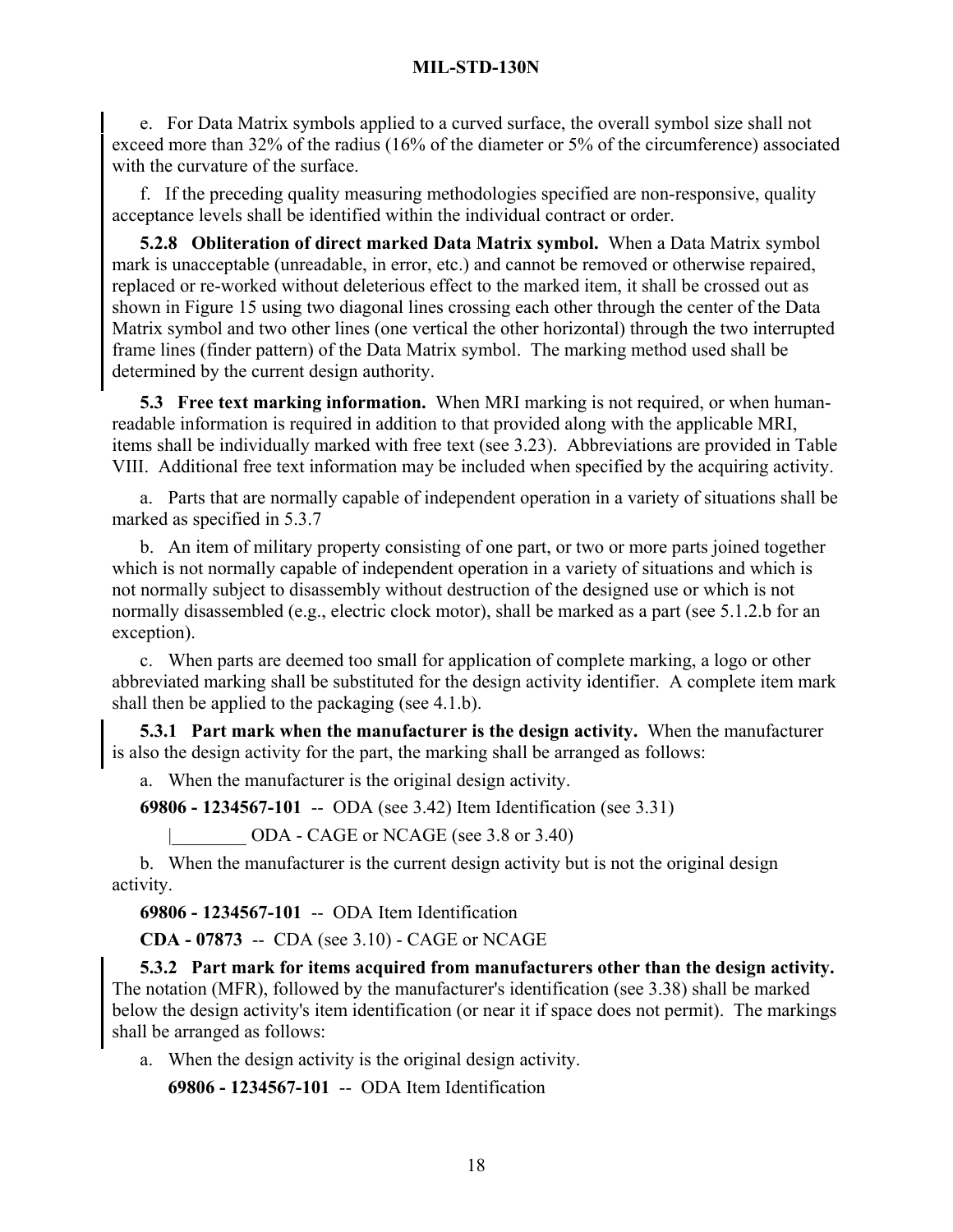e. For Data Matrix symbols applied to a curved surface, the overall symbol size shall not exceed more than 32% of the radius (16% of the diameter or 5% of the circumference) associated with the curvature of the surface.

f. If the preceding quality measuring methodologies specified are non-responsive, quality acceptance levels shall be identified within the individual contract or order.

**5.2.8 Obliteration of direct marked Data Matrix symbol.** When a Data Matrix symbol mark is unacceptable (unreadable, in error, etc.) and cannot be removed or otherwise repaired, replaced or re-worked without deleterious effect to the marked item, it shall be crossed out as shown in Figure 15 using two diagonal lines crossing each other through the center of the Data Matrix symbol and two other lines (one vertical the other horizontal) through the two interrupted frame lines (finder pattern) of the Data Matrix symbol. The marking method used shall be determined by the current design authority.

**5.3 Free text marking information.** When MRI marking is not required, or when humanreadable information is required in addition to that provided along with the applicable MRI, items shall be individually marked with free text (see 3.23). Abbreviations are provided in Table VIII. Additional free text information may be included when specified by the acquiring activity.

a. Parts that are normally capable of independent operation in a variety of situations shall be marked as specified in 5.3.7

b. An item of military property consisting of one part, or two or more parts joined together which is not normally capable of independent operation in a variety of situations and which is not normally subject to disassembly without destruction of the designed use or which is not normally disassembled (e.g., electric clock motor), shall be marked as a part (see 5.1.2.b for an exception).

c. When parts are deemed too small for application of complete marking, a logo or other abbreviated marking shall be substituted for the design activity identifier. A complete item mark shall then be applied to the packaging (see 4.1.b).

**5.3.1 Part mark when the manufacturer is the design activity.** When the manufacturer is also the design activity for the part, the marking shall be arranged as follows:

a. When the manufacturer is the original design activity.

**69806 - 1234567-101** -- ODA (see 3.42) Item Identification (see 3.31)

| ODA - CAGE or NCAGE (see 3.8 or 3.40)

b. When the manufacturer is the current design activity but is not the original design activity.

**69806 - 1234567-101** -- ODA Item Identification

**CDA - 07873** -- CDA (see 3.10) - CAGE or NCAGE

**5.3.2 Part mark for items acquired from manufacturers other than the design activity.** The notation (MFR), followed by the manufacturer's identification (see 3.38) shall be marked below the design activity's item identification (or near it if space does not permit). The markings shall be arranged as follows:

a. When the design activity is the original design activity.

**69806 - 1234567-101** -- ODA Item Identification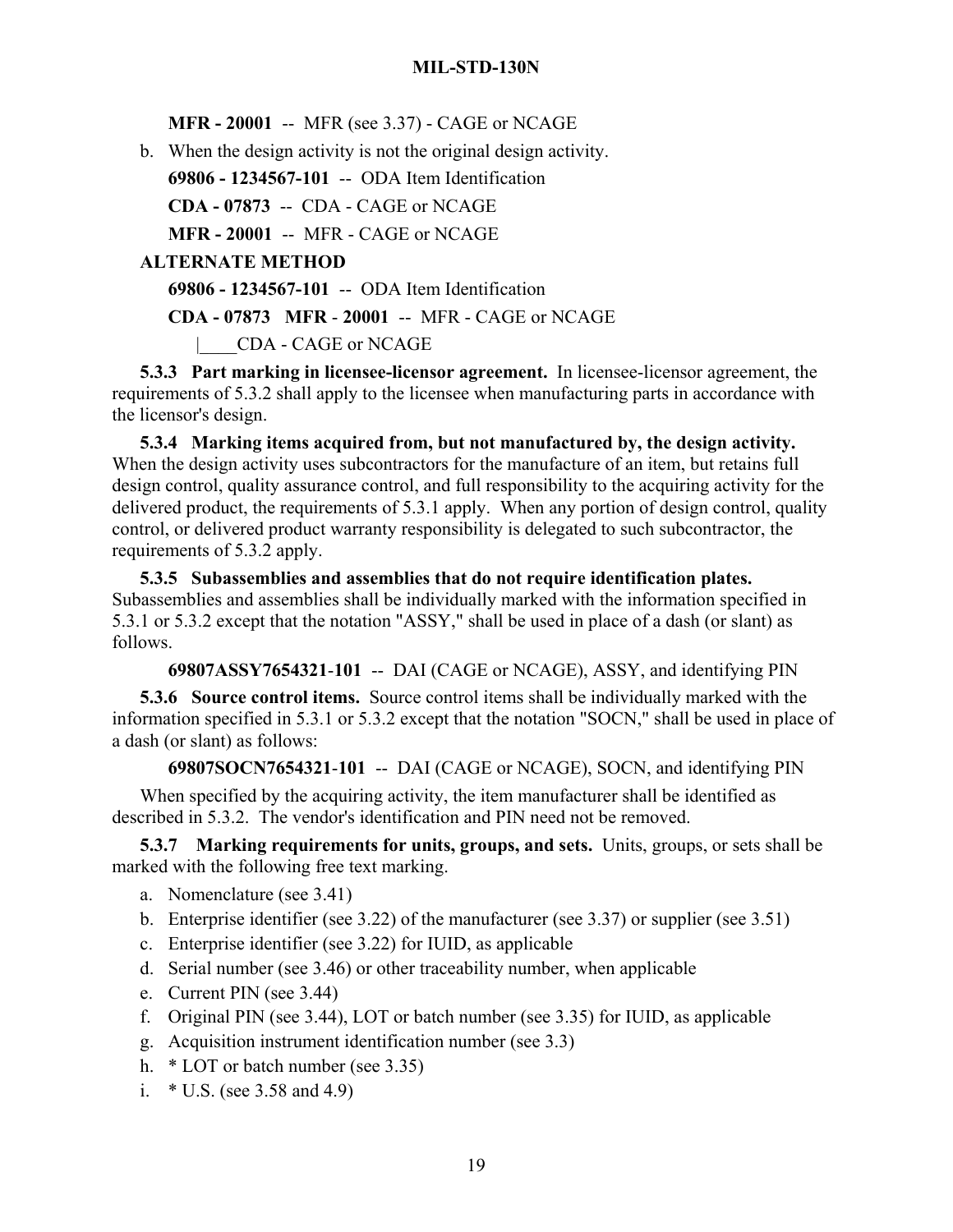**MFR - 20001** -- MFR (see 3.37) - CAGE or NCAGE

b. When the design activity is not the original design activity.

**69806 - 1234567-101** -- ODA Item Identification

**CDA - 07873** -- CDA - CAGE or NCAGE

**MFR - 20001** -- MFR - CAGE or NCAGE

#### **ALTERNATE METHOD**

**69806 - 1234567-101** -- ODA Item Identification

**CDA - 07873 MFR** - **20001** --MFR - CAGE or NCAGE

|\_\_\_\_CDA - CAGE or NCAGE

**5.3.3 Part marking in licensee-licensor agreement.** In licensee-licensor agreement, the requirements of 5.3.2 shall apply to the licensee when manufacturing parts in accordance with the licensor's design.

**5.3.4 Marking items acquired from, but not manufactured by, the design activity.** When the design activity uses subcontractors for the manufacture of an item, but retains full design control, quality assurance control, and full responsibility to the acquiring activity for the delivered product, the requirements of 5.3.1 apply. When any portion of design control, quality control, or delivered product warranty responsibility is delegated to such subcontractor, the requirements of 5.3.2 apply.

**5.3.5 Subassemblies and assemblies that do not require identification plates.**  Subassemblies and assemblies shall be individually marked with the information specified in 5.3.1 or 5.3.2 except that the notation "ASSY," shall be used in place of a dash (or slant) as follows.

**69807ASSY7654321**-**101** -- DAI (CAGE or NCAGE), ASSY, and identifying PIN

**5.3.6 Source control items.** Source control items shall be individually marked with the information specified in 5.3.1 or 5.3.2 except that the notation "SOCN," shall be used in place of a dash (or slant) as follows:

**69807SOCN7654321**-**101** -- DAI (CAGE or NCAGE), SOCN, and identifying PIN

When specified by the acquiring activity, the item manufacturer shall be identified as described in 5.3.2. The vendor's identification and PIN need not be removed.

**5.3.7 Marking requirements for units, groups, and sets.** Units, groups, or sets shall be marked with the following free text marking.

- a. Nomenclature (see 3.41)
- b. Enterprise identifier (see 3.22) of the manufacturer (see 3.37) or supplier (see 3.51)
- c. Enterprise identifier (see 3.22) for IUID, as applicable
- d. Serial number (see 3.46) or other traceability number, when applicable
- e. Current PIN (see 3.44)
- f. Original PIN (see 3.44), LOT or batch number (see 3.35) for IUID, as applicable
- g. Acquisition instrument identification number (see 3.3)
- h. \* LOT or batch number (see 3.35)
- i.  $*$  U.S. (see 3.58 and 4.9)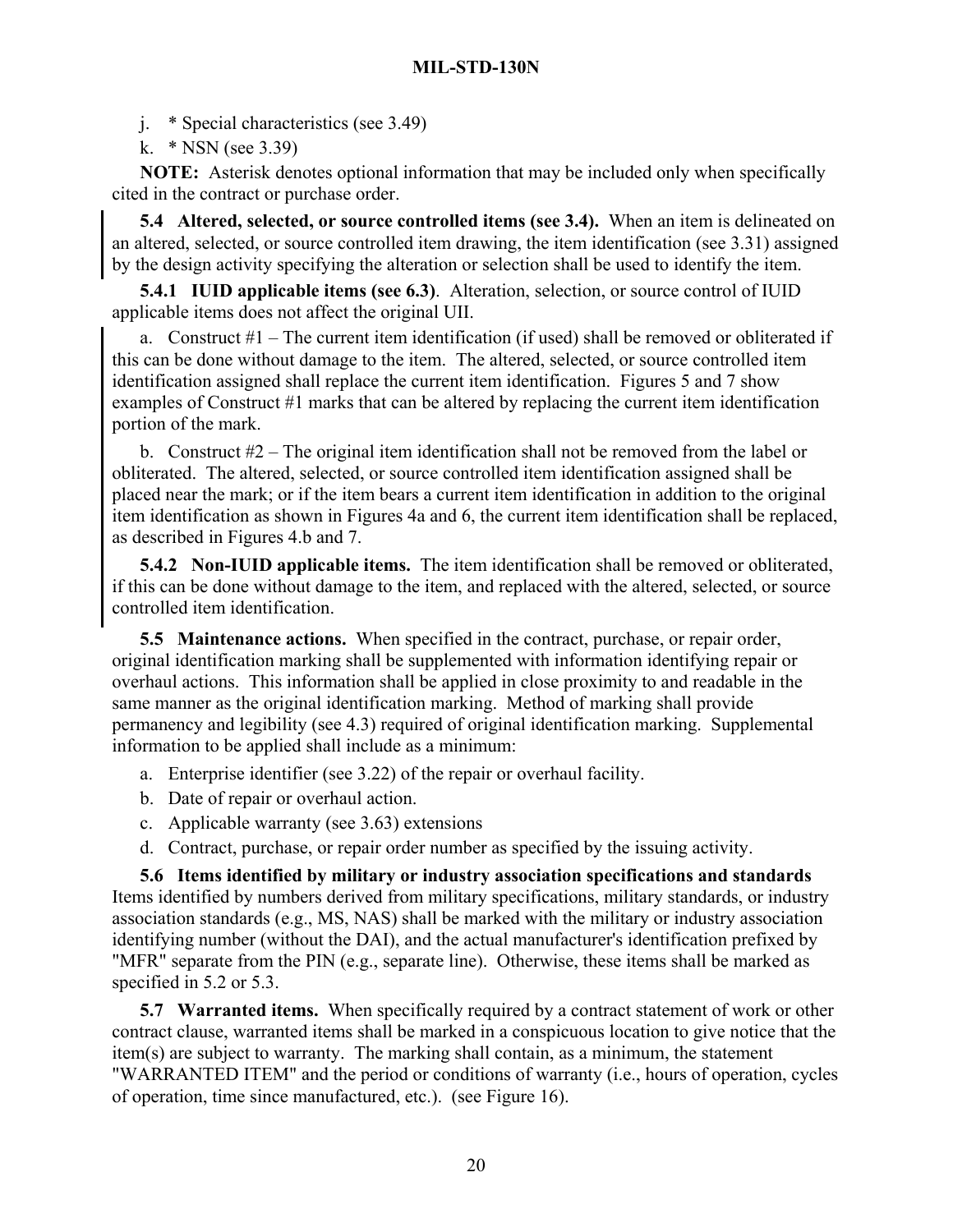j. \* Special characteristics (see 3.49)

k. \* NSN (see 3.39)

**NOTE:** Asterisk denotes optional information that may be included only when specifically cited in the contract or purchase order.

**5.4 Altered, selected, or source controlled items (see 3.4).** When an item is delineated on an altered, selected, or source controlled item drawing, the item identification (see 3.31) assigned by the design activity specifying the alteration or selection shall be used to identify the item.

**5.4.1 IUID applicable items (see 6.3)**. Alteration, selection, or source control of IUID applicable items does not affect the original UII.

a. Construct #1 – The current item identification (if used) shall be removed or obliterated if this can be done without damage to the item. The altered, selected, or source controlled item identification assigned shall replace the current item identification. Figures 5 and 7 show examples of Construct #1 marks that can be altered by replacing the current item identification portion of the mark.

b. Construct  $#2$  – The original item identification shall not be removed from the label or obliterated. The altered, selected, or source controlled item identification assigned shall be placed near the mark; or if the item bears a current item identification in addition to the original item identification as shown in Figures 4a and 6, the current item identification shall be replaced, as described in Figures 4.b and 7.

**5.4.2 Non-IUID applicable items.** The item identification shall be removed or obliterated, if this can be done without damage to the item, and replaced with the altered, selected, or source controlled item identification.

**5.5 Maintenance actions.** When specified in the contract, purchase, or repair order, original identification marking shall be supplemented with information identifying repair or overhaul actions. This information shall be applied in close proximity to and readable in the same manner as the original identification marking. Method of marking shall provide permanency and legibility (see 4.3) required of original identification marking. Supplemental information to be applied shall include as a minimum:

- a. Enterprise identifier (see 3.22) of the repair or overhaul facility.
- b. Date of repair or overhaul action.
- c. Applicable warranty (see 3.63) extensions
- d. Contract, purchase, or repair order number as specified by the issuing activity.

**5.6 Items identified by military or industry association specifications and standards** Items identified by numbers derived from military specifications, military standards, or industry association standards (e.g., MS, NAS) shall be marked with the military or industry association identifying number (without the DAI), and the actual manufacturer's identification prefixed by "MFR" separate from the PIN (e.g., separate line). Otherwise, these items shall be marked as specified in 5.2 or 5.3.

**5.7 Warranted items.** When specifically required by a contract statement of work or other contract clause, warranted items shall be marked in a conspicuous location to give notice that the item(s) are subject to warranty. The marking shall contain, as a minimum, the statement "WARRANTED ITEM" and the period or conditions of warranty (i.e., hours of operation, cycles of operation, time since manufactured, etc.). (see Figure 16).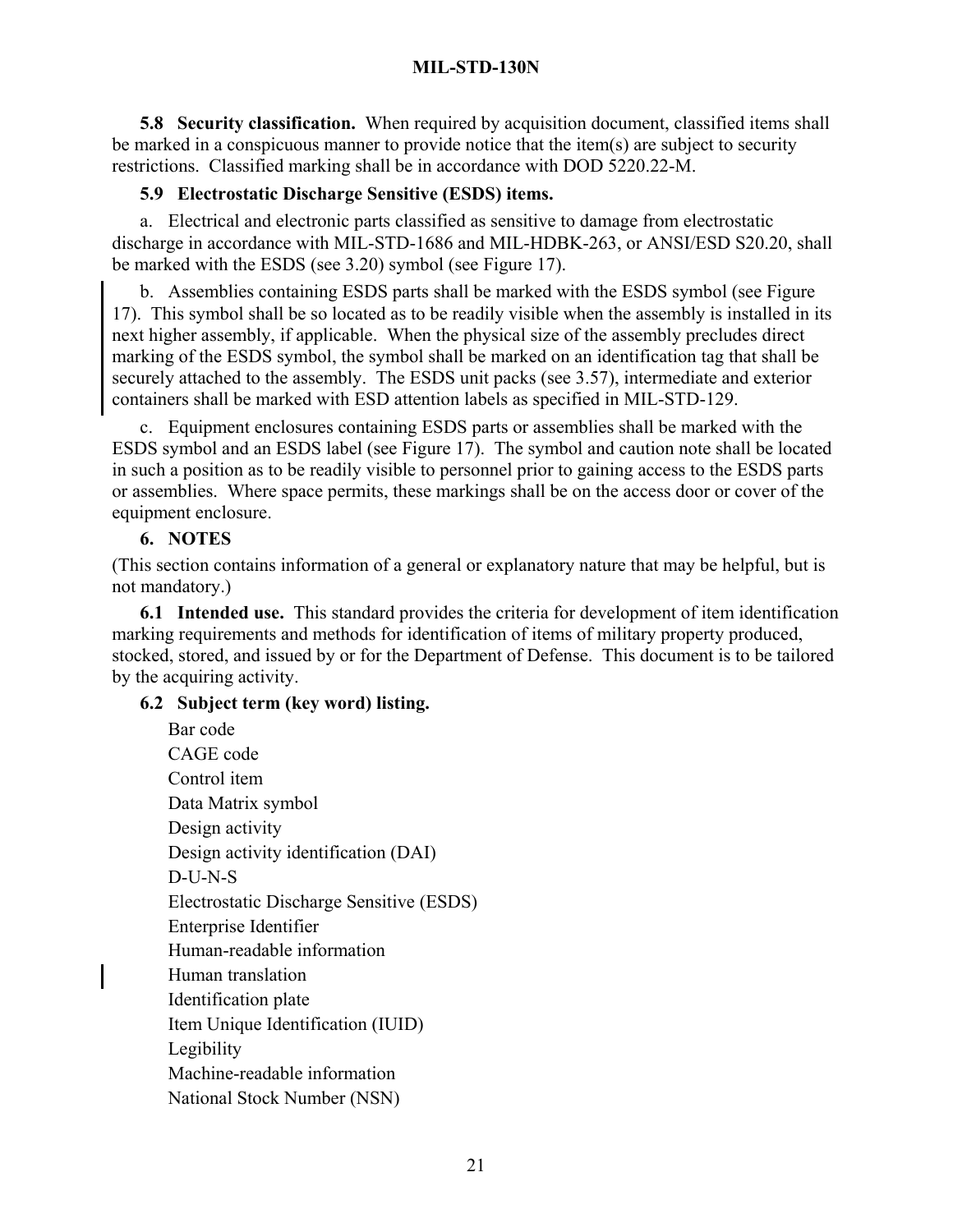**5.8 Security classification.** When required by acquisition document, classified items shall be marked in a conspicuous manner to provide notice that the item(s) are subject to security restrictions. Classified marking shall be in accordance with DOD 5220.22-M.

## **5.9 Electrostatic Discharge Sensitive (ESDS) items.**

a. Electrical and electronic parts classified as sensitive to damage from electrostatic discharge in accordance with MIL-STD-1686 and MIL-HDBK-263, or ANSI/ESD S20.20, shall be marked with the ESDS (see 3.20) symbol (see Figure 17).

b. Assemblies containing ESDS parts shall be marked with the ESDS symbol (see Figure 17). This symbol shall be so located as to be readily visible when the assembly is installed in its next higher assembly, if applicable. When the physical size of the assembly precludes direct marking of the ESDS symbol, the symbol shall be marked on an identification tag that shall be securely attached to the assembly. The ESDS unit packs (see 3.57), intermediate and exterior containers shall be marked with ESD attention labels as specified in MIL-STD-129.

c. Equipment enclosures containing ESDS parts or assemblies shall be marked with the ESDS symbol and an ESDS label (see Figure 17). The symbol and caution note shall be located in such a position as to be readily visible to personnel prior to gaining access to the ESDS parts or assemblies. Where space permits, these markings shall be on the access door or cover of the equipment enclosure.

## **6. NOTES**

(This section contains information of a general or explanatory nature that may be helpful, but is not mandatory.)

**6.1 Intended use.** This standard provides the criteria for development of item identification marking requirements and methods for identification of items of military property produced, stocked, stored, and issued by or for the Department of Defense. This document is to be tailored by the acquiring activity.

## **6.2 Subject term (key word) listing.**

Bar code CAGE code Control item Data Matrix symbol Design activity Design activity identification (DAI) D-U-N-S Electrostatic Discharge Sensitive (ESDS) Enterprise Identifier Human-readable information Human translation Identification plate Item Unique Identification (IUID) Legibility Machine-readable information National Stock Number (NSN)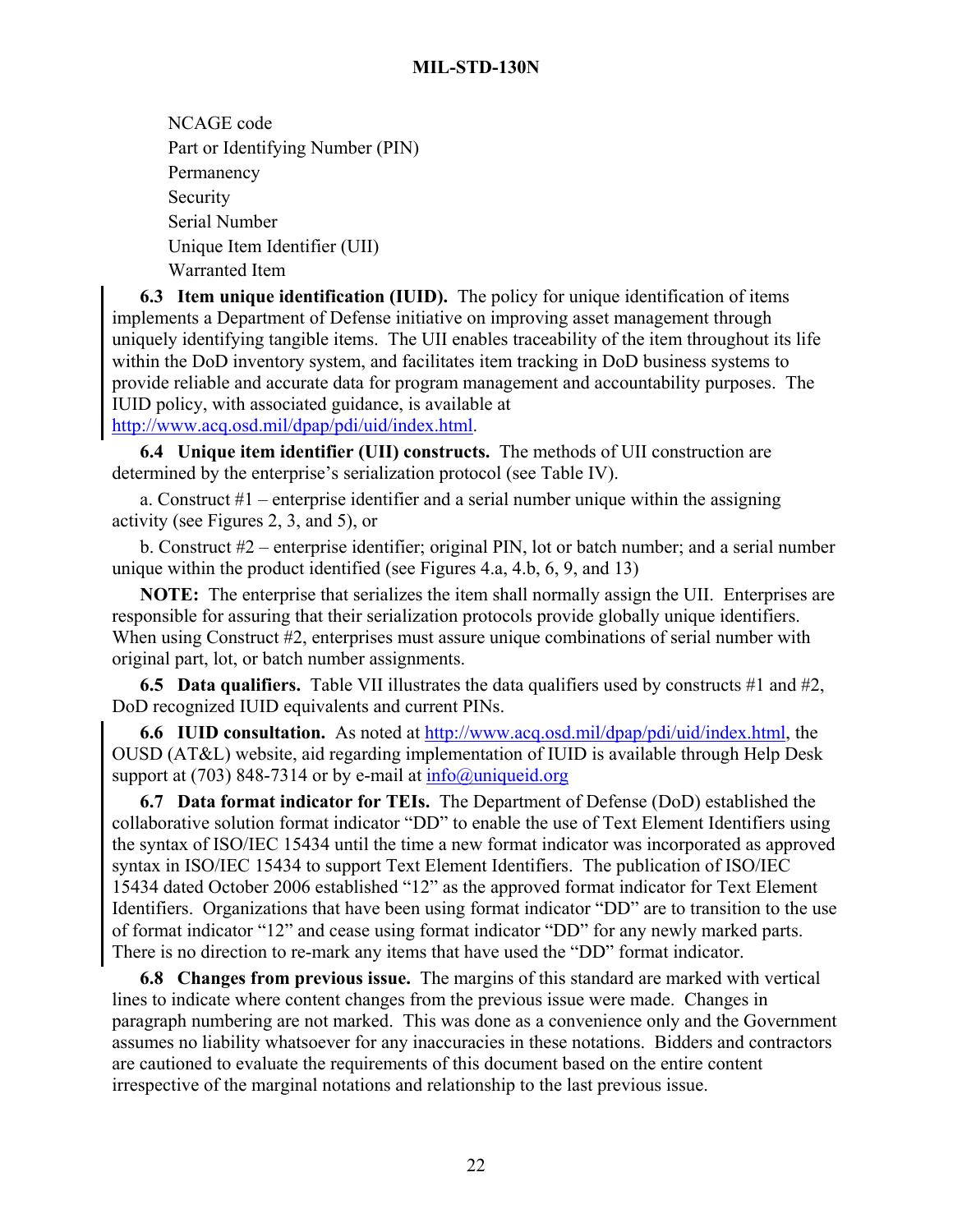NCAGE code Part or Identifying Number (PIN) Permanency **Security** Serial Number Unique Item Identifier (UII) Warranted Item

**6.3 Item unique identification (IUID).** The policy for unique identification of items implements a Department of Defense initiative on improving asset management through uniquely identifying tangible items. The UII enables traceability of the item throughout its life within the DoD inventory system, and facilitates item tracking in DoD business systems to provide reliable and accurate data for program management and accountability purposes. The IUID policy, with associated guidance, is available at [http://www.acq.osd.mil/dpap/pdi/uid/index.html.](http://www.acq.osd.mil/dpap/pdi/uid/index.html)

**6.4 Unique item identifier (UII) constructs.** The methods of UII construction are determined by the enterprise's serialization protocol (see Table IV).

a. Construct #1 – enterprise identifier and a serial number unique within the assigning activity (see Figures 2, 3, and 5), or

b. Construct #2 – enterprise identifier; original PIN, lot or batch number; and a serial number unique within the product identified (see Figures 4.a, 4.b, 6, 9, and 13)

**NOTE:** The enterprise that serializes the item shall normally assign the UII. Enterprises are responsible for assuring that their serialization protocols provide globally unique identifiers. When using Construct #2, enterprises must assure unique combinations of serial number with original part, lot, or batch number assignments.

**6.5 Data qualifiers.** Table VII illustrates the data qualifiers used by constructs #1 and #2, DoD recognized IUID equivalents and current PINs.

**6.6 IUID consultation.** As noted at [http://www.acq.osd.mil/dpap/pdi/uid/index.html,](http://www.acq.osd.mil/dpap/pdi/uid/index.html) the OUSD (AT&L) website, aid regarding implementation of IUID is available through Help Desk support at (703) 848-7314 or by e-mail at  $info@$ uniqueid.org

**6.7 Data format indicator for TEIs.** The Department of Defense (DoD) established the collaborative solution format indicator "DD" to enable the use of Text Element Identifiers using the syntax of ISO/IEC 15434 until the time a new format indicator was incorporated as approved syntax in ISO/IEC 15434 to support Text Element Identifiers. The publication of ISO/IEC 15434 dated October 2006 established "12" as the approved format indicator for Text Element Identifiers. Organizations that have been using format indicator "DD" are to transition to the use of format indicator "12" and cease using format indicator "DD" for any newly marked parts. There is no direction to re-mark any items that have used the "DD" format indicator.

**6.8 Changes from previous issue.** The margins of this standard are marked with vertical lines to indicate where content changes from the previous issue were made. Changes in paragraph numbering are not marked. This was done as a convenience only and the Government assumes no liability whatsoever for any inaccuracies in these notations. Bidders and contractors are cautioned to evaluate the requirements of this document based on the entire content irrespective of the marginal notations and relationship to the last previous issue.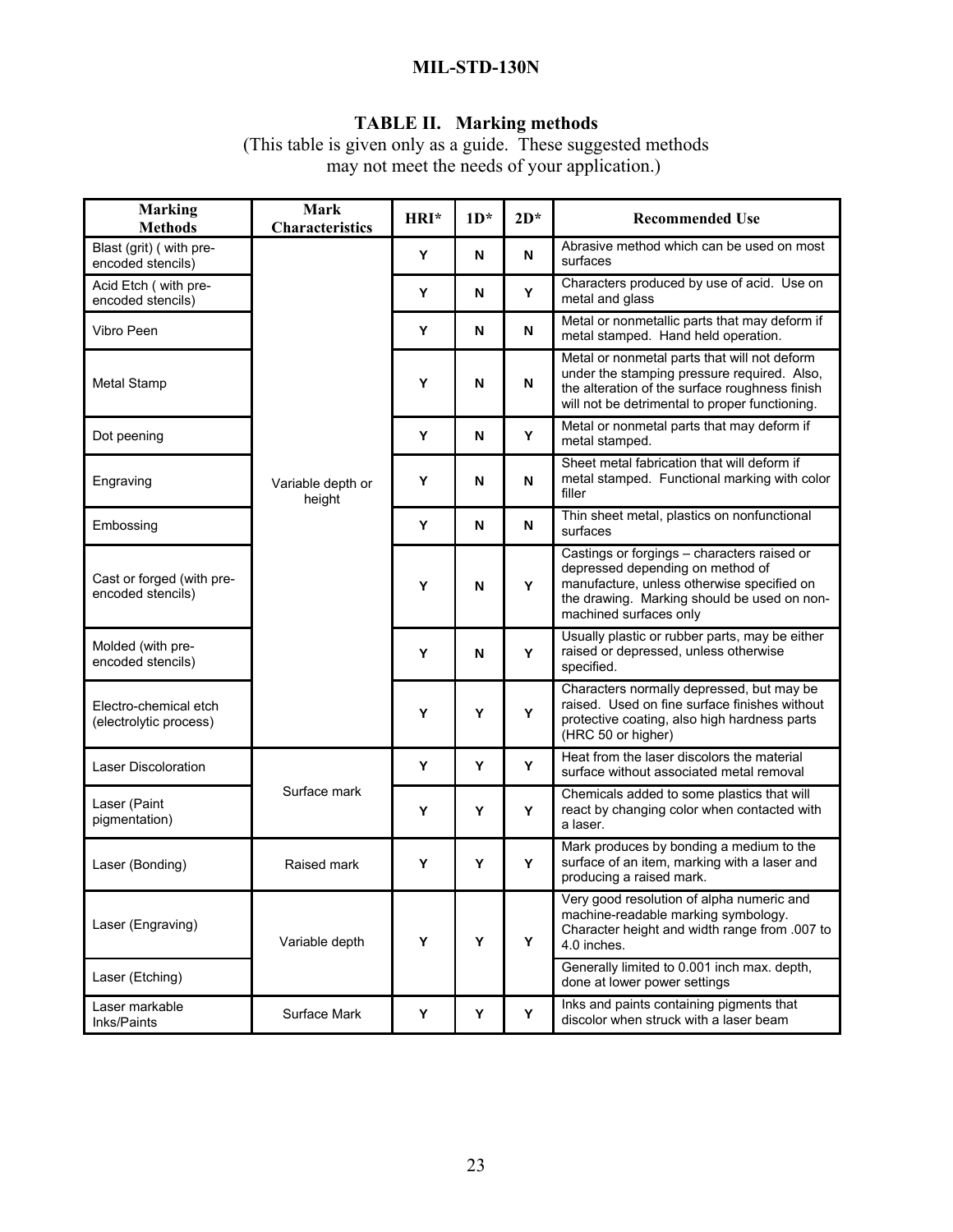#### **TABLE II. Marking methods**

(This table is given only as a guide. These suggested methods may not meet the needs of your application.)

| <b>Marking</b><br><b>Methods</b>                | Mark<br>Characteristics     | HRI* | $1D^*$      | $2D*$ | <b>Recommended Use</b>                                                                                                                                                                                 |
|-------------------------------------------------|-----------------------------|------|-------------|-------|--------------------------------------------------------------------------------------------------------------------------------------------------------------------------------------------------------|
| Blast (grit) ( with pre-<br>encoded stencils)   |                             | Y    | N           | N     | Abrasive method which can be used on most<br>surfaces                                                                                                                                                  |
| Acid Etch (with pre-<br>encoded stencils)       |                             | Y    | N           | Y     | Characters produced by use of acid. Use on<br>metal and glass                                                                                                                                          |
| Vibro Peen                                      |                             | Y    | N           | N     | Metal or nonmetallic parts that may deform if<br>metal stamped. Hand held operation.                                                                                                                   |
| Metal Stamp                                     |                             | Y    | N           | N     | Metal or nonmetal parts that will not deform<br>under the stamping pressure required. Also,<br>the alteration of the surface roughness finish<br>will not be detrimental to proper functioning.        |
| Dot peening                                     |                             | Υ    | $\mathbf N$ | Υ     | Metal or nonmetal parts that may deform if<br>metal stamped.                                                                                                                                           |
| Engraving                                       | Variable depth or<br>height | Υ    | N           | N     | Sheet metal fabrication that will deform if<br>metal stamped. Functional marking with color<br>filler                                                                                                  |
| Embossing                                       |                             | Y    | $\mathbf N$ | N     | Thin sheet metal, plastics on nonfunctional<br>surfaces                                                                                                                                                |
| Cast or forged (with pre-<br>encoded stencils)  |                             | Y    | N           | Y     | Castings or forgings - characters raised or<br>depressed depending on method of<br>manufacture, unless otherwise specified on<br>the drawing. Marking should be used on non-<br>machined surfaces only |
| Molded (with pre-<br>encoded stencils)          |                             | Y    | N           | Y     | Usually plastic or rubber parts, may be either<br>raised or depressed, unless otherwise<br>specified.                                                                                                  |
| Electro-chemical etch<br>(electrolytic process) |                             | Υ    | Y           | Υ     | Characters normally depressed, but may be<br>raised. Used on fine surface finishes without<br>protective coating, also high hardness parts<br>(HRC 50 or higher)                                       |
| Laser Discoloration                             |                             | Y    | Υ           | Y     | Heat from the laser discolors the material<br>surface without associated metal removal                                                                                                                 |
| Laser (Paint<br>pigmentation)                   | Surface mark                | Y    | Y           | Υ     | Chemicals added to some plastics that will<br>react by changing color when contacted with<br>a laser.                                                                                                  |
| Laser (Bonding)                                 | Raised mark                 | Υ    | Y           | Y     | Mark produces by bonding a medium to the<br>surface of an item, marking with a laser and<br>producing a raised mark.                                                                                   |
| Laser (Engraving)                               | Variable depth              | Υ    | Y           | Y     | Very good resolution of alpha numeric and<br>machine-readable marking symbology.<br>Character height and width range from .007 to<br>4.0 inches.                                                       |
| Laser (Etching)                                 |                             |      |             |       | Generally limited to 0.001 inch max. depth,<br>done at lower power settings                                                                                                                            |
| Laser markable<br>Inks/Paints                   | Surface Mark                | Υ    | Υ           | Y     | Inks and paints containing pigments that<br>discolor when struck with a laser beam                                                                                                                     |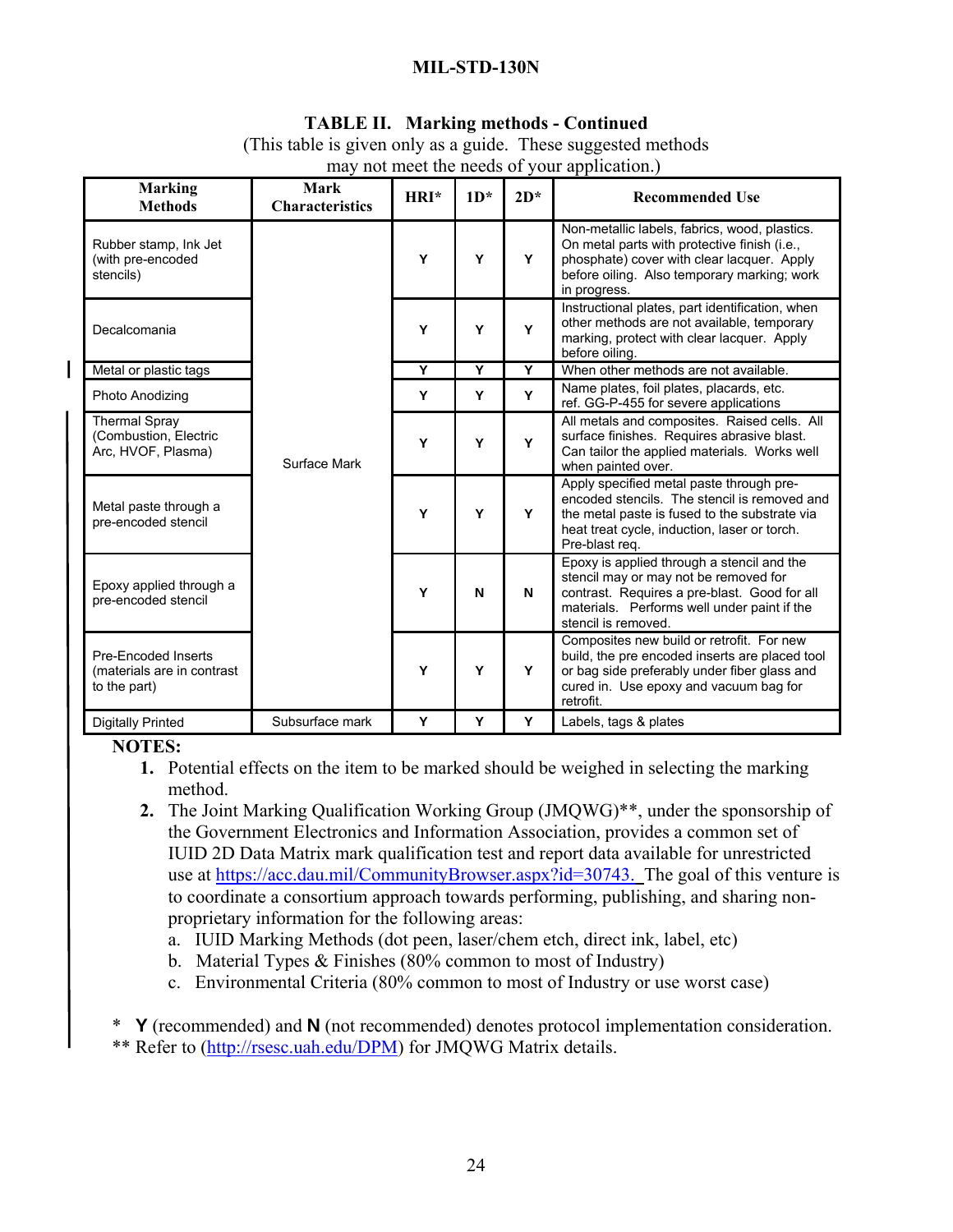#### **TABLE II. Marking methods - Continued**

|  | (This table is given only as a guide. These suggested methods) |
|--|----------------------------------------------------------------|
|  |                                                                |

| <b>Marking</b><br><b>Methods</b>                                         | Mark<br><b>Characteristics</b> | HRI* | $1D^*$ | $2D^*$ | <b>Recommended Use</b>                                                                                                                                                                                      |  |
|--------------------------------------------------------------------------|--------------------------------|------|--------|--------|-------------------------------------------------------------------------------------------------------------------------------------------------------------------------------------------------------------|--|
| Rubber stamp, Ink Jet<br>(with pre-encoded<br>stencils)                  |                                | Y    | Y      | Y      | Non-metallic labels, fabrics, wood, plastics.<br>On metal parts with protective finish (i.e.,<br>phosphate) cover with clear lacquer. Apply<br>before oiling. Also temporary marking; work<br>in progress.  |  |
| Decalcomania                                                             |                                | Υ    | Y      | Y      | Instructional plates, part identification, when<br>other methods are not available, temporary<br>marking, protect with clear lacquer. Apply<br>before oiling.                                               |  |
| Metal or plastic tags                                                    |                                | Y    | Y      | Y      | When other methods are not available.                                                                                                                                                                       |  |
| Photo Anodizing                                                          |                                | Y    | Y      | Y      | Name plates, foil plates, placards, etc.<br>ref. GG-P-455 for severe applications                                                                                                                           |  |
| <b>Thermal Spray</b><br>(Combustion, Electric<br>Arc, HVOF, Plasma)      | Surface Mark                   | Y    | Y      | Y      | All metals and composites. Raised cells. All<br>surface finishes. Requires abrasive blast.<br>Can tailor the applied materials. Works well<br>when painted over.                                            |  |
| Metal paste through a<br>pre-encoded stencil                             |                                | Y    | Y      | Y      | Apply specified metal paste through pre-<br>encoded stencils. The stencil is removed and<br>the metal paste is fused to the substrate via<br>heat treat cycle, induction, laser or torch.<br>Pre-blast req. |  |
| Epoxy applied through a<br>pre-encoded stencil                           |                                | Υ    | N      | N      | Epoxy is applied through a stencil and the<br>stencil may or may not be removed for<br>contrast. Requires a pre-blast. Good for all<br>materials. Performs well under paint if the<br>stencil is removed.   |  |
| <b>Pre-Encoded Inserts</b><br>(materials are in contrast<br>to the part) |                                | Y    | Y      | Y      | Composites new build or retrofit. For new<br>build, the pre encoded inserts are placed tool<br>or bag side preferably under fiber glass and<br>cured in. Use epoxy and vacuum bag for<br>retrofit.          |  |
| <b>Digitally Printed</b>                                                 | Subsurface mark                | Y    | Y      | Y      | Labels, tags & plates                                                                                                                                                                                       |  |

may not meet the needs of your application.)

#### **NOTES:**

 $\mathbf l$ 

- **1.** Potential effects on the item to be marked should be weighed in selecting the marking method.
- **2.** The Joint Marking Qualification Working Group (JMQWG)\*\*, under the sponsorship of the Government Electronics and Information Association, provides a common set of IUID 2D Data Matrix mark qualification test and report data available for unrestricted use at <https://acc.dau.mil/CommunityBrowser.aspx?id=30743>. The goal of this venture is to coordinate a consortium approach towards performing, publishing, and sharing nonproprietary information for the following areas:
	- a. IUID Marking Methods (dot peen, laser/chem etch, direct ink, label, etc)
	- b. Material Types & Finishes (80% common to most of Industry)
	- c. Environmental Criteria (80% common to most of Industry or use worst case)

\* **Y** (recommended) and **N** (not recommended) denotes protocol implementation consideration.

\*\* Refer to [\(http://rsesc.uah.edu/DPM\)](http://rsesc.uah.edu/DPM) for JMQWG Matrix details.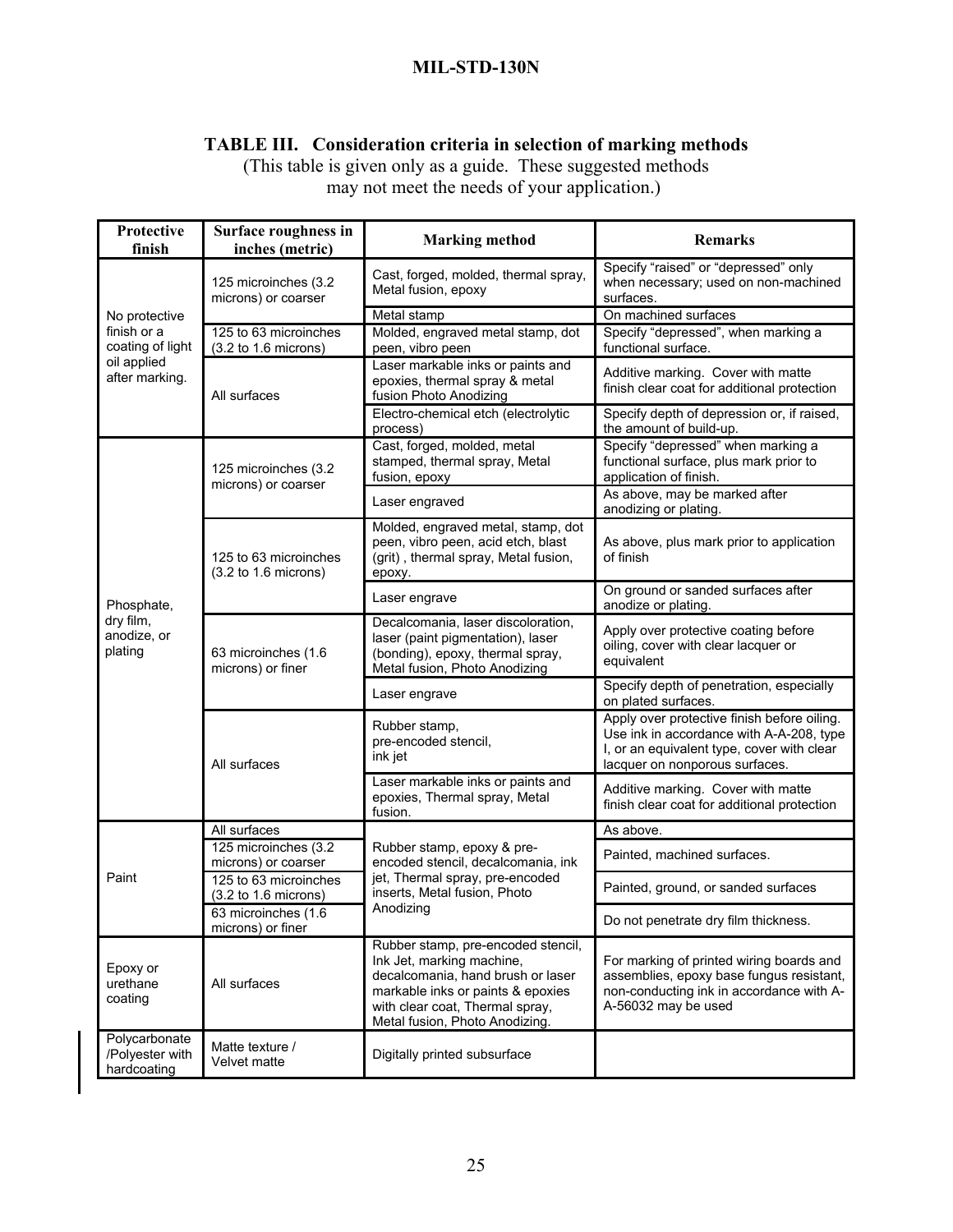## **TABLE III. Consideration criteria in selection of marking methods**

(This table is given only as a guide. These suggested methods may not meet the needs of your application.)

| Protective<br>finish                            | Surface roughness in<br>inches (metric)                          | <b>Marking method</b>                                                                                                                                                                                          | <b>Remarks</b>                                                                                                                                                          |  |
|-------------------------------------------------|------------------------------------------------------------------|----------------------------------------------------------------------------------------------------------------------------------------------------------------------------------------------------------------|-------------------------------------------------------------------------------------------------------------------------------------------------------------------------|--|
|                                                 | 125 microinches (3.2<br>microns) or coarser                      | Cast, forged, molded, thermal spray,<br>Metal fusion, epoxy                                                                                                                                                    | Specify "raised" or "depressed" only<br>when necessary; used on non-machined<br>surfaces.                                                                               |  |
| No protective                                   |                                                                  | Metal stamp                                                                                                                                                                                                    | On machined surfaces                                                                                                                                                    |  |
| finish or a<br>coating of light                 | 125 to 63 microinches<br>$(3.2 \text{ to } 1.6 \text{ microns})$ | Molded, engraved metal stamp, dot<br>peen, vibro peen                                                                                                                                                          | Specify "depressed", when marking a<br>functional surface.                                                                                                              |  |
| oil applied<br>after marking.                   | All surfaces                                                     | Laser markable inks or paints and<br>epoxies, thermal spray & metal<br>fusion Photo Anodizing                                                                                                                  | Additive marking. Cover with matte<br>finish clear coat for additional protection                                                                                       |  |
|                                                 |                                                                  | Electro-chemical etch (electrolytic<br>process)                                                                                                                                                                | Specify depth of depression or, if raised,<br>the amount of build-up.                                                                                                   |  |
|                                                 | 125 microinches (3.2<br>microns) or coarser                      | Cast, forged, molded, metal<br>stamped, thermal spray, Metal<br>fusion, epoxy                                                                                                                                  | Specify "depressed" when marking a<br>functional surface, plus mark prior to<br>application of finish.                                                                  |  |
|                                                 |                                                                  | Laser engraved                                                                                                                                                                                                 | As above, may be marked after<br>anodizing or plating.                                                                                                                  |  |
|                                                 | 125 to 63 microinches<br>$(3.2 \text{ to } 1.6 \text{ microns})$ | Molded, engraved metal, stamp, dot<br>peen, vibro peen, acid etch, blast<br>(grit), thermal spray, Metal fusion,<br>epoxy.                                                                                     | As above, plus mark prior to application<br>of finish                                                                                                                   |  |
| Phosphate,                                      |                                                                  | Laser engrave                                                                                                                                                                                                  | On ground or sanded surfaces after<br>anodize or plating.                                                                                                               |  |
| dry film,<br>anodize, or<br>plating             | 63 microinches (1.6<br>microns) or finer                         | Decalcomania, laser discoloration,<br>laser (paint pigmentation), laser<br>(bonding), epoxy, thermal spray,<br>Metal fusion, Photo Anodizing                                                                   | Apply over protective coating before<br>oiling, cover with clear lacquer or<br>equivalent                                                                               |  |
|                                                 |                                                                  | Laser engrave                                                                                                                                                                                                  | Specify depth of penetration, especially<br>on plated surfaces.                                                                                                         |  |
|                                                 | All surfaces                                                     | Rubber stamp,<br>pre-encoded stencil,<br>ink jet                                                                                                                                                               | Apply over protective finish before oiling.<br>Use ink in accordance with A-A-208, type<br>I, or an equivalent type, cover with clear<br>lacquer on nonporous surfaces. |  |
|                                                 |                                                                  | Laser markable inks or paints and<br>epoxies, Thermal spray, Metal<br>fusion.                                                                                                                                  | Additive marking. Cover with matte<br>finish clear coat for additional protection                                                                                       |  |
|                                                 | All surfaces                                                     |                                                                                                                                                                                                                | As above.                                                                                                                                                               |  |
|                                                 | 125 microinches (3.2<br>microns) or coarser                      | Rubber stamp, epoxy & pre-<br>encoded stencil, decalcomania, ink                                                                                                                                               | Painted, machined surfaces.                                                                                                                                             |  |
| Paint                                           | 125 to 63 microinches<br>$(3.2 \text{ to } 1.6 \text{ microns})$ | jet, Thermal spray, pre-encoded<br>inserts, Metal fusion, Photo                                                                                                                                                | Painted, ground, or sanded surfaces                                                                                                                                     |  |
|                                                 | 63 microinches (1.6<br>microns) or finer                         | Anodizing                                                                                                                                                                                                      | Do not penetrate dry film thickness.                                                                                                                                    |  |
| Epoxy or<br>urethane<br>coating                 | All surfaces                                                     | Rubber stamp, pre-encoded stencil,<br>Ink Jet, marking machine,<br>decalcomania, hand brush or laser<br>markable inks or paints & epoxies<br>with clear coat, Thermal spray,<br>Metal fusion, Photo Anodizing. | For marking of printed wiring boards and<br>assemblies, epoxy base fungus resistant,<br>non-conducting ink in accordance with A-<br>A-56032 may be used                 |  |
| Polycarbonate<br>/Polyester with<br>hardcoating | Matte texture /<br>Velvet matte                                  | Digitally printed subsurface                                                                                                                                                                                   |                                                                                                                                                                         |  |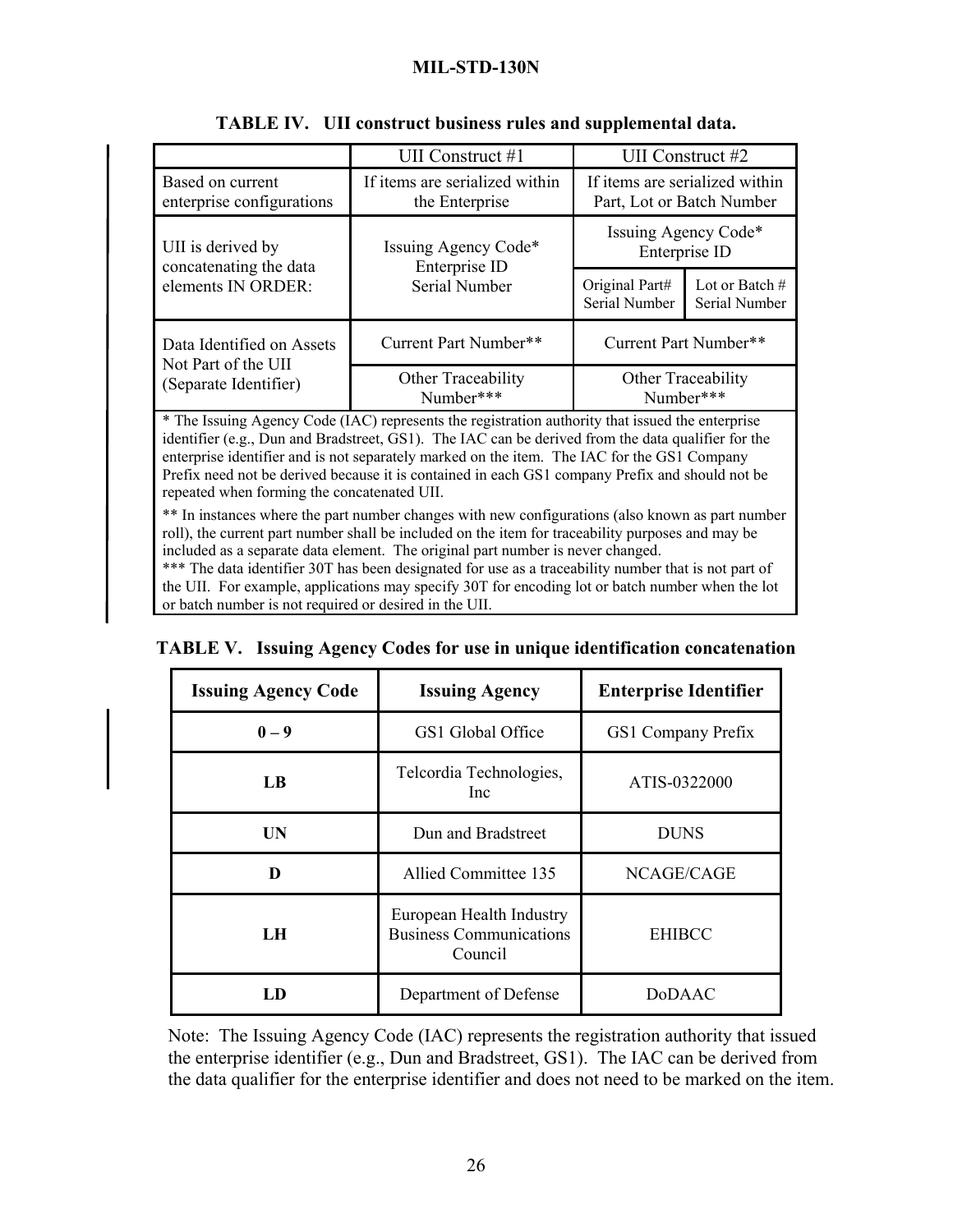|                                                                           | UII Construct #1<br>UII Construct #2             |                                                             |                                   |  |
|---------------------------------------------------------------------------|--------------------------------------------------|-------------------------------------------------------------|-----------------------------------|--|
| Based on current<br>enterprise configurations                             | If items are serialized within<br>the Enterprise | If items are serialized within<br>Part, Lot or Batch Number |                                   |  |
| UII is derived by<br>concatenating the data                               | Issuing Agency Code*<br>Enterprise ID            | Issuing Agency Code*<br>Enterprise ID                       |                                   |  |
| elements IN ORDER:                                                        | Serial Number                                    | Original Part#<br>Serial Number                             | Lot or Batch $#$<br>Serial Number |  |
| Data Identified on Assets<br>Not Part of the UII<br>(Separate Identifier) | Current Part Number**                            | Current Part Number**                                       |                                   |  |
|                                                                           | Other Traceability<br>Number***                  |                                                             | Other Traceability<br>Number***   |  |

#### **TABLE IV. UII construct business rules and supplemental data.**

\* The Issuing Agency Code (IAC) represents the registration authority that issued the enterprise identifier (e.g., Dun and Bradstreet, GS1). The IAC can be derived from the data qualifier for the enterprise identifier and is not separately marked on the item. The IAC for the GS1 Company Prefix need not be derived because it is contained in each GS1 company Prefix and should not be repeated when forming the concatenated UII.

\*\* In instances where the part number changes with new configurations (also known as part number roll), the current part number shall be included on the item for traceability purposes and may be included as a separate data element. The original part number is never changed.

\*\*\* The data identifier 30T has been designated for use as a traceability number that is not part of the UII. For example, applications may specify 30T for encoding lot or batch number when the lot or batch number is not required or desired in the UII.

| <b>Issuing Agency Code</b> | <b>Issuing Agency</b>                                                 | <b>Enterprise Identifier</b> |
|----------------------------|-----------------------------------------------------------------------|------------------------------|
| $0 - 9$                    | GS1 Global Office                                                     | GS1 Company Prefix           |
| LB                         | Telcordia Technologies,<br>Inc                                        | ATIS-0322000                 |
| UN                         | Dun and Bradstreet                                                    | <b>DUNS</b>                  |
| D                          | Allied Committee 135                                                  | NCAGE/CAGE                   |
| LH                         | European Health Industry<br><b>Business Communications</b><br>Council | <b>EHIBCC</b>                |
| LD                         | Department of Defense                                                 | <b>DoDAAC</b>                |

**TABLE V. Issuing Agency Codes for use in unique identification concatenation** 

Note: The Issuing Agency Code (IAC) represents the registration authority that issued the enterprise identifier (e.g., Dun and Bradstreet, GS1). The IAC can be derived from the data qualifier for the enterprise identifier and does not need to be marked on the item.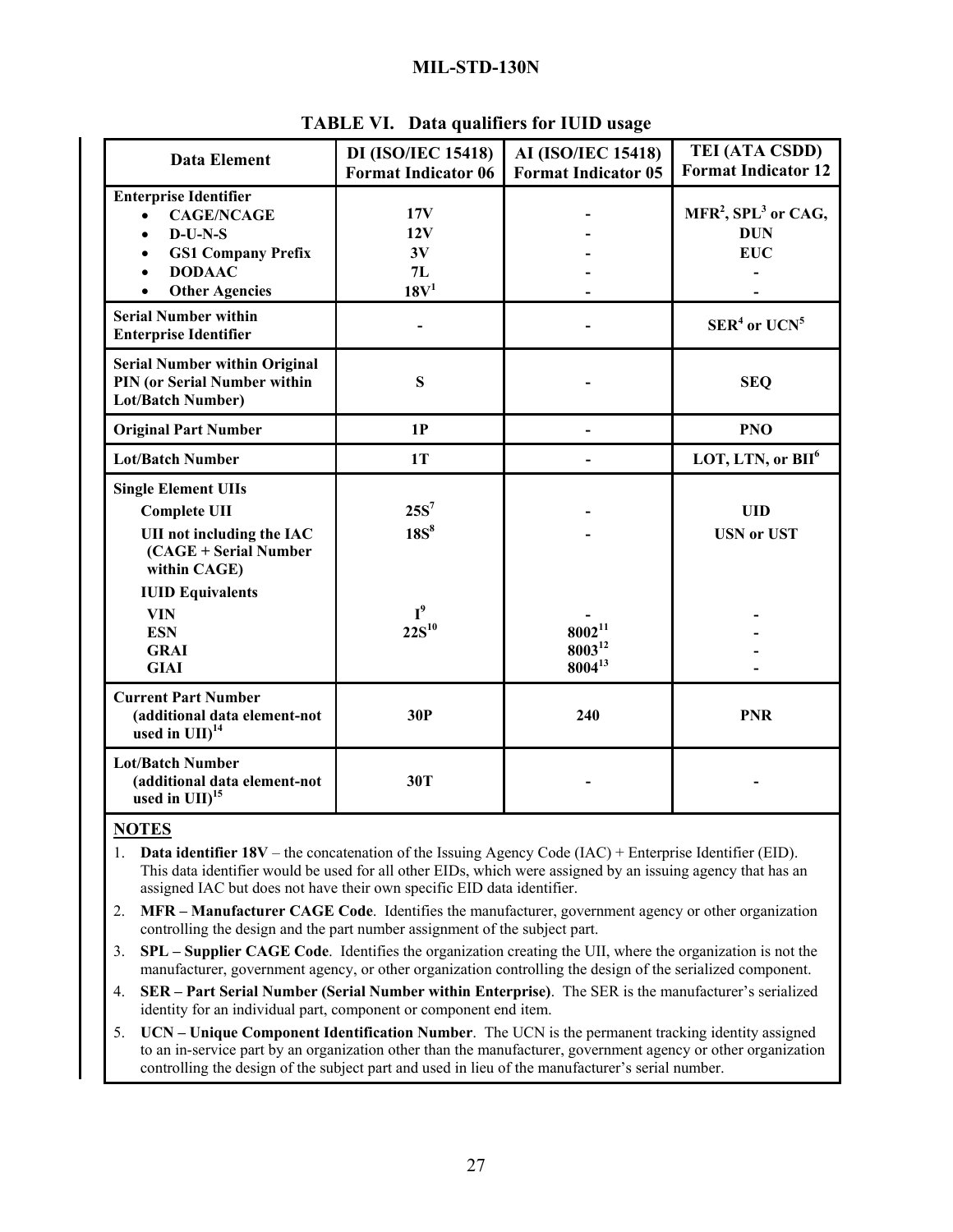| <b>Data Element</b>                                                                                     | <b>DI (ISO/IEC 15418)</b>  | <b>AI (ISO/IEC 15418)</b>  | <b>TEI (ATA CSDD)</b><br><b>Format Indicator 12</b>       |
|---------------------------------------------------------------------------------------------------------|----------------------------|----------------------------|-----------------------------------------------------------|
|                                                                                                         | <b>Format Indicator 06</b> | <b>Format Indicator 05</b> |                                                           |
| <b>Enterprise Identifier</b><br><b>CAGE/NCAGE</b><br>$D-U-N-S$                                          | 17V<br>12V                 |                            | MFR <sup>2</sup> , SPL <sup>3</sup> or CAG,<br><b>DUN</b> |
| <b>GS1 Company Prefix</b>                                                                               | 3V                         |                            | <b>EUC</b>                                                |
| <b>DODAAC</b>                                                                                           | 7L                         |                            |                                                           |
| <b>Other Agencies</b>                                                                                   | 18V <sup>1</sup>           |                            |                                                           |
| <b>Serial Number within</b><br><b>Enterprise Identifier</b>                                             |                            |                            | SER <sup>4</sup> or UCN <sup>5</sup>                      |
| <b>Serial Number within Original</b><br><b>PIN</b> (or Serial Number within<br><b>Lot/Batch Number)</b> | S                          |                            | <b>SEQ</b>                                                |
| <b>Original Part Number</b>                                                                             | 1P                         |                            | <b>PNO</b>                                                |
| <b>Lot/Batch Number</b>                                                                                 | 1T                         |                            | LOT, LTN, or $BH^6$                                       |
| <b>Single Element UIIs</b>                                                                              |                            |                            |                                                           |
| <b>Complete UII</b>                                                                                     | $25S^7$                    |                            | <b>UID</b>                                                |
| UII not including the IAC<br>(CAGE + Serial Number<br>within CAGE)                                      | 18S <sup>8</sup>           |                            | <b>USN</b> or UST                                         |
| <b>IUID Equivalents</b>                                                                                 |                            |                            |                                                           |
| <b>VIN</b>                                                                                              | $I^9$                      |                            |                                                           |
| <b>ESN</b>                                                                                              | $22S^{10}$                 | $8002^{11}$                |                                                           |
| <b>GRAI</b>                                                                                             |                            | $8003^{12}$                |                                                           |
| <b>GIAI</b>                                                                                             |                            | 800413                     |                                                           |
| <b>Current Part Number</b><br>(additional data element-not<br>used in $UII$ <sup>14</sup>               | 30P                        | 240                        | <b>PNR</b>                                                |
| <b>Lot/Batch Number</b><br>(additional data element-not<br>used in UII) <sup>15</sup>                   | 30T                        |                            |                                                           |

**TABLE VI. Data qualifiers for IUID usage** 

#### **NOTES**

- 1. **Data identifier 18V** the concatenation of the Issuing Agency Code (IAC) + Enterprise Identifier (EID). This data identifier would be used for all other EIDs, which were assigned by an issuing agency that has an assigned IAC but does not have their own specific EID data identifier.
- 2. **MFR Manufacturer CAGE Code**. Identifies the manufacturer, government agency or other organization controlling the design and the part number assignment of the subject part.
- 3. **SPL Supplier CAGE Code**. Identifies the organization creating the UII, where the organization is not the manufacturer, government agency, or other organization controlling the design of the serialized component.
- 4. **SER Part Serial Number (Serial Number within Enterprise)**. The SER is the manufacturer's serialized identity for an individual part, component or component end item.
- 5. **UCN Unique Component Identification Number**. The UCN is the permanent tracking identity assigned to an in-service part by an organization other than the manufacturer, government agency or other organization controlling the design of the subject part and used in lieu of the manufacturer's serial number.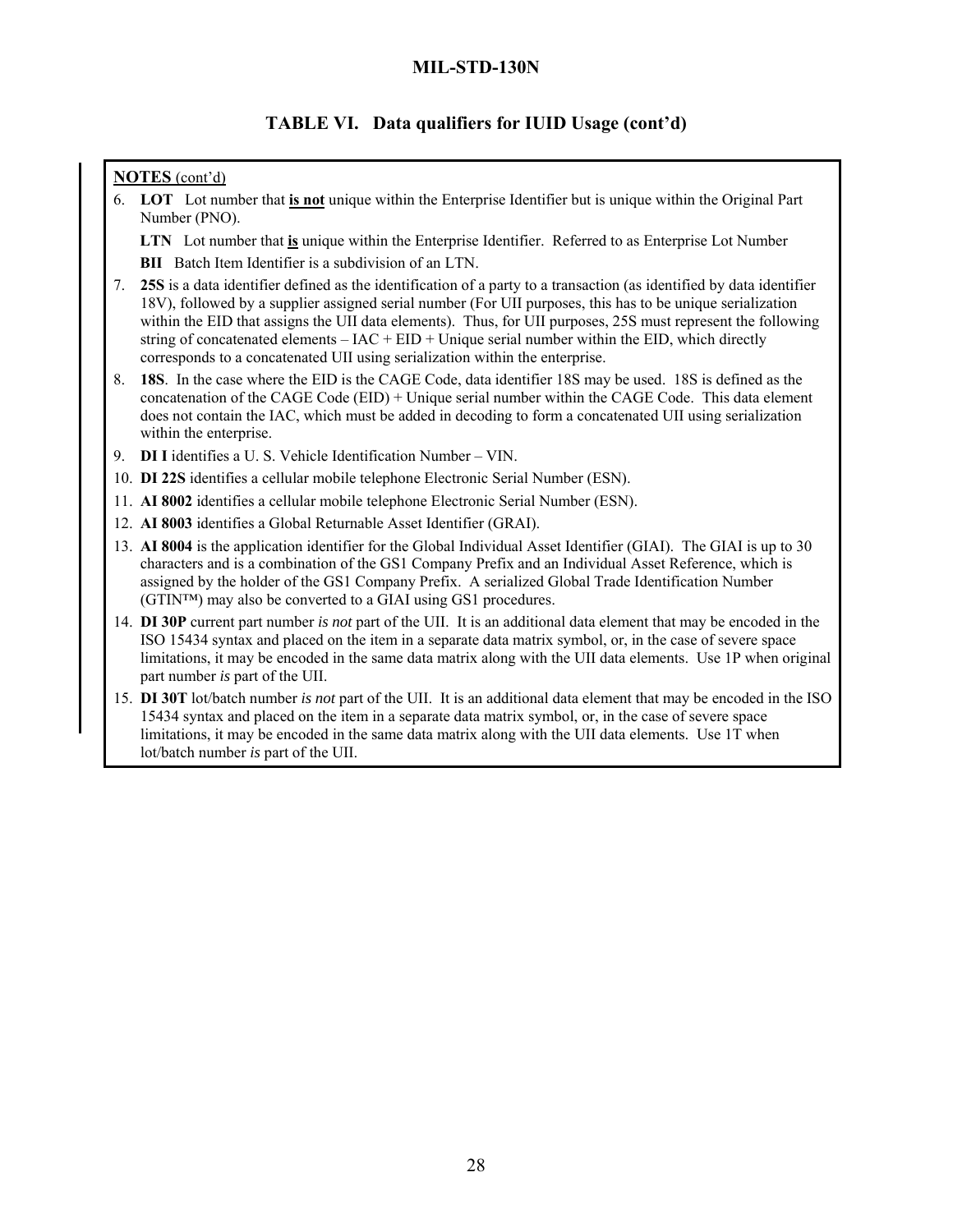#### **TABLE VI. Data qualifiers for IUID Usage (cont'd)**

#### **NOTES** (cont'd)

6. **LOT** Lot number that **is not** unique within the Enterprise Identifier but is unique within the Original Part Number (PNO).

**LTN** Lot number that **is** unique within the Enterprise Identifier. Referred to as Enterprise Lot Number **BII** Batch Item Identifier is a subdivision of an LTN.

- 7. **25S** is a data identifier defined as the identification of a party to a transaction (as identified by data identifier 18V), followed by a supplier assigned serial number (For UII purposes, this has to be unique serialization within the EID that assigns the UII data elements). Thus, for UII purposes, 25S must represent the following string of concatenated elements  $- IAC + EID + Unique \, serial \, number \, within \, the \, EID, which \, directly$ corresponds to a concatenated UII using serialization within the enterprise.
- 8. **18S**. In the case where the EID is the CAGE Code, data identifier 18S may be used. 18S is defined as the concatenation of the CAGE Code (EID) + Unique serial number within the CAGE Code. This data element does not contain the IAC, which must be added in decoding to form a concatenated UII using serialization within the enterprise.
- 9. **DI I** identifies a U. S. Vehicle Identification Number VIN.
- 10. **DI 22S** identifies a cellular mobile telephone Electronic Serial Number (ESN).
- 11. **AI 8002** identifies a cellular mobile telephone Electronic Serial Number (ESN).
- 12. **AI 8003** identifies a Global Returnable Asset Identifier (GRAI).
- 13. **AI 8004** is the application identifier for the Global Individual Asset Identifier (GIAI). The GIAI is up to 30 characters and is a combination of the GS1 Company Prefix and an Individual Asset Reference, which is assigned by the holder of the GS1 Company Prefix. A serialized Global Trade Identification Number (GTIN™) may also be converted to a GIAI using GS1 procedures.
- 14. **DI 30P** current part number *is not* part of the UII. It is an additional data element that may be encoded in the ISO 15434 syntax and placed on the item in a separate data matrix symbol, or, in the case of severe space limitations, it may be encoded in the same data matrix along with the UII data elements. Use 1P when original part number *is* part of the UII.
- 15. **DI 30T** lot/batch number *is not* part of the UII. It is an additional data element that may be encoded in the ISO 15434 syntax and placed on the item in a separate data matrix symbol, or, in the case of severe space limitations, it may be encoded in the same data matrix along with the UII data elements. Use 1T when lot/batch number *is* part of the UII.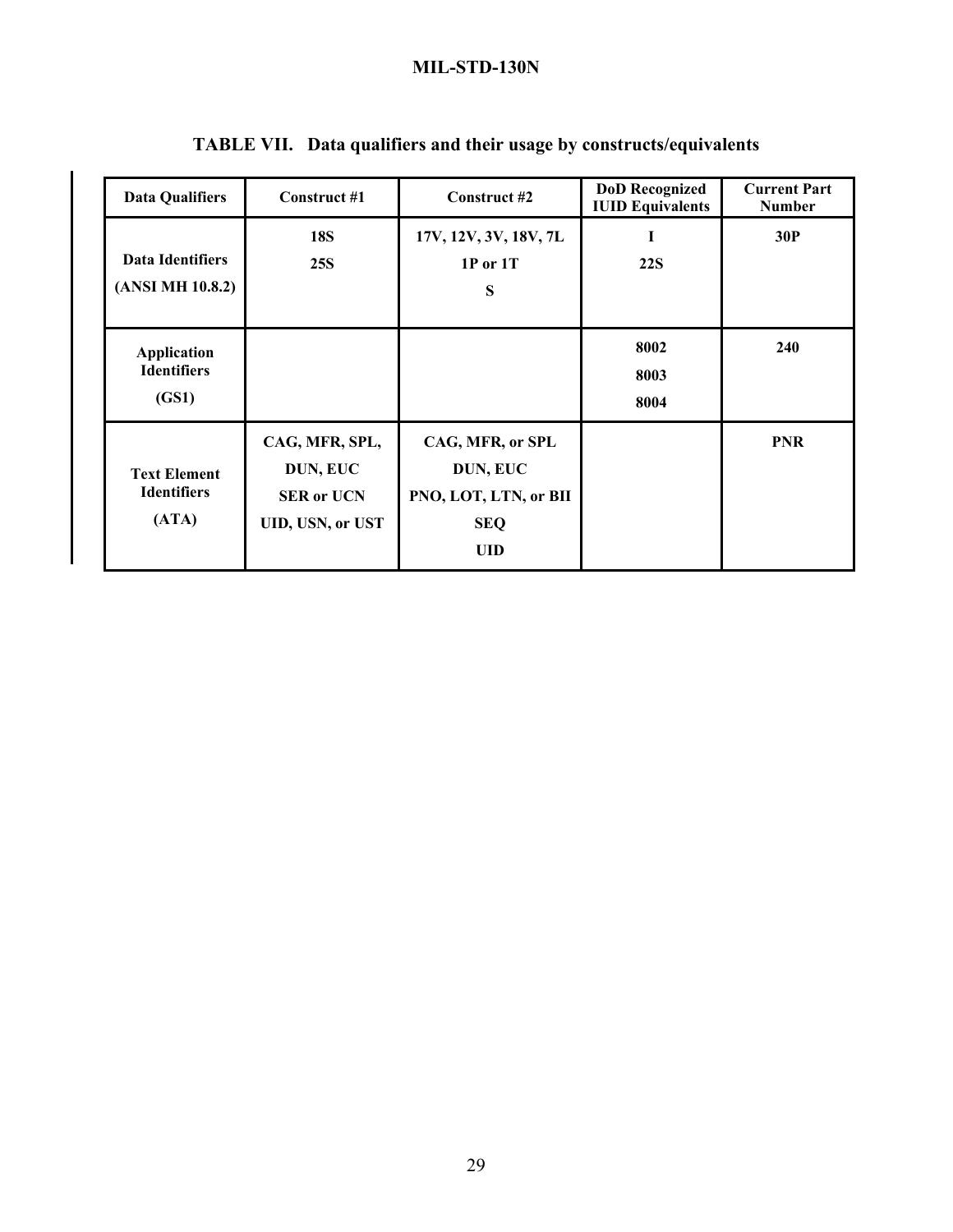| <b>Data Qualifiers</b>                             | Construct #1                                                        | Construct #2                                                                      | <b>DoD</b> Recognized<br><b>IUID Equivalents</b> | <b>Current Part</b><br><b>Number</b> |
|----------------------------------------------------|---------------------------------------------------------------------|-----------------------------------------------------------------------------------|--------------------------------------------------|--------------------------------------|
| <b>Data Identifiers</b><br>(ANSI MH 10.8.2)        | <b>18S</b><br><b>25S</b>                                            | 17V, 12V, 3V, 18V, 7L<br>1P or 1T<br>S                                            | I<br><b>22S</b>                                  | 30P                                  |
| <b>Application</b><br><b>Identifiers</b><br>(GS1)  |                                                                     |                                                                                   | 8002<br>8003<br>8004                             | 240                                  |
| <b>Text Element</b><br><b>Identifiers</b><br>(ATA) | CAG, MFR, SPL,<br>DUN, EUC<br><b>SER or UCN</b><br>UID, USN, or UST | CAG, MFR, or SPL<br>DUN, EUC<br>PNO, LOT, LTN, or BII<br><b>SEQ</b><br><b>UID</b> |                                                  | <b>PNR</b>                           |

**TABLE VII. Data qualifiers and their usage by constructs/equivalents**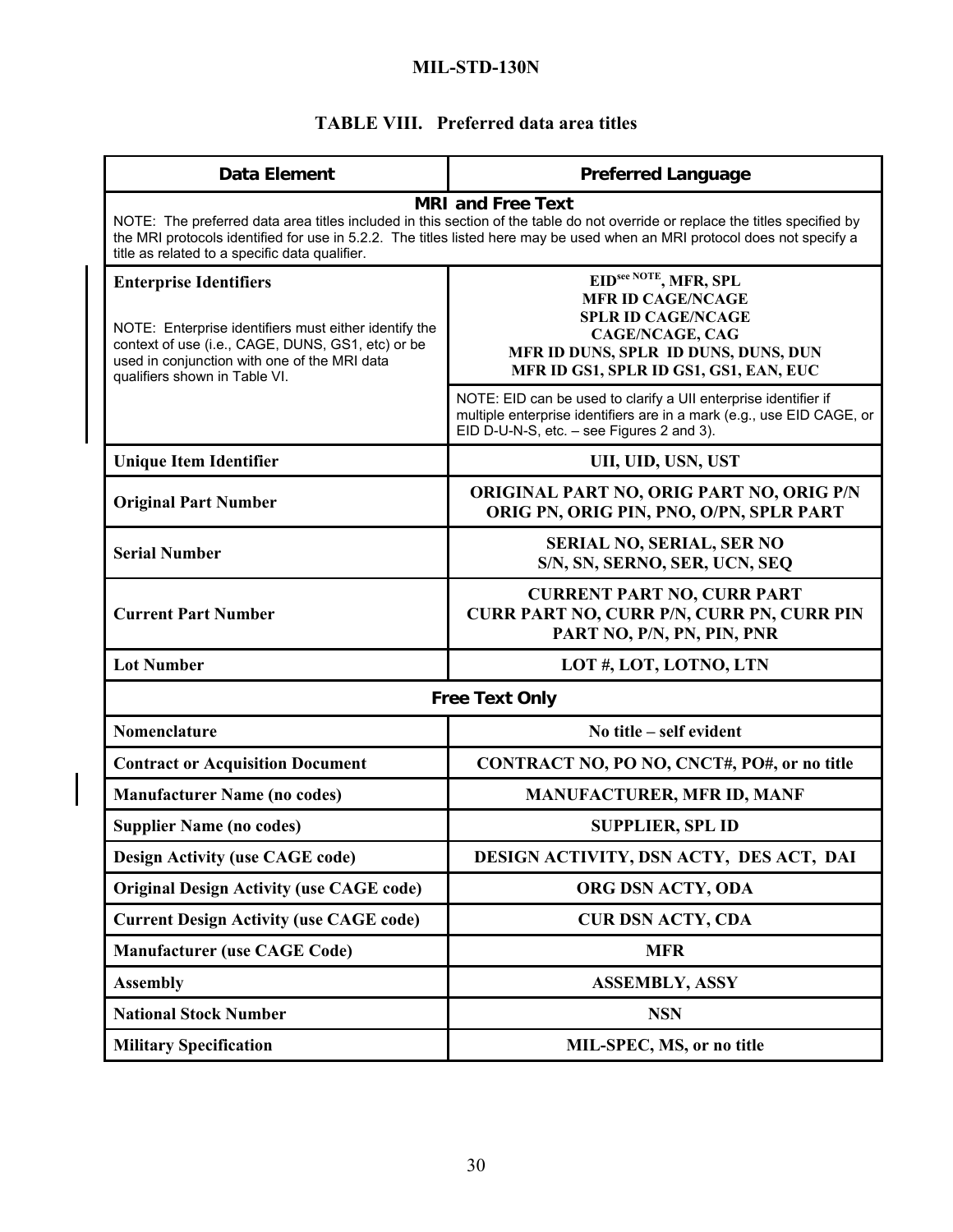|  | <b>TABLE VIII.</b> Preferred data area titles |
|--|-----------------------------------------------|
|--|-----------------------------------------------|

| <b>Data Element</b>                                                                                                                                                                                                          | <b>Preferred Language</b>                                                                                                                                                                                                                                                                                                                    |
|------------------------------------------------------------------------------------------------------------------------------------------------------------------------------------------------------------------------------|----------------------------------------------------------------------------------------------------------------------------------------------------------------------------------------------------------------------------------------------------------------------------------------------------------------------------------------------|
| title as related to a specific data qualifier.                                                                                                                                                                               | <b>MRI and Free Text</b><br>NOTE: The preferred data area titles included in this section of the table do not override or replace the titles specified by<br>the MRI protocols identified for use in 5.2.2. The titles listed here may be used when an MRI protocol does not specify a                                                       |
| <b>Enterprise Identifiers</b><br>NOTE: Enterprise identifiers must either identify the<br>context of use (i.e., CAGE, DUNS, GS1, etc) or be<br>used in conjunction with one of the MRI data<br>qualifiers shown in Table VI. | EID <sup>see NOTE</sup> , MFR, SPL<br><b>MFR ID CAGE/NCAGE</b><br><b>SPLR ID CAGE/NCAGE</b><br>CAGE/NCAGE, CAG<br>MFR ID DUNS, SPLR ID DUNS, DUNS, DUN<br>MFR ID GS1, SPLR ID GS1, GS1, EAN, EUC<br>NOTE: EID can be used to clarify a UII enterprise identifier if<br>multiple enterprise identifiers are in a mark (e.g., use EID CAGE, or |
|                                                                                                                                                                                                                              | EID D-U-N-S, etc. - see Figures 2 and 3).                                                                                                                                                                                                                                                                                                    |
| <b>Unique Item Identifier</b>                                                                                                                                                                                                | UII, UID, USN, UST                                                                                                                                                                                                                                                                                                                           |
| <b>Original Part Number</b>                                                                                                                                                                                                  | ORIGINAL PART NO, ORIG PART NO, ORIG P/N<br>ORIG PN, ORIG PIN, PNO, O/PN, SPLR PART                                                                                                                                                                                                                                                          |
| <b>Serial Number</b>                                                                                                                                                                                                         | <b>SERIAL NO, SERIAL, SER NO</b><br>S/N, SN, SERNO, SER, UCN, SEQ                                                                                                                                                                                                                                                                            |
| <b>Current Part Number</b>                                                                                                                                                                                                   | <b>CURRENT PART NO, CURR PART</b><br><b>CURR PART NO, CURR P/N, CURR PN, CURR PIN</b><br>PART NO, P/N, PN, PIN, PNR                                                                                                                                                                                                                          |
| <b>Lot Number</b>                                                                                                                                                                                                            | LOT#, LOT, LOTNO, LTN                                                                                                                                                                                                                                                                                                                        |
|                                                                                                                                                                                                                              | <b>Free Text Only</b>                                                                                                                                                                                                                                                                                                                        |
| Nomenclature                                                                                                                                                                                                                 | No title $-$ self evident                                                                                                                                                                                                                                                                                                                    |
| <b>Contract or Acquisition Document</b>                                                                                                                                                                                      | CONTRACT NO, PO NO, CNCT#, PO#, or no title                                                                                                                                                                                                                                                                                                  |
| <b>Manufacturer Name (no codes)</b>                                                                                                                                                                                          | <b>MANUFACTURER, MFR ID, MANF</b>                                                                                                                                                                                                                                                                                                            |
| <b>Supplier Name (no codes)</b>                                                                                                                                                                                              | <b>SUPPLIER, SPL ID</b>                                                                                                                                                                                                                                                                                                                      |
| <b>Design Activity (use CAGE code)</b>                                                                                                                                                                                       | DESIGN ACTIVITY, DSN ACTY, DES ACT, DAI                                                                                                                                                                                                                                                                                                      |
| <b>Original Design Activity (use CAGE code)</b>                                                                                                                                                                              | ORG DSN ACTY, ODA                                                                                                                                                                                                                                                                                                                            |
| <b>Current Design Activity (use CAGE code)</b>                                                                                                                                                                               | <b>CUR DSN ACTY, CDA</b>                                                                                                                                                                                                                                                                                                                     |
| <b>Manufacturer (use CAGE Code)</b>                                                                                                                                                                                          | <b>MFR</b>                                                                                                                                                                                                                                                                                                                                   |
| <b>Assembly</b>                                                                                                                                                                                                              | <b>ASSEMBLY, ASSY</b>                                                                                                                                                                                                                                                                                                                        |
| <b>National Stock Number</b>                                                                                                                                                                                                 | <b>NSN</b>                                                                                                                                                                                                                                                                                                                                   |
| <b>Military Specification</b>                                                                                                                                                                                                | MIL-SPEC, MS, or no title                                                                                                                                                                                                                                                                                                                    |

ı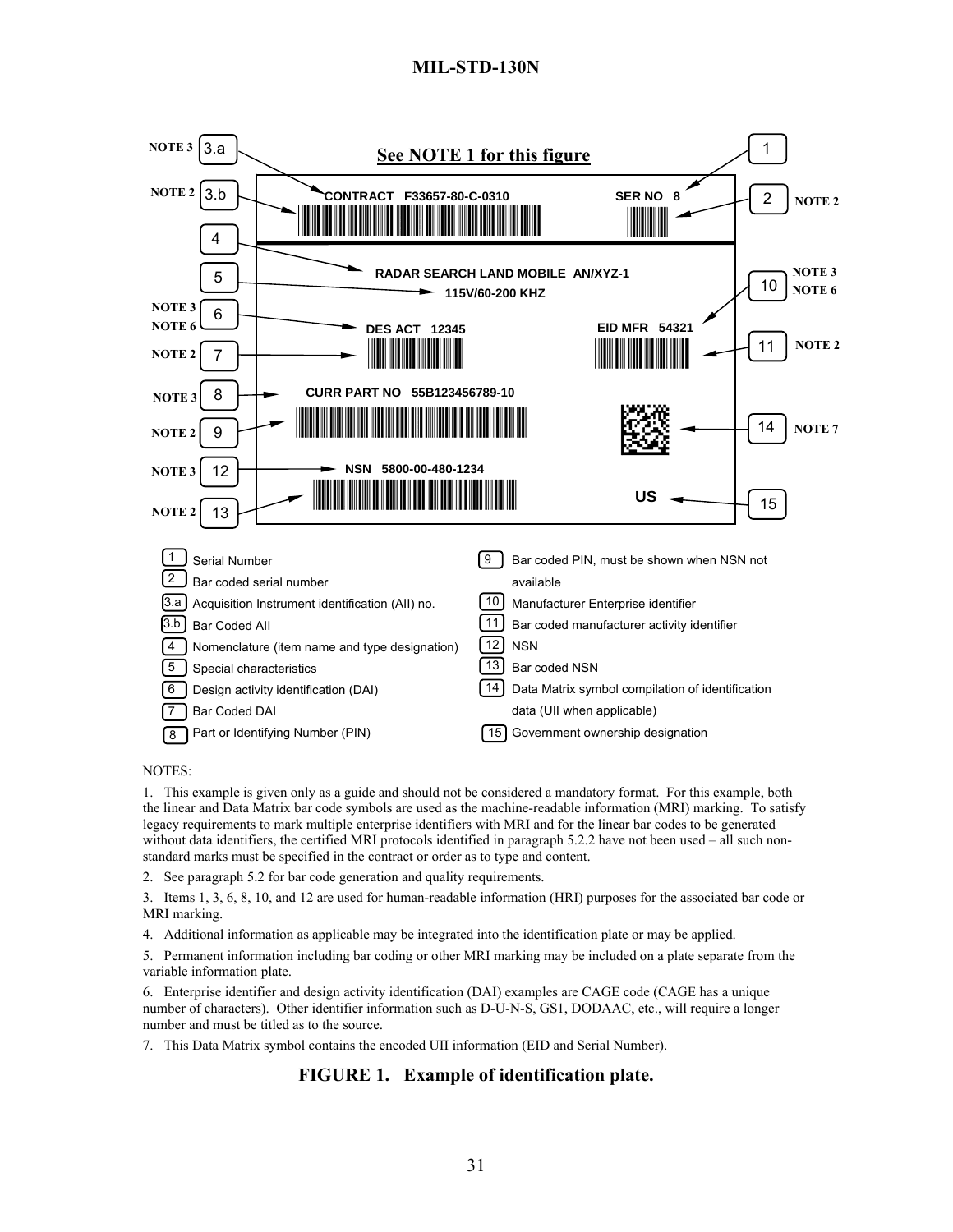

NOTES:

1. This example is given only as a guide and should not be considered a mandatory format. For this example, both the linear and Data Matrix bar code symbols are used as the machine-readable information (MRI) marking. To satisfy legacy requirements to mark multiple enterprise identifiers with MRI and for the linear bar codes to be generated without data identifiers, the certified MRI protocols identified in paragraph 5.2.2 have not been used – all such nonstandard marks must be specified in the contract or order as to type and content.

2. See paragraph 5.2 for bar code generation and quality requirements.

3. Items 1, 3, 6, 8, 10, and 12 are used for human-readable information (HRI) purposes for the associated bar code or MRI marking.

4. Additional information as applicable may be integrated into the identification plate or may be applied.

5. Permanent information including bar coding or other MRI marking may be included on a plate separate from the variable information plate.

6. Enterprise identifier and design activity identification (DAI) examples are CAGE code (CAGE has a unique number of characters). Other identifier information such as D-U-N-S, GS1, DODAAC, etc., will require a longer number and must be titled as to the source.

7. This Data Matrix symbol contains the encoded UII information (EID and Serial Number).

#### **FIGURE 1. Example of identification plate.**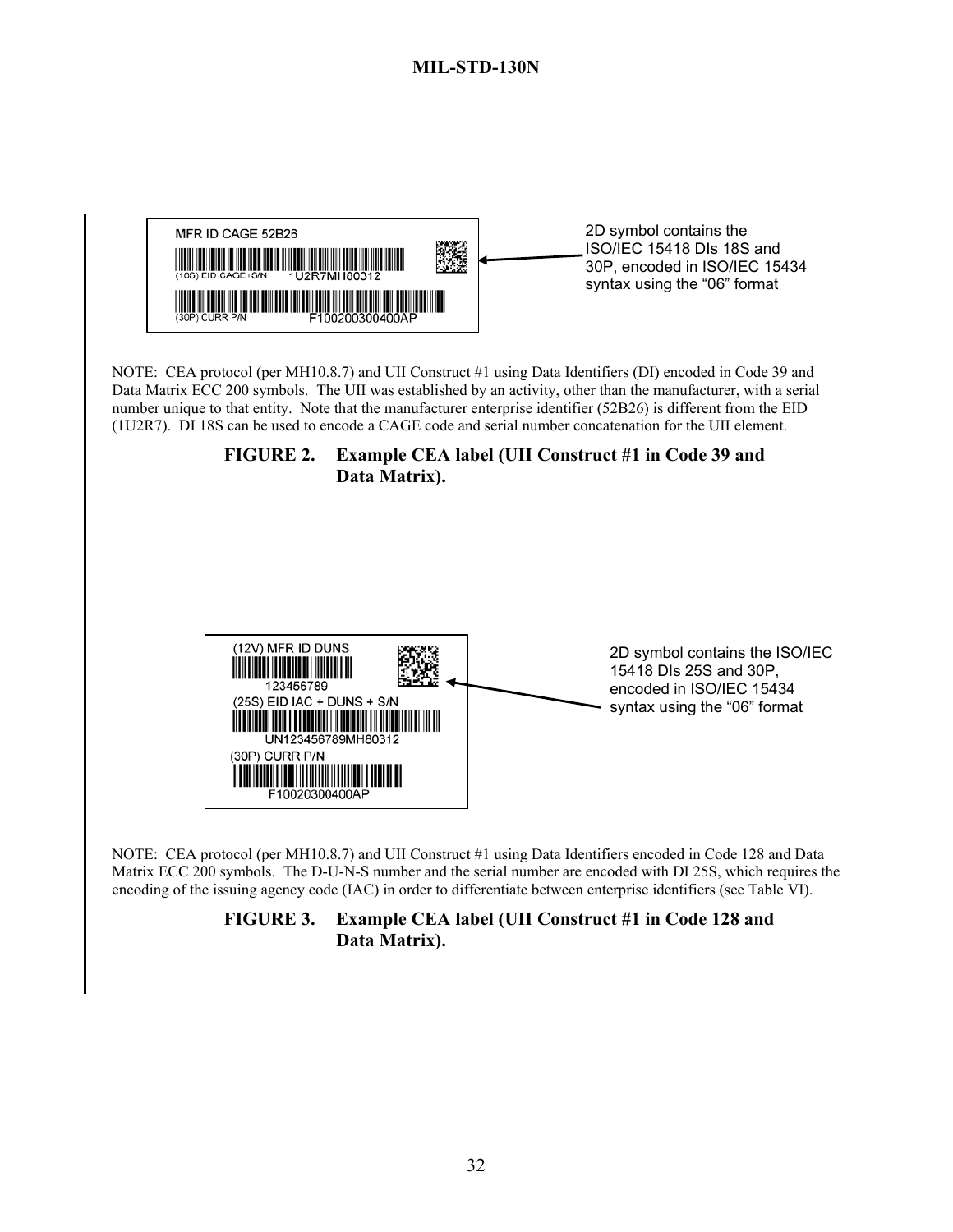

NOTE: CEA protocol (per MH10.8.7) and UII Construct #1 using Data Identifiers encoded in Code 128 and Data Matrix ECC 200 symbols. The D-U-N-S number and the serial number are encoded with DI 25S, which requires the encoding of the issuing agency code (IAC) in order to differentiate between enterprise identifiers (see Table VI).

<u> Tim é un proporcional de la proporc</u>ion F10020300400AP

**FIGURE 3. Example CEA label (UII Construct #1 in Code 128 and Data Matrix).**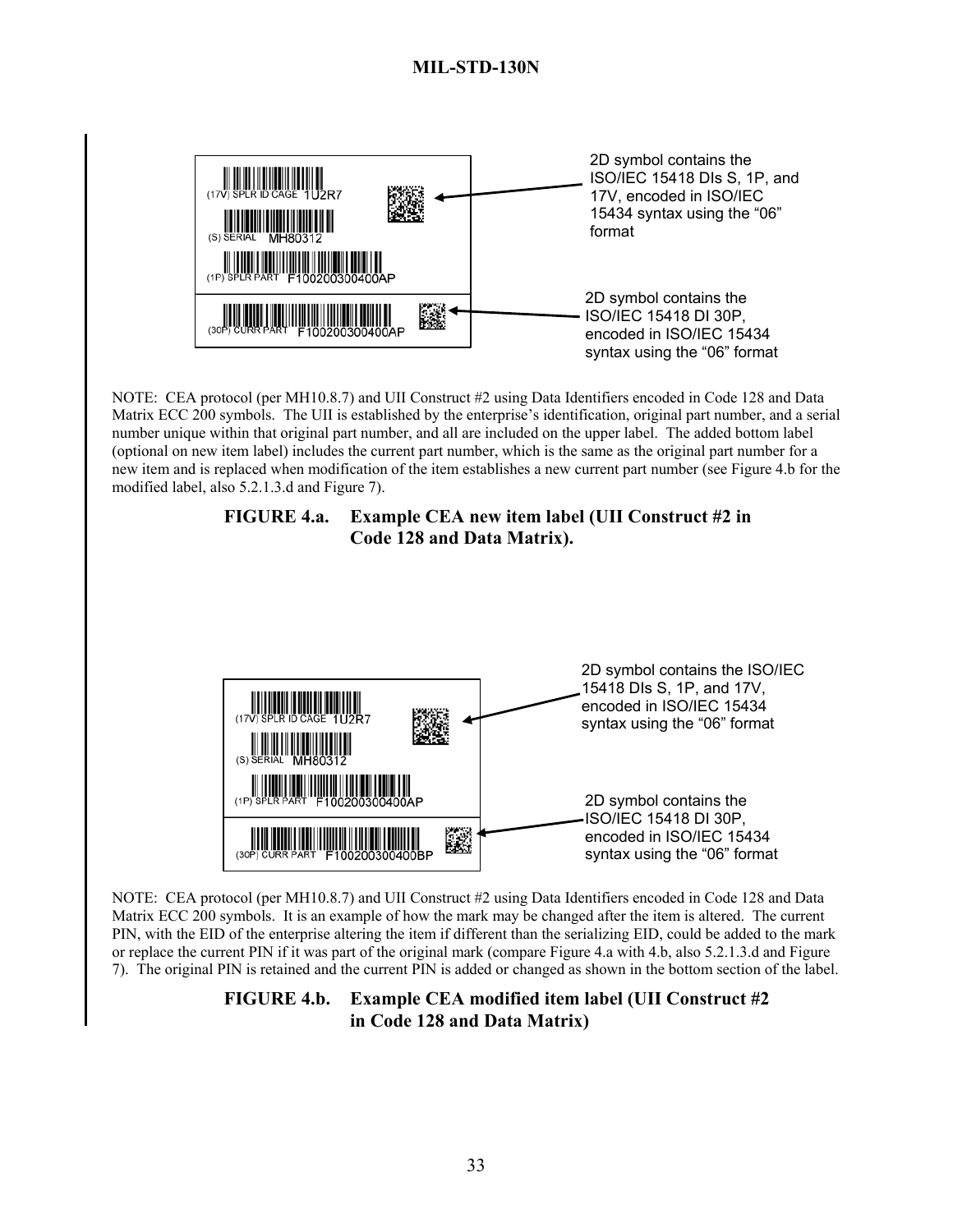

NOTE: CEA protocol (per MH10.8.7) and UII Construct #2 using Data Identifiers encoded in Code 128 and Data Matrix ECC 200 symbols. The UII is established by the enterprise's identification, original part number, and a serial number unique within that original part number, and all are included on the upper label. The added bottom label (optional on new item label) includes the current part number, which is the same as the original part number for a new item and is replaced when modification of the item establishes a new current part number (see Figure 4.b for the modified label, also 5.2.1.3.d and Figure 7).





NOTE: CEA protocol (per MH10.8.7) and UII Construct #2 using Data Identifiers encoded in Code 128 and Data Matrix ECC 200 symbols. It is an example of how the mark may be changed after the item is altered. The current PIN, with the EID of the enterprise altering the item if different than the serializing EID, could be added to the mark or replace the current PIN if it was part of the original mark (compare Figure 4.a with 4.b, also 5.2.1.3.d and Figure 7). The original PIN is retained and the current PIN is added or changed as shown in the bottom section of the label.

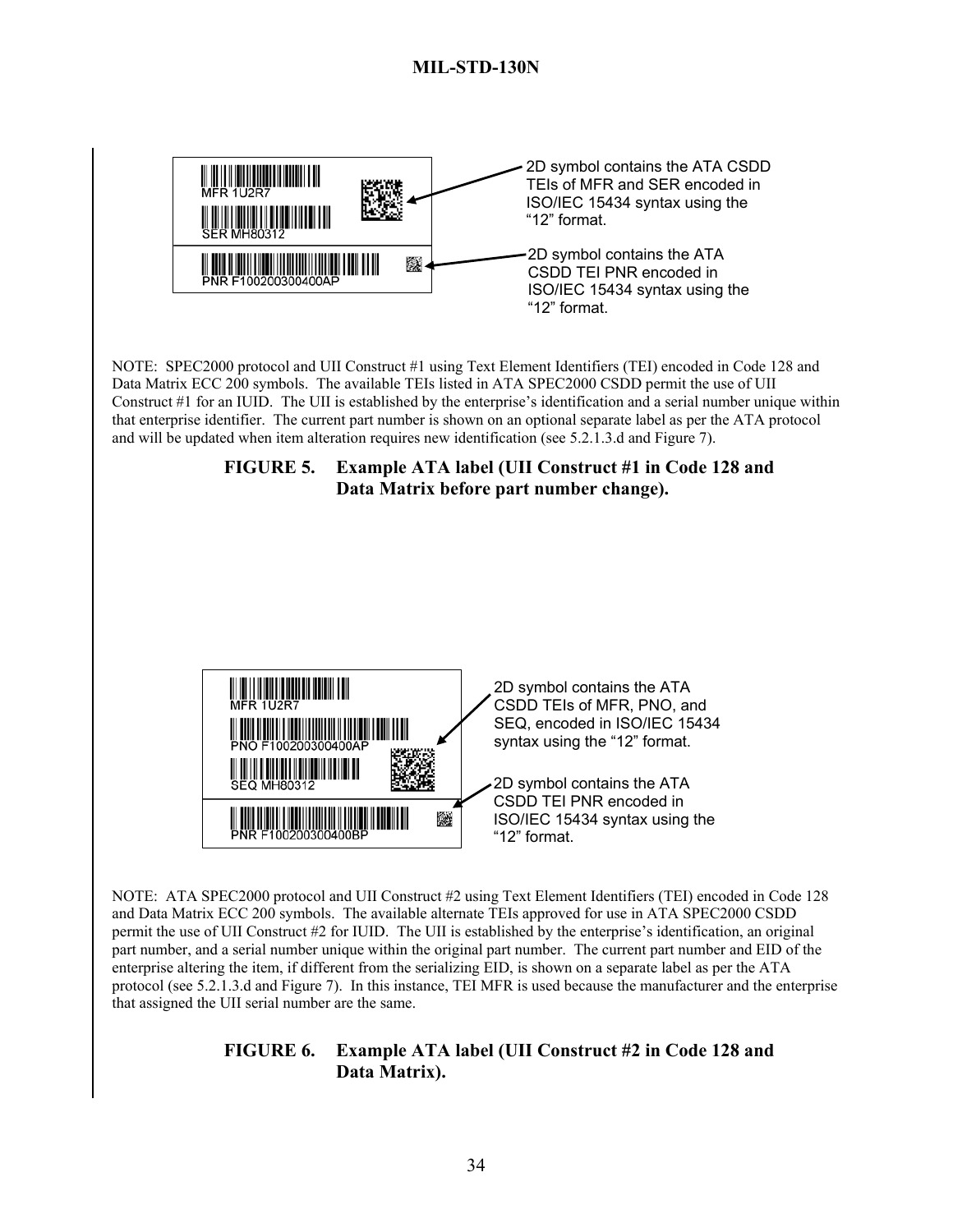

NOTE: ATA SPEC2000 protocol and UII Construct #2 using Text Element Identifiers (TEI) encoded in Code 128 and Data Matrix ECC 200 symbols. The available alternate TEIs approved for use in ATA SPEC2000 CSDD permit the use of UII Construct #2 for IUID. The UII is established by the enterprise's identification, an original part number, and a serial number unique within the original part number. The current part number and EID of the enterprise altering the item, if different from the serializing EID, is shown on a separate label as per the ATA protocol (see 5.2.1.3.d and Figure 7). In this instance, TEI MFR is used because the manufacturer and the enterprise that assigned the UII serial number are the same.

#### **FIGURE 6. Example ATA label (UII Construct #2 in Code 128 and Data Matrix).**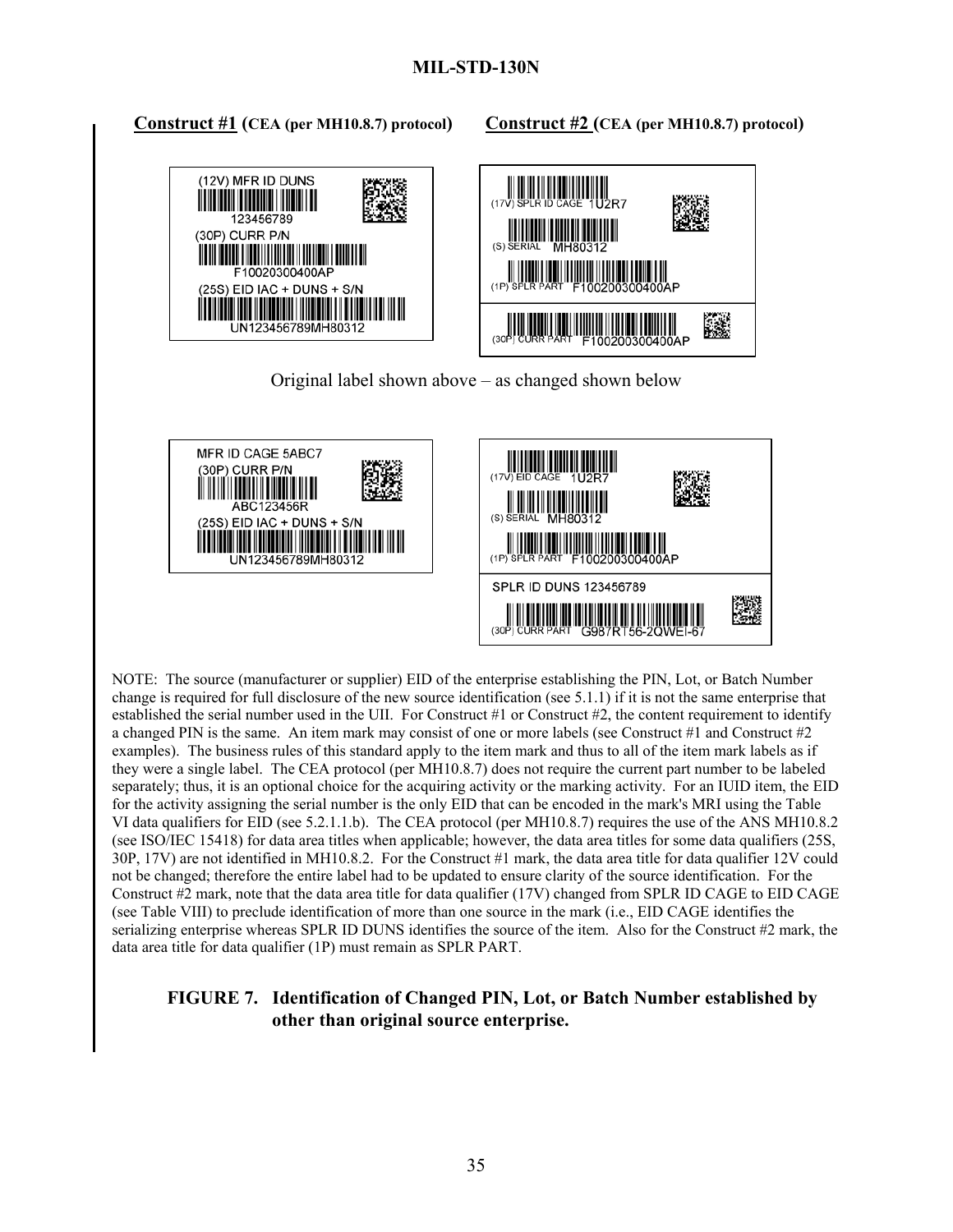**Construct #1 (CEA (per MH10.8.7) protocol) Construct #2 (CEA (per MH10.8.7) protocol)** 







NOTE: The source (manufacturer or supplier) EID of the enterprise establishing the PIN, Lot, or Batch Number change is required for full disclosure of the new source identification (see 5.1.1) if it is not the same enterprise that established the serial number used in the UII. For Construct #1 or Construct #2, the content requirement to identify a changed PIN is the same. An item mark may consist of one or more labels (see Construct #1 and Construct #2 examples). The business rules of this standard apply to the item mark and thus to all of the item mark labels as if they were a single label. The CEA protocol (per MH10.8.7) does not require the current part number to be labeled separately; thus, it is an optional choice for the acquiring activity or the marking activity. For an IUID item, the EID for the activity assigning the serial number is the only EID that can be encoded in the mark's MRI using the Table VI data qualifiers for EID (see 5.2.1.1.b). The CEA protocol (per MH10.8.7) requires the use of the ANS MH10.8.2 (see ISO/IEC 15418) for data area titles when applicable; however, the data area titles for some data qualifiers (25S, 30P, 17V) are not identified in MH10.8.2. For the Construct #1 mark, the data area title for data qualifier 12V could not be changed; therefore the entire label had to be updated to ensure clarity of the source identification. For the Construct #2 mark, note that the data area title for data qualifier (17V) changed from SPLR ID CAGE to EID CAGE (see Table VIII) to preclude identification of more than one source in the mark (i.e., EID CAGE identifies the serializing enterprise whereas SPLR ID DUNS identifies the source of the item. Also for the Construct #2 mark, the data area title for data qualifier (1P) must remain as SPLR PART.

#### **FIGURE 7. Identification of Changed PIN, Lot, or Batch Number established by other than original source enterprise.**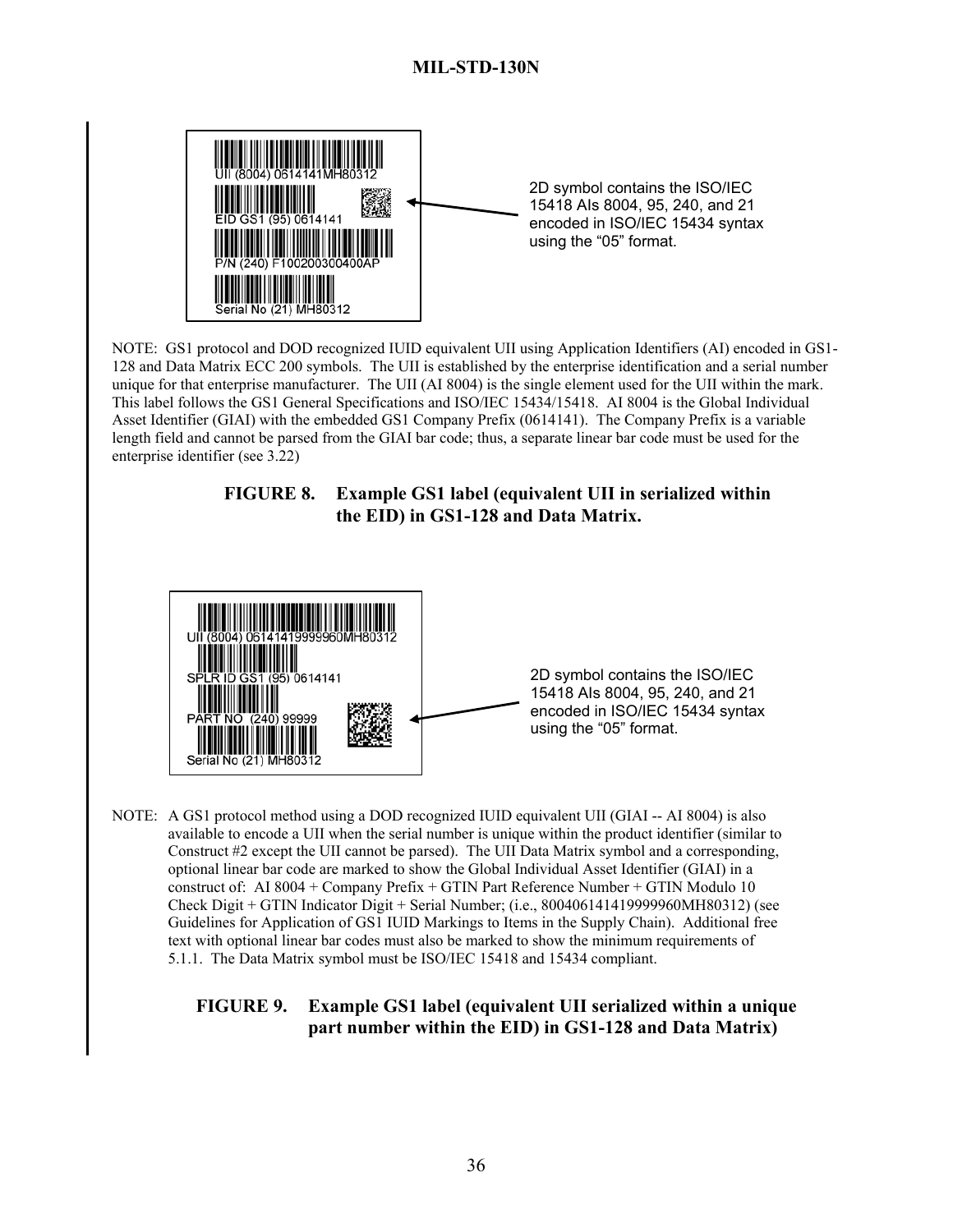

NOTE: GS1 protocol and DOD recognized IUID equivalent UII using Application Identifiers (AI) encoded in GS1- 128 and Data Matrix ECC 200 symbols. The UII is established by the enterprise identification and a serial number unique for that enterprise manufacturer. The UII (AI 8004) is the single element used for the UII within the mark. This label follows the GS1 General Specifications and ISO/IEC 15434/15418. AI 8004 is the Global Individual Asset Identifier (GIAI) with the embedded GS1 Company Prefix (0614141). The Company Prefix is a variable length field and cannot be parsed from the GIAI bar code; thus, a separate linear bar code must be used for the enterprise identifier (see 3.22)

#### **FIGURE 8. Example GS1 label (equivalent UII in serialized within the EID) in GS1-128 and Data Matrix.**



NOTE: A GS1 protocol method using a DOD recognized IUID equivalent UII (GIAI -- AI 8004) is also available to encode a UII when the serial number is unique within the product identifier (similar to Construct #2 except the UII cannot be parsed). The UII Data Matrix symbol and a corresponding, optional linear bar code are marked to show the Global Individual Asset Identifier (GIAI) in a construct of: AI 8004 + Company Prefix + GTIN Part Reference Number + GTIN Modulo 10 Check Digit + GTIN Indicator Digit + Serial Number; (i.e., 800406141419999960MH80312) (see Guidelines for Application of GS1 IUID Markings to Items in the Supply Chain). Additional free text with optional linear bar codes must also be marked to show the minimum requirements of 5.1.1. The Data Matrix symbol must be ISO/IEC 15418 and 15434 compliant.

## **FIGURE 9. Example GS1 label (equivalent UII serialized within a unique part number within the EID) in GS1-128 and Data Matrix)**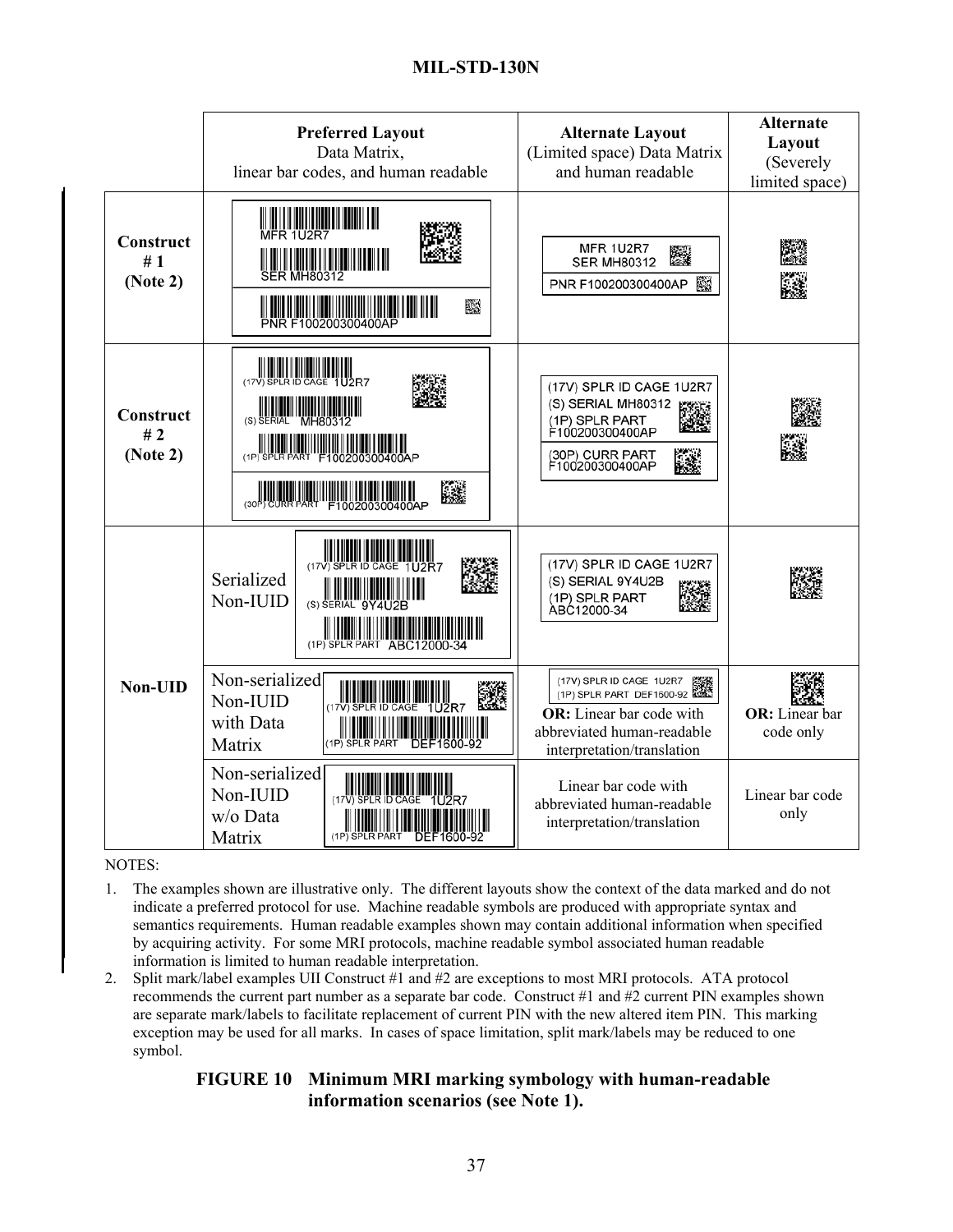|                                | <b>Preferred Layout</b><br>Data Matrix,<br>linear bar codes, and human readable                | <b>Alternate Layout</b><br>(Limited space) Data Matrix<br>and human readable                                                                  | <b>Alternate</b><br>Layout<br>(Severely<br>limited space) |
|--------------------------------|------------------------------------------------------------------------------------------------|-----------------------------------------------------------------------------------------------------------------------------------------------|-----------------------------------------------------------|
| Construct<br>#1<br>(Note 2)    | SER MH80312<br>臘                                                                               | MFR 1U2R7<br>膦<br><b>SER MH80312</b><br>PNR F100200300400AP                                                                                   |                                                           |
| Construct<br># $2$<br>(Note 2) | (17V) SPLR ID CAGE 1U2R7<br>(S) SERIAL<br>MH80312<br>R.                                        | (17V) SPLR ID CAGE 1U2R7<br>(S) SERIAL MH80312 PS<br>(1P) SPLR PART<br>F100200300400AP<br>(30P) CURR PART<br>F100200300400AP                  |                                                           |
|                                | CAGE 1U2R7<br>Serialized<br>Non-IUID<br>$(S)$ SERI<br>(1P) SPLR PART ABC12000-34               | (17V) SPLR ID CAGE 1U2R7<br>(S) SERIAL 9Y4U2B<br>(1P) SPLR PART<br>ABC12000-34                                                                |                                                           |
| Non-UID                        | Non-serialized<br>(17V) SPLR ID CAGE<br>▓<br>Non-IUID<br>IIIII<br>1U2R7<br>with Data<br>Matrix | (17V) SPLR ID CAGE 1U2R7<br>(1P) SPLR PART DEF1600-92<br>OR: Linear bar code with<br>abbreviated human-readable<br>interpretation/translation | <b>OR:</b> Linear bar<br>code only                        |
|                                | Non-serialized<br>Non-IUID<br>(17V)<br>w/o Data<br>(1P) SPLR PART<br>Matrix                    | Linear bar code with<br>abbreviated human-readable<br>interpretation/translation                                                              | Linear bar code<br>only                                   |

NOTES:

- 1. The examples shown are illustrative only. The different layouts show the context of the data marked and do not indicate a preferred protocol for use. Machine readable symbols are produced with appropriate syntax and semantics requirements. Human readable examples shown may contain additional information when specified by acquiring activity. For some MRI protocols, machine readable symbol associated human readable information is limited to human readable interpretation.
- 2. Split mark/label examples UII Construct #1 and #2 are exceptions to most MRI protocols. ATA protocol recommends the current part number as a separate bar code. Construct #1 and #2 current PIN examples shown are separate mark/labels to facilitate replacement of current PIN with the new altered item PIN. This marking exception may be used for all marks. In cases of space limitation, split mark/labels may be reduced to one symbol.

#### **FIGURE 10 Minimum MRI marking symbology with human-readable information scenarios (see Note 1).**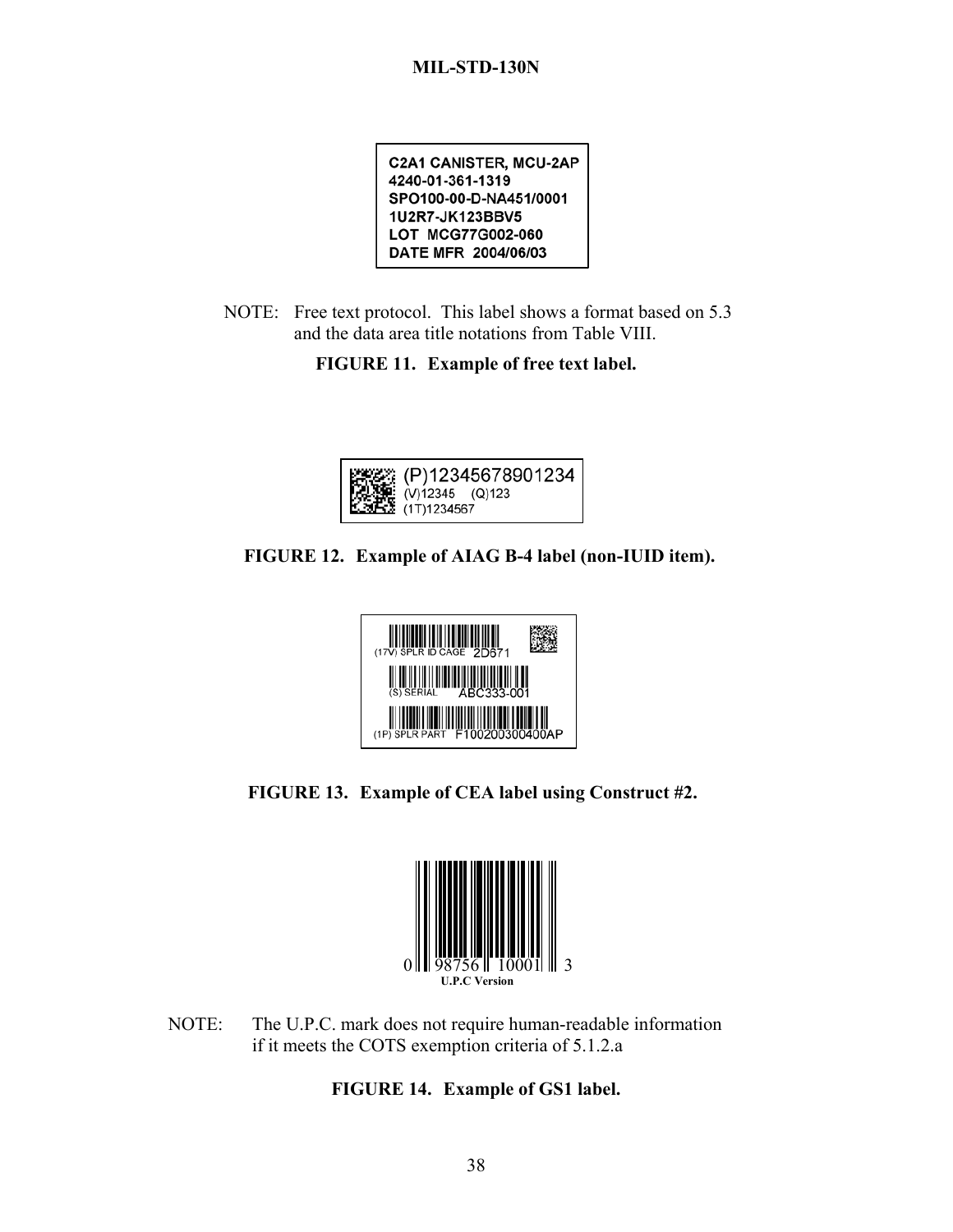C2A1 CANISTER, MCU-2AP 4240-01-361-1319 SPO100-00-D-NA451/0001 1U2R7-JK123BBV5 LOT MCG77G002-060 DATE MFR 2004/06/03

NOTE: Free text protocol. This label shows a format based on 5.3 and the data area title notations from Table VIII.

**FIGURE 11. Example of free text label.** 



**FIGURE 12. Example of AIAG B-4 label (non-IUID item).** 



**FIGURE 13. Example of CEA label using Construct #2.** 



NOTE: The U.P.C. mark does not require human-readable information if it meets the COTS exemption criteria of 5.1.2.a

**FIGURE 14. Example of GS1 label.**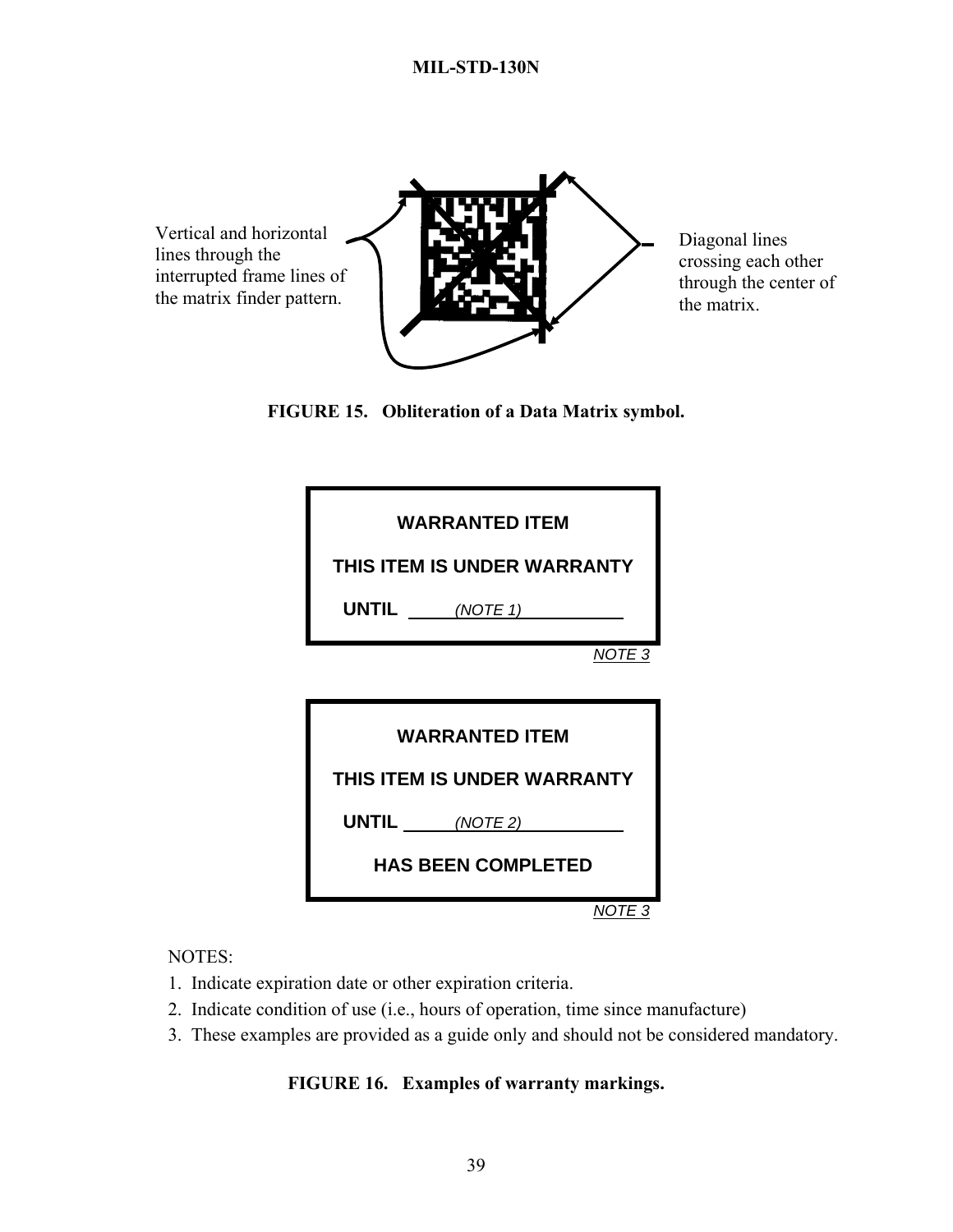Vertical and horizontal lines through the interrupted frame lines of the matrix finder pattern.



Diagonal lines crossing each other through the center of the matrix.

**FIGURE 15. Obliteration of a Data Matrix symbol.** 

| THIS ITEM IS UNDER WARRANTY<br>UNTIL $(NOTE 1)$<br>NOTE <sub>3</sub><br><b>WARRANTED ITEM</b><br>THIS ITEM IS UNDER WARRANTY | <b>WARRANTED ITEM</b> |
|------------------------------------------------------------------------------------------------------------------------------|-----------------------|
|                                                                                                                              |                       |
|                                                                                                                              |                       |
|                                                                                                                              |                       |
|                                                                                                                              |                       |
|                                                                                                                              |                       |
| UNTIL $(NOTE 2)$                                                                                                             |                       |
| <b>HAS BEEN COMPLETED</b>                                                                                                    |                       |

NOTES:

- 1. Indicate expiration date or other expiration criteria.
- 2. Indicate condition of use (i.e., hours of operation, time since manufacture)
- 3. These examples are provided as a guide only and should not be considered mandatory.

## **FIGURE 16. Examples of warranty markings.**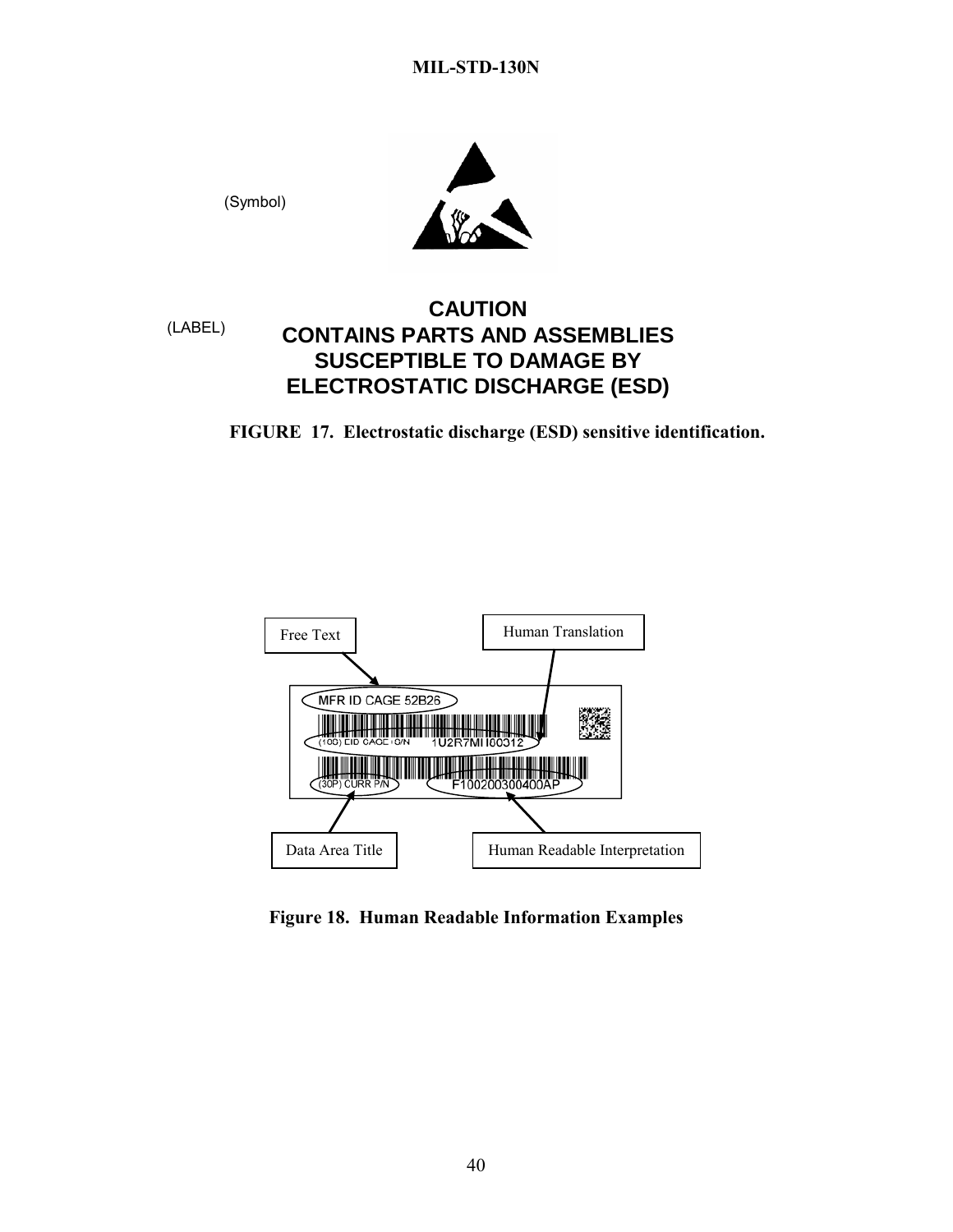

(Symbol)

#### (LABEL)

## **CAUTION CONTAINS PARTS AND ASSEMBLIES SUSCEPTIBLE TO DAMAGE BY ELECTROSTATIC DISCHARGE (ESD)**

 **FIGURE 17. Electrostatic discharge (ESD) sensitive identification.**



**Figure 18. Human Readable Information Examples**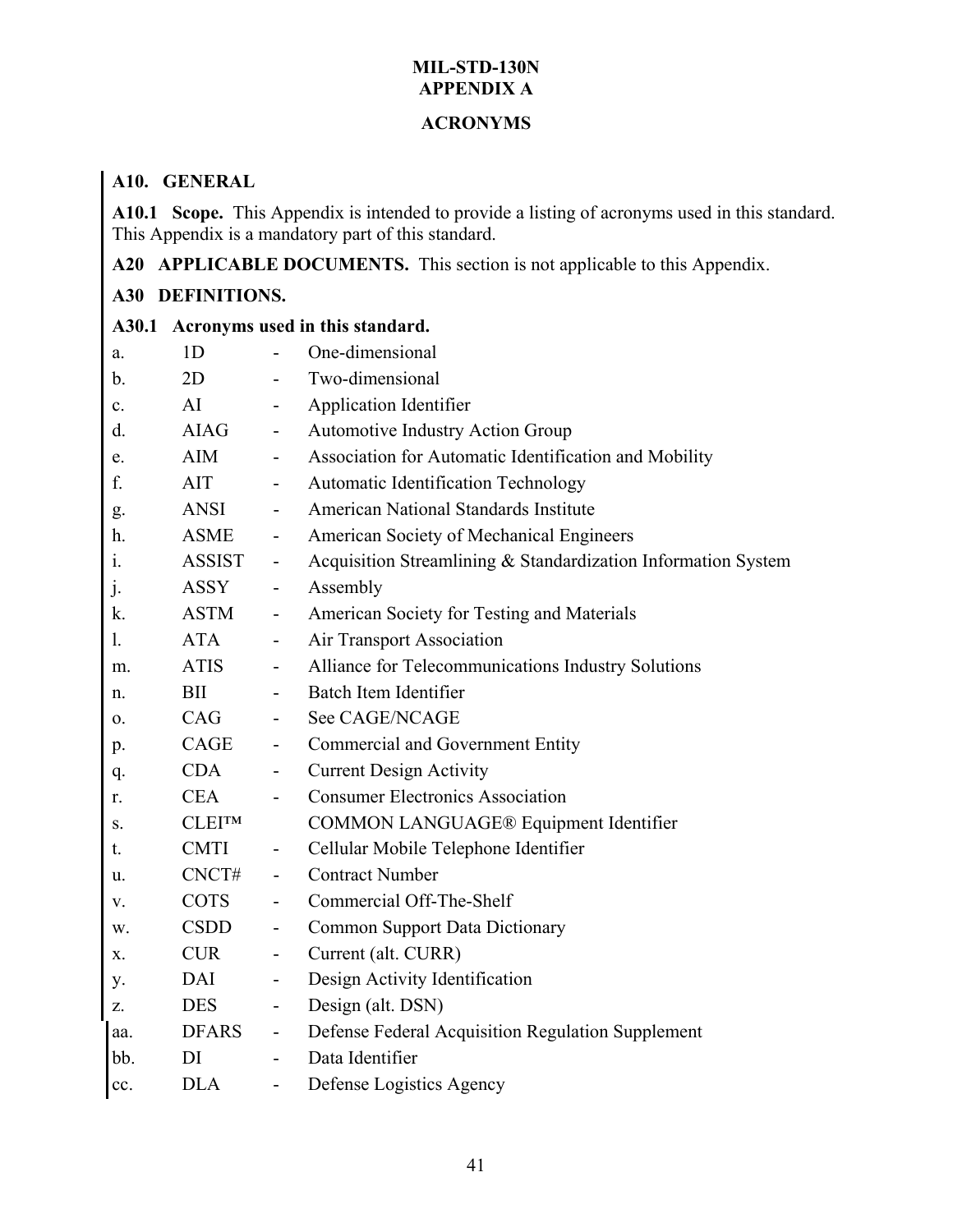## **MIL-STD-130N APPENDIX A**

#### **ACRONYMS**

## **A10. GENERAL**

**A10.1 Scope.** This Appendix is intended to provide a listing of acronyms used in this standard. This Appendix is a mandatory part of this standard.

**A20 APPLICABLE DOCUMENTS.** This section is not applicable to this Appendix.

## **A30 DEFINITIONS.**

#### **A30.1 Acronyms used in this standard.**

| a.             | 1 <sub>D</sub> | $\overline{\phantom{0}}$     | One-dimensional                                               |
|----------------|----------------|------------------------------|---------------------------------------------------------------|
| $\mathbf b$ .  | 2D             | $\overline{\phantom{0}}$     | Two-dimensional                                               |
| $\mathbf{c}$ . | AI             |                              | Application Identifier                                        |
| d.             | AIAG           | $\qquad \qquad \blacksquare$ | <b>Automotive Industry Action Group</b>                       |
| e.             | <b>AIM</b>     |                              | Association for Automatic Identification and Mobility         |
| f.             | AIT            | $\blacksquare$               | Automatic Identification Technology                           |
| g.             | <b>ANSI</b>    |                              | American National Standards Institute                         |
| h.             | ASME           | ۰                            | American Society of Mechanical Engineers                      |
| 1.             | <b>ASSIST</b>  | $\overline{\phantom{a}}$     | Acquisition Streamlining & Standardization Information System |
| $\mathbf{J}$   | <b>ASSY</b>    | $\qquad \qquad \blacksquare$ | Assembly                                                      |
| k.             | ASTM           | $\overline{\phantom{a}}$     | American Society for Testing and Materials                    |
| 1.             | <b>ATA</b>     | $\overline{\phantom{0}}$     | Air Transport Association                                     |
| m.             | <b>ATIS</b>    | $\blacksquare$               | Alliance for Telecommunications Industry Solutions            |
| n.             | BII            |                              | Batch Item Identifier                                         |
| 0.             | CAG            | $\overline{\phantom{0}}$     | See CAGE/NCAGE                                                |
| p.             | CAGE           | ۰                            | <b>Commercial and Government Entity</b>                       |
| q.             | <b>CDA</b>     | ۰                            | <b>Current Design Activity</b>                                |
| r.             | <b>CEA</b>     |                              | <b>Consumer Electronics Association</b>                       |
| S.             | CLEITM         |                              | <b>COMMON LANGUAGE® Equipment Identifier</b>                  |
| t.             | <b>CMTI</b>    | $\qquad \qquad \blacksquare$ | Cellular Mobile Telephone Identifier                          |
| u.             | CNCT#          |                              | <b>Contract Number</b>                                        |
| V.             | COTS           | $\qquad \qquad \blacksquare$ | Commercial Off-The-Shelf                                      |
| W.             | CSDD           | $\qquad \qquad \blacksquare$ | <b>Common Support Data Dictionary</b>                         |
| X.             | <b>CUR</b>     | $\blacksquare$               | Current (alt. CURR)                                           |
| у.             | DAI            | $\qquad \qquad \blacksquare$ | Design Activity Identification                                |
| Z.             | <b>DES</b>     | $\blacksquare$               | Design (alt. DSN)                                             |
| aa.            | <b>DFARS</b>   | $\blacksquare$               | Defense Federal Acquisition Regulation Supplement             |
| bb.            | DI             | $\overline{\phantom{a}}$     | Data Identifier                                               |
| cc.            | <b>DLA</b>     | $\qquad \qquad \blacksquare$ | Defense Logistics Agency                                      |
|                |                |                              |                                                               |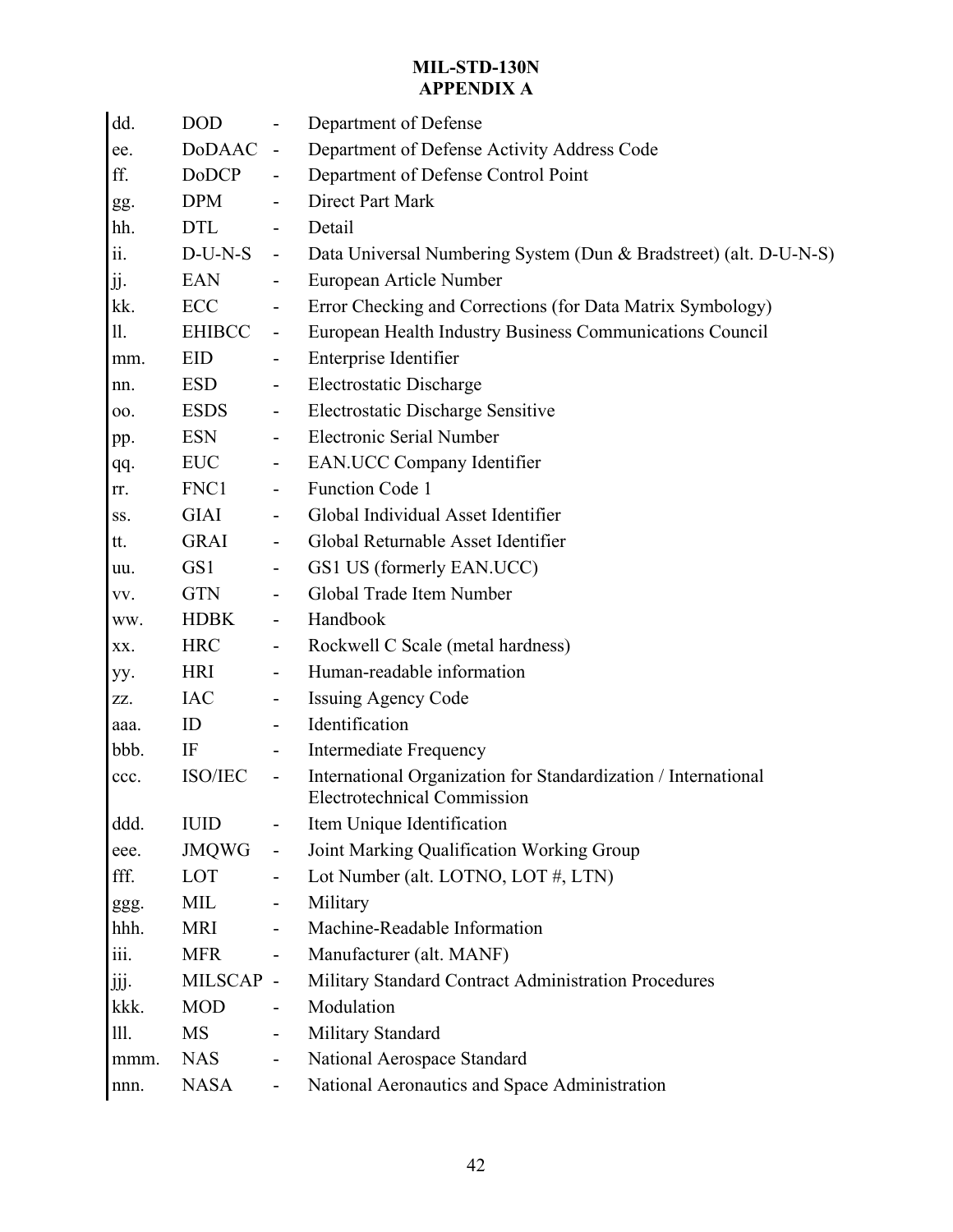## **MIL-STD-130N APPENDIX A**

| dd.  | <b>DOD</b>    | $\qquad \qquad \blacksquare$ | Department of Defense                                                                                |
|------|---------------|------------------------------|------------------------------------------------------------------------------------------------------|
| ee.  | <b>DoDAAC</b> | $\blacksquare$               | Department of Defense Activity Address Code                                                          |
| ff.  | <b>DoDCP</b>  | $\overline{\phantom{a}}$     | Department of Defense Control Point                                                                  |
| gg.  | <b>DPM</b>    | $\overline{\phantom{a}}$     | Direct Part Mark                                                                                     |
| hh.  | <b>DTL</b>    | $\qquad \qquad -$            | Detail                                                                                               |
| 11.  | $D-U-N-S$     | $\blacksquare$               | Data Universal Numbering System (Dun & Bradstreet) (alt. D-U-N-S)                                    |
| jj.  | <b>EAN</b>    | $\blacksquare$               | European Article Number                                                                              |
| kk.  | ECC           | $\overline{\phantom{a}}$     | Error Checking and Corrections (for Data Matrix Symbology)                                           |
| 11.  | <b>EHIBCC</b> | $\blacksquare$               | European Health Industry Business Communications Council                                             |
| mm.  | EID           | $\overline{\phantom{a}}$     | Enterprise Identifier                                                                                |
| nn.  | <b>ESD</b>    | $\overline{\phantom{a}}$     | <b>Electrostatic Discharge</b>                                                                       |
| 00.  | <b>ESDS</b>   | $\overline{\phantom{a}}$     | <b>Electrostatic Discharge Sensitive</b>                                                             |
| pp.  | <b>ESN</b>    | $\overline{\phantom{a}}$     | <b>Electronic Serial Number</b>                                                                      |
| qq.  | <b>EUC</b>    | $\frac{1}{2}$                | EAN.UCC Company Identifier                                                                           |
| rr.  | FNC1          | $\overline{\phantom{a}}$     | Function Code 1                                                                                      |
| SS.  | <b>GIAI</b>   |                              | Global Individual Asset Identifier                                                                   |
| tt.  | <b>GRAI</b>   | $\overline{\phantom{a}}$     | Global Returnable Asset Identifier                                                                   |
| uu.  | GS1           | $\blacksquare$               | GS1 US (formerly EAN.UCC)                                                                            |
| VV.  | <b>GTN</b>    | $\qquad \qquad \blacksquare$ | Global Trade Item Number                                                                             |
| WW.  | <b>HDBK</b>   | $\overline{\phantom{a}}$     | Handbook                                                                                             |
| XX.  | <b>HRC</b>    | $\overline{\phantom{a}}$     | Rockwell C Scale (metal hardness)                                                                    |
| yy.  | <b>HRI</b>    | ÷,                           | Human-readable information                                                                           |
| ZZ.  | <b>IAC</b>    | $\blacksquare$               | Issuing Agency Code                                                                                  |
| aaa. | ID            | $\qquad \qquad \blacksquare$ | Identification                                                                                       |
| bbb. | IF            | $\overline{\phantom{a}}$     | <b>Intermediate Frequency</b>                                                                        |
| ccc. | ISO/IEC       | $\overline{\phantom{a}}$     | International Organization for Standardization / International<br><b>Electrotechnical Commission</b> |
| ddd. | <b>IUID</b>   |                              | Item Unique Identification                                                                           |
| eee. | <b>JMQWG</b>  | $\qquad \qquad -$            | Joint Marking Qualification Working Group                                                            |
| fff. | LOT           | $\overline{\phantom{a}}$     | Lot Number (alt. LOTNO, LOT #, LTN)                                                                  |
| ggg. | MIL           | ۰                            | Military                                                                                             |
| hhh. | MRI           | $\overline{\phantom{a}}$     | Machine-Readable Information                                                                         |
| iii. | <b>MFR</b>    | ۰                            | Manufacturer (alt. MANF)                                                                             |
| jjj. | MILSCAP -     |                              | Military Standard Contract Administration Procedures                                                 |
| kkk. | <b>MOD</b>    | $\blacksquare$               | Modulation                                                                                           |
| 111. | MS            | $\overline{\phantom{0}}$     | Military Standard                                                                                    |
| mmm. | <b>NAS</b>    | $\qquad \qquad \blacksquare$ | National Aerospace Standard                                                                          |
| nnn. | <b>NASA</b>   | -                            | National Aeronautics and Space Administration                                                        |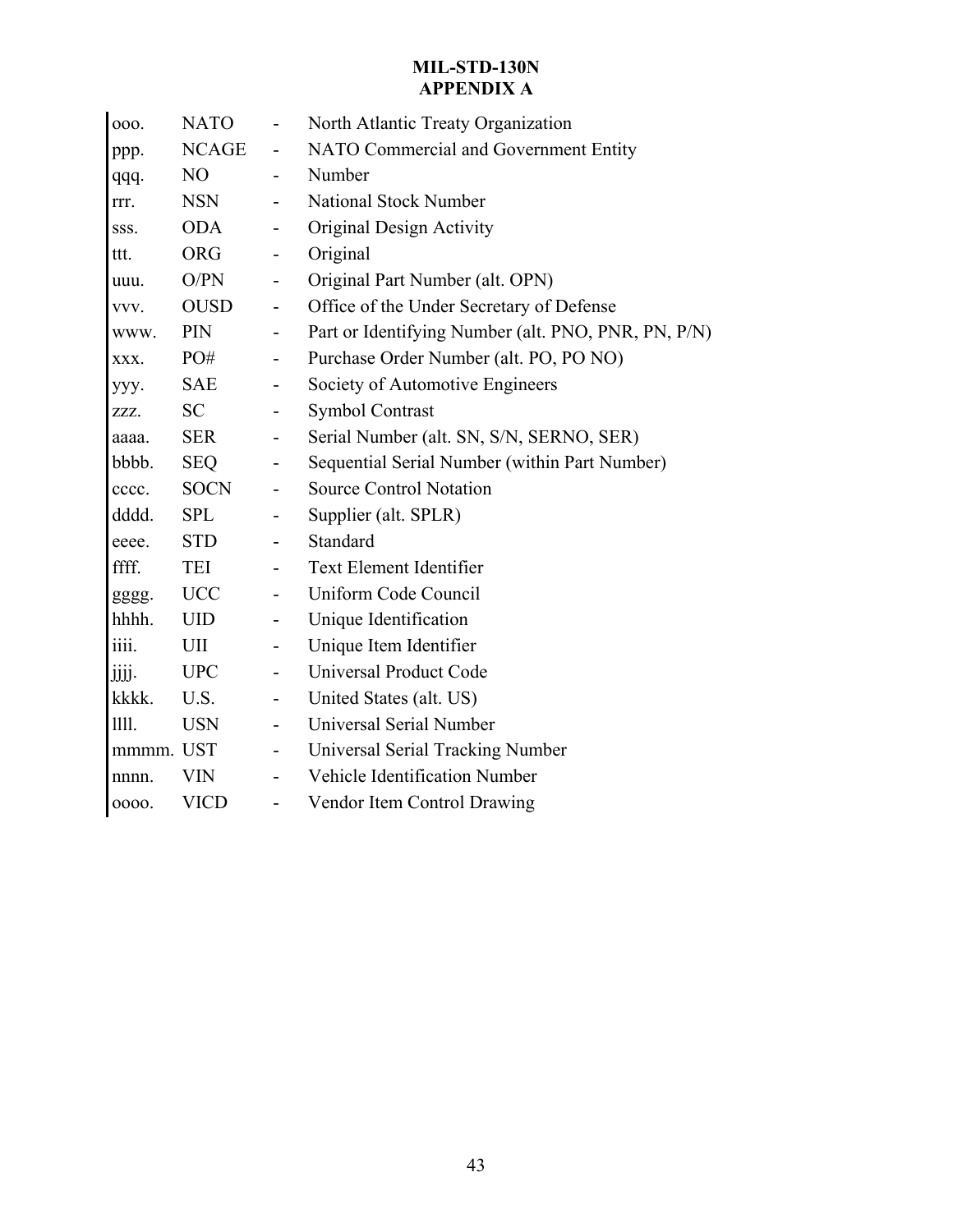## **MIL-STD-130N APPENDIX A**

| 000.      | <b>NATO</b>    | $\qquad \qquad \blacksquare$ | North Atlantic Treaty Organization                  |
|-----------|----------------|------------------------------|-----------------------------------------------------|
| ppp.      | <b>NCAGE</b>   | $\blacksquare$               | NATO Commercial and Government Entity               |
| qqq.      | N <sub>O</sub> |                              | Number                                              |
| rrr.      | <b>NSN</b>     | $\overline{\phantom{a}}$     | <b>National Stock Number</b>                        |
| SSS.      | <b>ODA</b>     | $\overline{\phantom{a}}$     | Original Design Activity                            |
| ttt.      | <b>ORG</b>     | $\qquad \qquad \blacksquare$ | Original                                            |
| uuu.      | O/PN           | $\blacksquare$               | Original Part Number (alt. OPN)                     |
| VVV.      | <b>OUSD</b>    | $\blacksquare$               | Office of the Under Secretary of Defense            |
| WWW.      | PIN            | $\overline{\phantom{a}}$     | Part or Identifying Number (alt. PNO, PNR, PN, P/N) |
| XXX.      | PO#            | $\overline{a}$               | Purchase Order Number (alt. PO, PO NO)              |
| ууу.      | <b>SAE</b>     | $\qquad \qquad \blacksquare$ | Society of Automotive Engineers                     |
| ZZZ.      | <b>SC</b>      | $\overline{\phantom{0}}$     | <b>Symbol Contrast</b>                              |
| aaaa.     | <b>SER</b>     | $\blacksquare$               | Serial Number (alt. SN, S/N, SERNO, SER)            |
| bbbb.     | <b>SEQ</b>     | $\overline{\phantom{0}}$     | Sequential Serial Number (within Part Number)       |
| cccc.     | <b>SOCN</b>    | $\overline{\phantom{0}}$     | <b>Source Control Notation</b>                      |
| dddd.     | <b>SPL</b>     | $\overline{\phantom{0}}$     | Supplier (alt. SPLR)                                |
| eeee.     | <b>STD</b>     | $\overline{a}$               | Standard                                            |
| ffff.     | TEI            | $\overline{\phantom{a}}$     | Text Element Identifier                             |
| gggg.     | <b>UCC</b>     | $\overline{\phantom{0}}$     | Uniform Code Council                                |
| hhhh.     | <b>UID</b>     | $\blacksquare$               | Unique Identification                               |
| iiii.     | UII            | $\overline{\phantom{0}}$     | Unique Item Identifier                              |
| jjjj.     | <b>UPC</b>     | $\blacksquare$               | Universal Product Code                              |
| kkkk.     | U.S.           | $\overline{\phantom{0}}$     | United States (alt. US)                             |
| 1111.     | <b>USN</b>     | $\overline{\phantom{0}}$     | Universal Serial Number                             |
| mmmm. UST |                | $\frac{1}{2}$                | Universal Serial Tracking Number                    |
| nnnn.     | <b>VIN</b>     | $\overline{a}$               | Vehicle Identification Number                       |
| 0000.     | <b>VICD</b>    | $\overline{\phantom{0}}$     | Vendor Item Control Drawing                         |
|           |                |                              |                                                     |